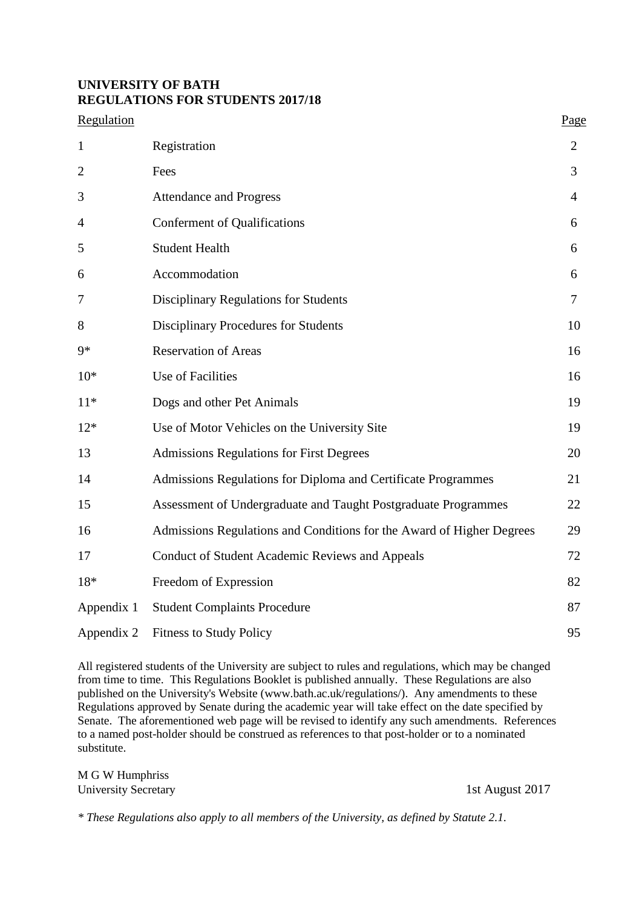## **UNIVERSITY OF BATH REGULATIONS FOR STUDENTS 2017/18**

| Regulation     |                                                                       | Page           |
|----------------|-----------------------------------------------------------------------|----------------|
| $\mathbf{1}$   | Registration                                                          | 2              |
| $\overline{2}$ | Fees                                                                  | 3              |
| 3              | <b>Attendance and Progress</b>                                        | $\overline{4}$ |
| 4              | <b>Conferment of Qualifications</b>                                   | 6              |
| 5              | <b>Student Health</b>                                                 | 6              |
| 6              | Accommodation                                                         | 6              |
| 7              | <b>Disciplinary Regulations for Students</b>                          | 7              |
| 8              | <b>Disciplinary Procedures for Students</b>                           | 10             |
| $9*$           | <b>Reservation of Areas</b>                                           | 16             |
| $10*$          | Use of Facilities                                                     | 16             |
| $11*$          | Dogs and other Pet Animals                                            | 19             |
| $12*$          | Use of Motor Vehicles on the University Site                          | 19             |
| 13             | <b>Admissions Regulations for First Degrees</b>                       | 20             |
| 14             | Admissions Regulations for Diploma and Certificate Programmes         | 21             |
| 15             | Assessment of Undergraduate and Taught Postgraduate Programmes        | 22             |
| 16             | Admissions Regulations and Conditions for the Award of Higher Degrees | 29             |
| 17             | <b>Conduct of Student Academic Reviews and Appeals</b>                | 72             |
| 18*            | Freedom of Expression                                                 | 82             |
| Appendix 1     | <b>Student Complaints Procedure</b>                                   | 87             |
| Appendix 2     | <b>Fitness to Study Policy</b>                                        | 95             |

All registered students of the University are subject to rules and regulations, which may be changed from time to time. This Regulations Booklet is published annually. These Regulations are also published on the University's Website (www.bath.ac.uk/regulations/). Any amendments to these Regulations approved by Senate during the academic year will take effect on the date specified by Senate. The aforementioned web page will be revised to identify any such amendments. References to a named post-holder should be construed as references to that post-holder or to a nominated substitute.

M G W Humphriss University Secretary 1st August 2017

*\* These Regulations also apply to all members of the University, as defined by Statute 2.1.*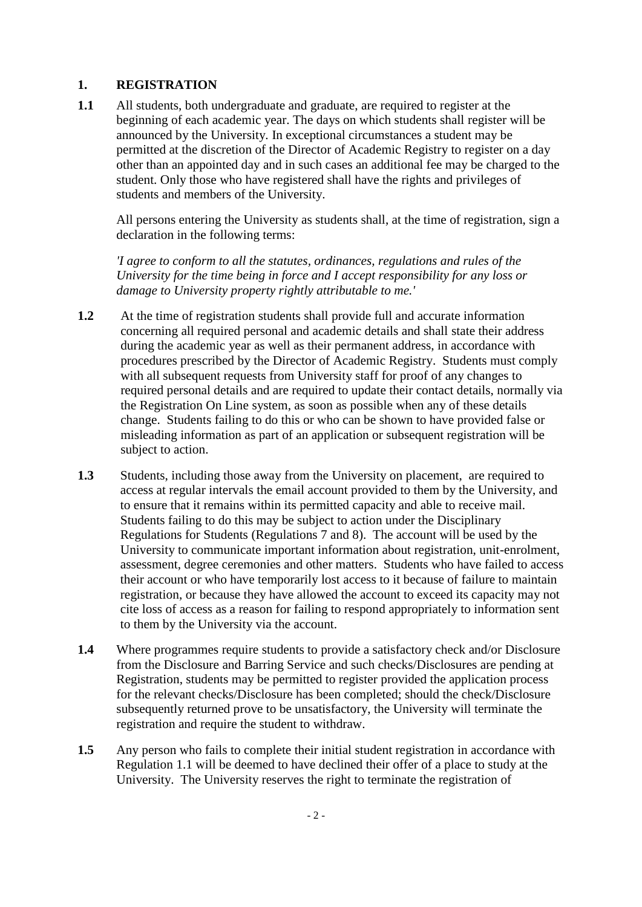## **1. REGISTRATION**

**1.1** All students, both undergraduate and graduate, are required to register at the beginning of each academic year. The days on which students shall register will be announced by the University. In exceptional circumstances a student may be permitted at the discretion of the Director of Academic Registry to register on a day other than an appointed day and in such cases an additional fee may be charged to the student. Only those who have registered shall have the rights and privileges of students and members of the University.

All persons entering the University as students shall, at the time of registration, sign a declaration in the following terms:

*'I agree to conform to all the statutes, ordinances, regulations and rules of the University for the time being in force and I accept responsibility for any loss or damage to University property rightly attributable to me.'*

- **1.2** At the time of registration students shall provide full and accurate information concerning all required personal and academic details and shall state their address during the academic year as well as their permanent address, in accordance with procedures prescribed by the Director of Academic Registry. Students must comply with all subsequent requests from University staff for proof of any changes to required personal details and are required to update their contact details, normally via the Registration On Line system, as soon as possible when any of these details change. Students failing to do this or who can be shown to have provided false or misleading information as part of an application or subsequent registration will be subject to action.
- **1.3** Students, including those away from the University on placement, are required to access at regular intervals the email account provided to them by the University, and to ensure that it remains within its permitted capacity and able to receive mail. Students failing to do this may be subject to action under the Disciplinary Regulations for Students (Regulations 7 and 8). The account will be used by the University to communicate important information about registration, unit-enrolment, assessment, degree ceremonies and other matters. Students who have failed to access their account or who have temporarily lost access to it because of failure to maintain registration, or because they have allowed the account to exceed its capacity may not cite loss of access as a reason for failing to respond appropriately to information sent to them by the University via the account.
- **1.4** Where programmes require students to provide a satisfactory check and/or Disclosure from the Disclosure and Barring Service and such checks/Disclosures are pending at Registration, students may be permitted to register provided the application process for the relevant checks/Disclosure has been completed; should the check/Disclosure subsequently returned prove to be unsatisfactory, the University will terminate the registration and require the student to withdraw.
- **1.5** Any person who fails to complete their initial student registration in accordance with Regulation 1.1 will be deemed to have declined their offer of a place to study at the University. The University reserves the right to terminate the registration of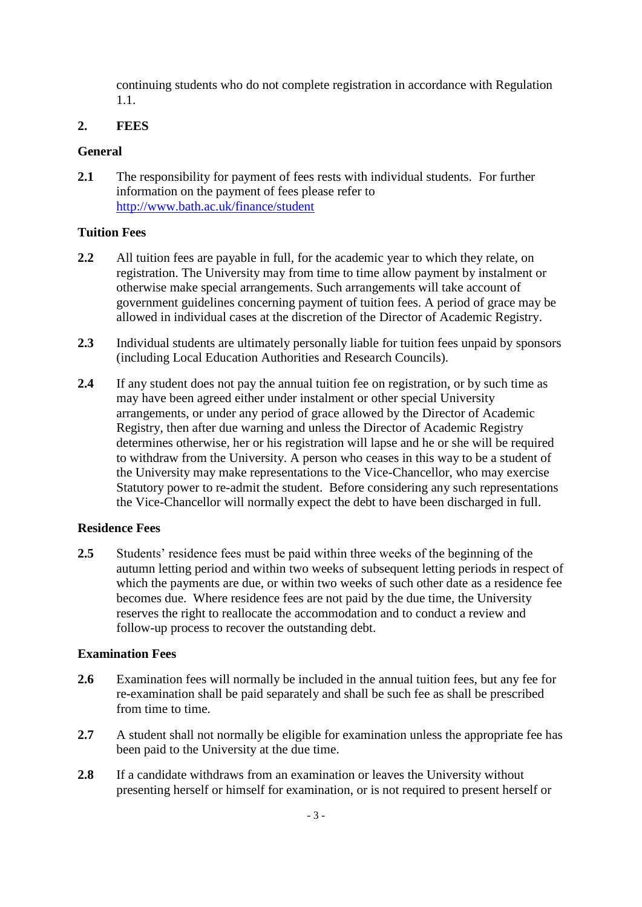continuing students who do not complete registration in accordance with Regulation 1.1.

## **2. FEES**

## **General**

**2.1** The responsibility for payment of fees rests with individual students. For further information on the payment of fees please refer to <http://www.bath.ac.uk/finance/student>

## **Tuition Fees**

- **2.2** All tuition fees are payable in full, for the academic year to which they relate, on registration. The University may from time to time allow payment by instalment or otherwise make special arrangements. Such arrangements will take account of government guidelines concerning payment of tuition fees. A period of grace may be allowed in individual cases at the discretion of the Director of Academic Registry.
- **2.3** Individual students are ultimately personally liable for tuition fees unpaid by sponsors (including Local Education Authorities and Research Councils).
- **2.4** If any student does not pay the annual tuition fee on registration, or by such time as may have been agreed either under instalment or other special University arrangements, or under any period of grace allowed by the Director of Academic Registry, then after due warning and unless the Director of Academic Registry determines otherwise, her or his registration will lapse and he or she will be required to withdraw from the University. A person who ceases in this way to be a student of the University may make representations to the Vice-Chancellor, who may exercise Statutory power to re-admit the student. Before considering any such representations the Vice-Chancellor will normally expect the debt to have been discharged in full.

# **Residence Fees**

**2.5** Students' residence fees must be paid within three weeks of the beginning of the autumn letting period and within two weeks of subsequent letting periods in respect of which the payments are due, or within two weeks of such other date as a residence fee becomes due. Where residence fees are not paid by the due time, the University reserves the right to reallocate the accommodation and to conduct a review and follow-up process to recover the outstanding debt.

### **Examination Fees**

- **2.6** Examination fees will normally be included in the annual tuition fees, but any fee for re-examination shall be paid separately and shall be such fee as shall be prescribed from time to time.
- **2.7** A student shall not normally be eligible for examination unless the appropriate fee has been paid to the University at the due time.
- **2.8** If a candidate withdraws from an examination or leaves the University without presenting herself or himself for examination, or is not required to present herself or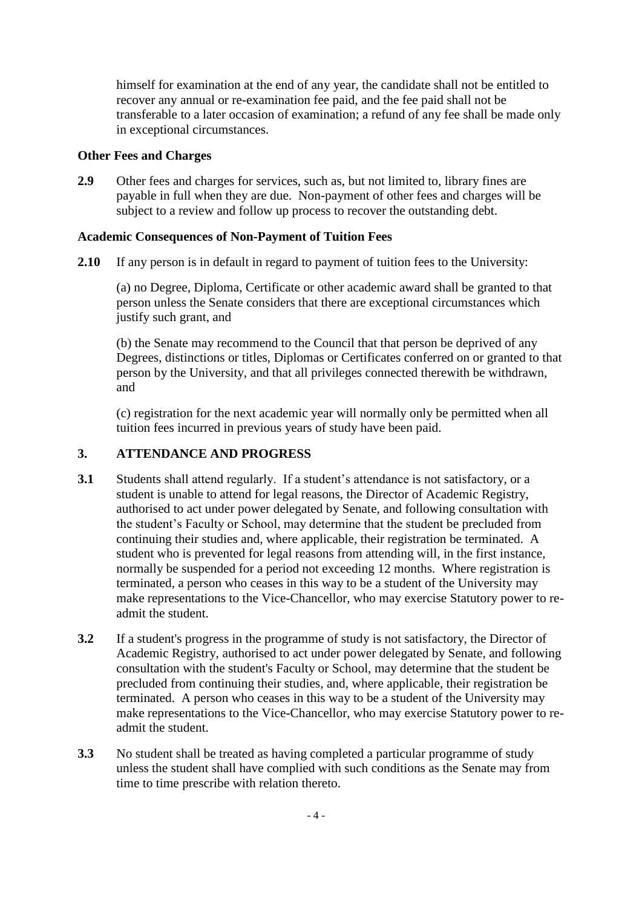himself for examination at the end of any year, the candidate shall not be entitled to recover any annual or re-examination fee paid, and the fee paid shall not be transferable to a later occasion of examination; a refund of any fee shall be made only in exceptional circumstances.

### **Other Fees and Charges**

**2.9** Other fees and charges for services, such as, but not limited to, library fines are payable in full when they are due. Non-payment of other fees and charges will be subject to a review and follow up process to recover the outstanding debt.

## **Academic Consequences of Non-Payment of Tuition Fees**

**2.10** If any person is in default in regard to payment of tuition fees to the University:

(a) no Degree, Diploma, Certificate or other academic award shall be granted to that person unless the Senate considers that there are exceptional circumstances which justify such grant, and

(b) the Senate may recommend to the Council that that person be deprived of any Degrees, distinctions or titles, Diplomas or Certificates conferred on or granted to that person by the University, and that all privileges connected therewith be withdrawn, and

(c) registration for the next academic year will normally only be permitted when all tuition fees incurred in previous years of study have been paid.

## **3. ATTENDANCE AND PROGRESS**

- **3.1** Students shall attend regularly. If a student's attendance is not satisfactory, or a student is unable to attend for legal reasons, the Director of Academic Registry, authorised to act under power delegated by Senate, and following consultation with the student's Faculty or School, may determine that the student be precluded from continuing their studies and, where applicable, their registration be terminated. A student who is prevented for legal reasons from attending will, in the first instance, normally be suspended for a period not exceeding 12 months. Where registration is terminated, a person who ceases in this way to be a student of the University may make representations to the Vice-Chancellor, who may exercise Statutory power to readmit the student.
- **3.2** If a student's progress in the programme of study is not satisfactory, the Director of Academic Registry, authorised to act under power delegated by Senate, and following consultation with the student's Faculty or School, may determine that the student be precluded from continuing their studies, and, where applicable, their registration be terminated. A person who ceases in this way to be a student of the University may make representations to the Vice-Chancellor, who may exercise Statutory power to readmit the student.
- **3.3** No student shall be treated as having completed a particular programme of study unless the student shall have complied with such conditions as the Senate may from time to time prescribe with relation thereto.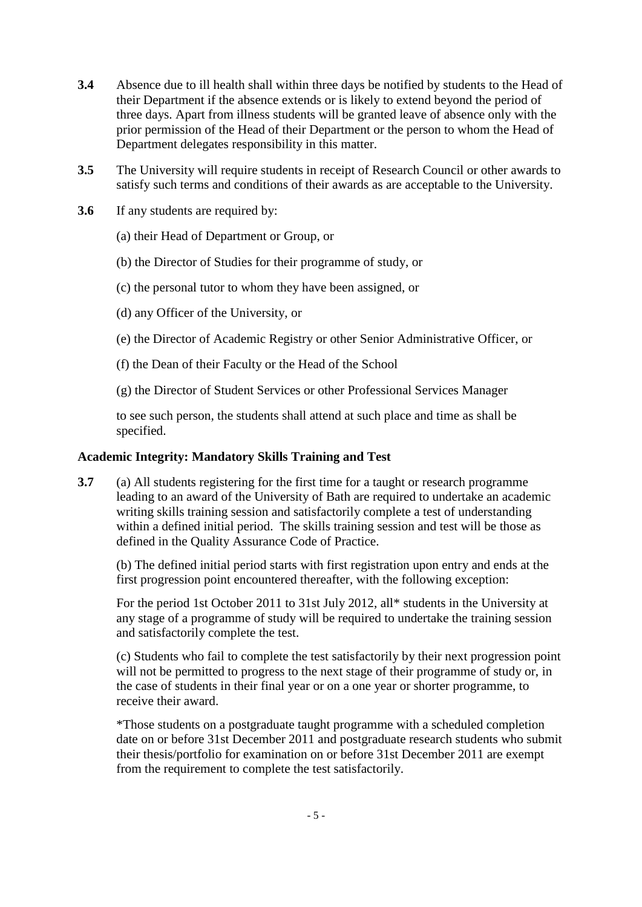- **3.4** Absence due to ill health shall within three days be notified by students to the Head of their Department if the absence extends or is likely to extend beyond the period of three days. Apart from illness students will be granted leave of absence only with the prior permission of the Head of their Department or the person to whom the Head of Department delegates responsibility in this matter.
- **3.5** The University will require students in receipt of Research Council or other awards to satisfy such terms and conditions of their awards as are acceptable to the University.
- **3.6** If any students are required by:
	- (a) their Head of Department or Group, or
	- (b) the Director of Studies for their programme of study, or
	- (c) the personal tutor to whom they have been assigned, or
	- (d) any Officer of the University, or
	- (e) the Director of Academic Registry or other Senior Administrative Officer, or
	- (f) the Dean of their Faculty or the Head of the School
	- (g) the Director of Student Services or other Professional Services Manager

to see such person, the students shall attend at such place and time as shall be specified.

## **Academic Integrity: Mandatory Skills Training and Test**

**3.7** (a) All students registering for the first time for a taught or research programme leading to an award of the University of Bath are required to undertake an academic writing skills training session and satisfactorily complete a test of understanding within a defined initial period. The skills training session and test will be those as defined in the Quality Assurance Code of Practice.

(b) The defined initial period starts with first registration upon entry and ends at the first progression point encountered thereafter, with the following exception:

For the period 1st October 2011 to 31st July 2012, all\* students in the University at any stage of a programme of study will be required to undertake the training session and satisfactorily complete the test.

(c) Students who fail to complete the test satisfactorily by their next progression point will not be permitted to progress to the next stage of their programme of study or, in the case of students in their final year or on a one year or shorter programme, to receive their award.

\*Those students on a postgraduate taught programme with a scheduled completion date on or before 31st December 2011 and postgraduate research students who submit their thesis/portfolio for examination on or before 31st December 2011 are exempt from the requirement to complete the test satisfactorily.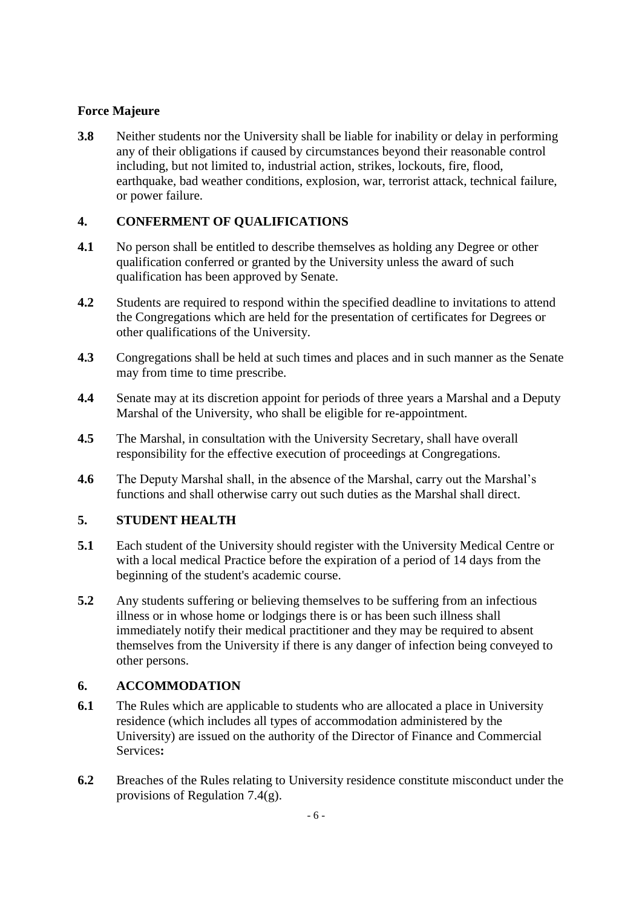# **Force Majeure**

**3.8** Neither students nor the University shall be liable for inability or delay in performing any of their obligations if caused by circumstances beyond their reasonable control including, but not limited to, industrial action, strikes, lockouts, fire, flood, earthquake, bad weather conditions, explosion, war, terrorist attack, technical failure, or power failure.

# **4. CONFERMENT OF QUALIFICATIONS**

- **4.1** No person shall be entitled to describe themselves as holding any Degree or other qualification conferred or granted by the University unless the award of such qualification has been approved by Senate.
- **4.2** Students are required to respond within the specified deadline to invitations to attend the Congregations which are held for the presentation of certificates for Degrees or other qualifications of the University*.*
- **4.3** Congregations shall be held at such times and places and in such manner as the Senate may from time to time prescribe.
- **4.4** Senate may at its discretion appoint for periods of three years a Marshal and a Deputy Marshal of the University, who shall be eligible for re-appointment.
- **4.5** The Marshal, in consultation with the University Secretary, shall have overall responsibility for the effective execution of proceedings at Congregations.
- **4.6** The Deputy Marshal shall, in the absence of the Marshal, carry out the Marshal's functions and shall otherwise carry out such duties as the Marshal shall direct.

# **5. STUDENT HEALTH**

- **5.1** Each student of the University should register with the University Medical Centre or with a local medical Practice before the expiration of a period of 14 days from the beginning of the student's academic course.
- **5.2** Any students suffering or believing themselves to be suffering from an infectious illness or in whose home or lodgings there is or has been such illness shall immediately notify their medical practitioner and they may be required to absent themselves from the University if there is any danger of infection being conveyed to other persons.

# **6. ACCOMMODATION**

- **6.1** The Rules which are applicable to students who are allocated a place in University residence (which includes all types of accommodation administered by the University) are issued on the authority of the Director of Finance and Commercial Services**:**
- **6.2** Breaches of the Rules relating to University residence constitute misconduct under the provisions of Regulation 7.4(g).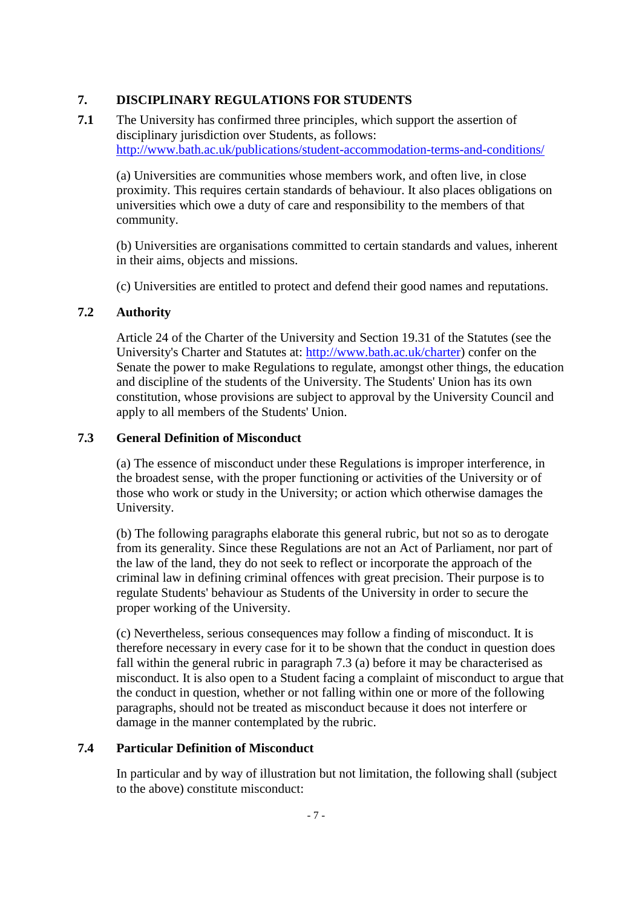## **7. DISCIPLINARY REGULATIONS FOR STUDENTS**

**7.1** The University has confirmed three principles, which support the assertion of disciplinary jurisdiction over Students, as follows: <http://www.bath.ac.uk/publications/student-accommodation-terms-and-conditions/>

(a) Universities are communities whose members work, and often live, in close proximity. This requires certain standards of behaviour. It also places obligations on universities which owe a duty of care and responsibility to the members of that community.

(b) Universities are organisations committed to certain standards and values, inherent in their aims, objects and missions.

(c) Universities are entitled to protect and defend their good names and reputations.

### **7.2 Authority**

Article 24 of the Charter of the University and Section 19.31 of the Statutes (see the University's Charter and Statutes at: [http://www.bath.ac.uk/charter\)](http://www.bath.ac.uk/charter) confer on the Senate the power to make Regulations to regulate, amongst other things, the education and discipline of the students of the University. The Students' Union has its own constitution, whose provisions are subject to approval by the University Council and apply to all members of the Students' Union.

### **7.3 General Definition of Misconduct**

(a) The essence of misconduct under these Regulations is improper interference, in the broadest sense, with the proper functioning or activities of the University or of those who work or study in the University; or action which otherwise damages the University.

(b) The following paragraphs elaborate this general rubric, but not so as to derogate from its generality. Since these Regulations are not an Act of Parliament, nor part of the law of the land, they do not seek to reflect or incorporate the approach of the criminal law in defining criminal offences with great precision. Their purpose is to regulate Students' behaviour as Students of the University in order to secure the proper working of the University.

(c) Nevertheless, serious consequences may follow a finding of misconduct. It is therefore necessary in every case for it to be shown that the conduct in question does fall within the general rubric in paragraph 7.3 (a) before it may be characterised as misconduct. It is also open to a Student facing a complaint of misconduct to argue that the conduct in question, whether or not falling within one or more of the following paragraphs, should not be treated as misconduct because it does not interfere or damage in the manner contemplated by the rubric.

# **7.4 Particular Definition of Misconduct**

In particular and by way of illustration but not limitation, the following shall (subject to the above) constitute misconduct: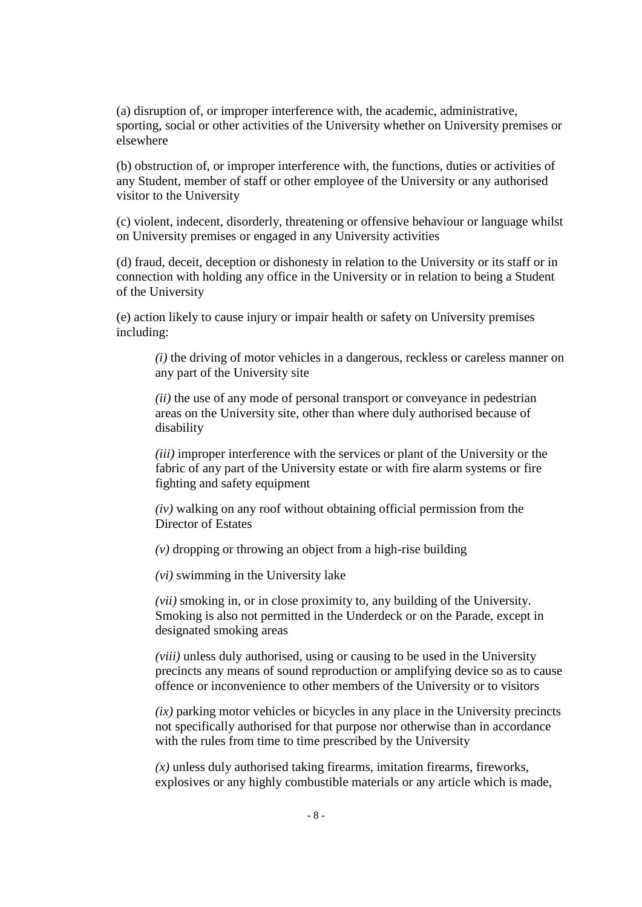(a) disruption of, or improper interference with, the academic, administrative, sporting, social or other activities of the University whether on University premises or elsewhere

(b) obstruction of, or improper interference with, the functions, duties or activities of any Student, member of staff or other employee of the University or any authorised visitor to the University

(c) violent, indecent, disorderly, threatening or offensive behaviour or language whilst on University premises or engaged in any University activities

(d) fraud, deceit, deception or dishonesty in relation to the University or its staff or in connection with holding any office in the University or in relation to being a Student of the University

(e) action likely to cause injury or impair health or safety on University premises including:

*(i)* the driving of motor vehicles in a dangerous, reckless or careless manner on any part of the University site

*(ii)* the use of any mode of personal transport or conveyance in pedestrian areas on the University site, other than where duly authorised because of disability

*(iii)* improper interference with the services or plant of the University or the fabric of any part of the University estate or with fire alarm systems or fire fighting and safety equipment

*(iv)* walking on any roof without obtaining official permission from the Director of Estates

*(v)* dropping or throwing an object from a high-rise building

*(vi)* swimming in the University lake

*(vii)* smoking in, or in close proximity to, any building of the University. Smoking is also not permitted in the Underdeck or on the Parade, except in designated smoking areas

*(viii)* unless duly authorised, using or causing to be used in the University precincts any means of sound reproduction or amplifying device so as to cause offence or inconvenience to other members of the University or to visitors

*(ix)* parking motor vehicles or bicycles in any place in the University precincts not specifically authorised for that purpose nor otherwise than in accordance with the rules from time to time prescribed by the University

*(x)* unless duly authorised taking firearms, imitation firearms, fireworks, explosives or any highly combustible materials or any article which is made,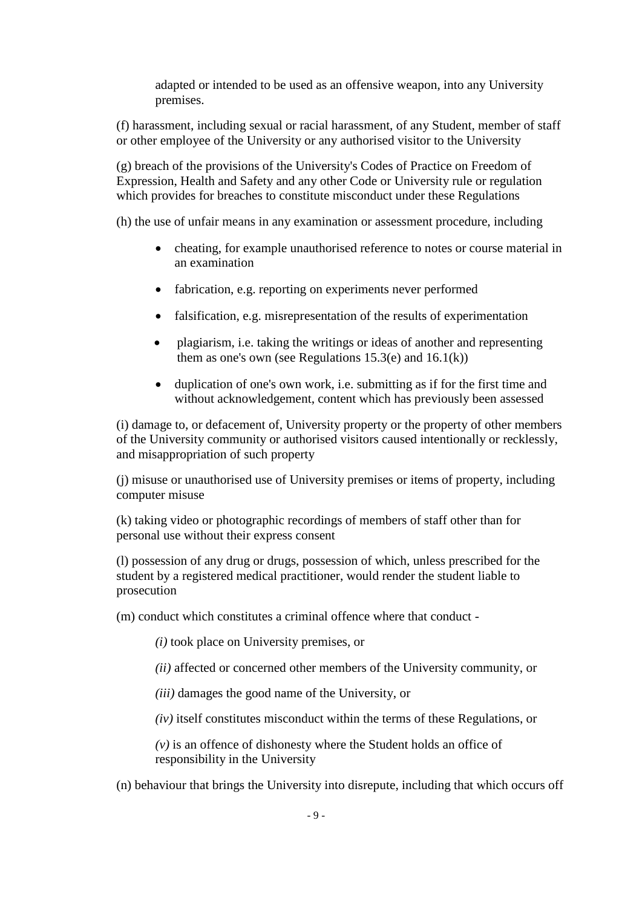adapted or intended to be used as an offensive weapon, into any University premises.

(f) harassment, including sexual or racial harassment, of any Student, member of staff or other employee of the University or any authorised visitor to the University

(g) breach of the provisions of the University's Codes of Practice on Freedom of Expression, Health and Safety and any other Code or University rule or regulation which provides for breaches to constitute misconduct under these Regulations

(h) the use of unfair means in any examination or assessment procedure, including

- cheating, for example unauthorised reference to notes or course material in an examination
- fabrication, e.g. reporting on experiments never performed
- falsification, e.g. misrepresentation of the results of experimentation
- plagiarism, i.e. taking the writings or ideas of another and representing them as one's own (see Regulations  $15.3(e)$  and  $16.1(k)$ )
- duplication of one's own work, i.e. submitting as if for the first time and without acknowledgement, content which has previously been assessed

(i) damage to, or defacement of, University property or the property of other members of the University community or authorised visitors caused intentionally or recklessly, and misappropriation of such property

(j) misuse or unauthorised use of University premises or items of property, including computer misuse

(k) taking video or photographic recordings of members of staff other than for personal use without their express consent

(l) possession of any drug or drugs, possession of which, unless prescribed for the student by a registered medical practitioner, would render the student liable to prosecution

(m) conduct which constitutes a criminal offence where that conduct -

*(i)* took place on University premises, or

*(ii)* affected or concerned other members of the University community, or

*(iii)* damages the good name of the University, or

*(iv)* itself constitutes misconduct within the terms of these Regulations, or

*(v)* is an offence of dishonesty where the Student holds an office of responsibility in the University

(n) behaviour that brings the University into disrepute, including that which occurs off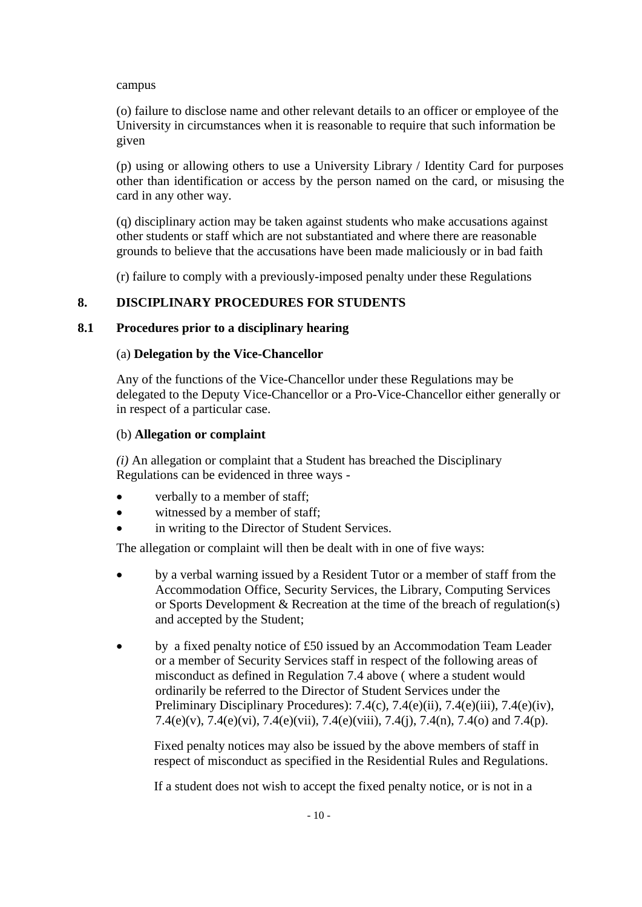campus

(o) failure to disclose name and other relevant details to an officer or employee of the University in circumstances when it is reasonable to require that such information be given

(p) using or allowing others to use a University Library / Identity Card for purposes other than identification or access by the person named on the card, or misusing the card in any other way.

(q) disciplinary action may be taken against students who make accusations against other students or staff which are not substantiated and where there are reasonable grounds to believe that the accusations have been made maliciously or in bad faith

(r) failure to comply with a previously-imposed penalty under these Regulations

# **8. DISCIPLINARY PROCEDURES FOR STUDENTS**

### **8.1 Procedures prior to a disciplinary hearing**

### (a) **Delegation by the Vice-Chancellor**

Any of the functions of the Vice-Chancellor under these Regulations may be delegated to the Deputy Vice-Chancellor or a Pro-Vice-Chancellor either generally or in respect of a particular case.

### (b) **Allegation or complaint**

*(i)* An allegation or complaint that a Student has breached the Disciplinary Regulations can be evidenced in three ways -

- verbally to a member of staff;
- witnessed by a member of staff;
- in writing to the Director of Student Services.

The allegation or complaint will then be dealt with in one of five ways:

- by a verbal warning issued by a Resident Tutor or a member of staff from the Accommodation Office, Security Services, the Library, Computing Services or Sports Development & Recreation at the time of the breach of regulation(s) and accepted by the Student;
- by a fixed penalty notice of £50 issued by an Accommodation Team Leader or a member of Security Services staff in respect of the following areas of misconduct as defined in Regulation 7.4 above ( where a student would ordinarily be referred to the Director of Student Services under the Preliminary Disciplinary Procedures): 7.4(c), 7.4(e)(ii), 7.4(e)(iii), 7.4(e)(iv), 7.4(e)(v), 7.4(e)(vi), 7.4(e)(vii), 7.4(e)(viii), 7.4(j), 7.4(n), 7.4(o) and 7.4(p).

Fixed penalty notices may also be issued by the above members of staff in respect of misconduct as specified in the Residential Rules and Regulations.

If a student does not wish to accept the fixed penalty notice, or is not in a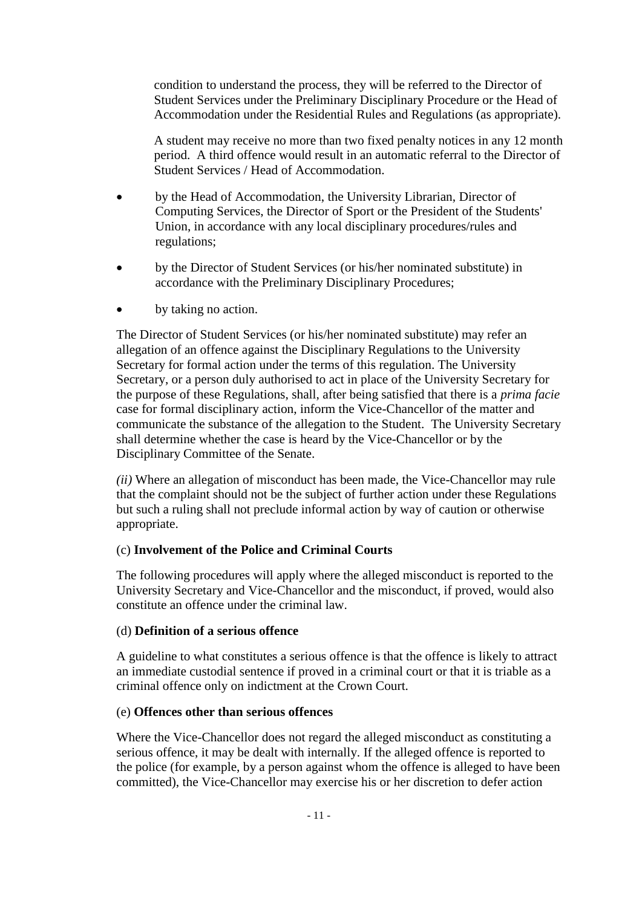condition to understand the process, they will be referred to the Director of Student Services under the Preliminary Disciplinary Procedure or the Head of Accommodation under the Residential Rules and Regulations (as appropriate).

A student may receive no more than two fixed penalty notices in any 12 month period. A third offence would result in an automatic referral to the Director of Student Services / Head of Accommodation.

- by the Head of Accommodation, the University Librarian, Director of Computing Services, the Director of Sport or the President of the Students' Union, in accordance with any local disciplinary procedures/rules and regulations;
- by the Director of Student Services (or his/her nominated substitute) in accordance with the Preliminary Disciplinary Procedures;
- by taking no action.

The Director of Student Services (or his/her nominated substitute) may refer an allegation of an offence against the Disciplinary Regulations to the University Secretary for formal action under the terms of this regulation. The University Secretary, or a person duly authorised to act in place of the University Secretary for the purpose of these Regulations, shall, after being satisfied that there is a *prima facie* case for formal disciplinary action, inform the Vice-Chancellor of the matter and communicate the substance of the allegation to the Student. The University Secretary shall determine whether the case is heard by the Vice-Chancellor or by the Disciplinary Committee of the Senate.

*(ii)* Where an allegation of misconduct has been made, the Vice-Chancellor may rule that the complaint should not be the subject of further action under these Regulations but such a ruling shall not preclude informal action by way of caution or otherwise appropriate.

### (c) **Involvement of the Police and Criminal Courts**

The following procedures will apply where the alleged misconduct is reported to the University Secretary and Vice-Chancellor and the misconduct, if proved, would also constitute an offence under the criminal law.

### (d) **Definition of a serious offence**

A guideline to what constitutes a serious offence is that the offence is likely to attract an immediate custodial sentence if proved in a criminal court or that it is triable as a criminal offence only on indictment at the Crown Court.

### (e) **Offences other than serious offences**

Where the Vice-Chancellor does not regard the alleged misconduct as constituting a serious offence, it may be dealt with internally. If the alleged offence is reported to the police (for example, by a person against whom the offence is alleged to have been committed), the Vice-Chancellor may exercise his or her discretion to defer action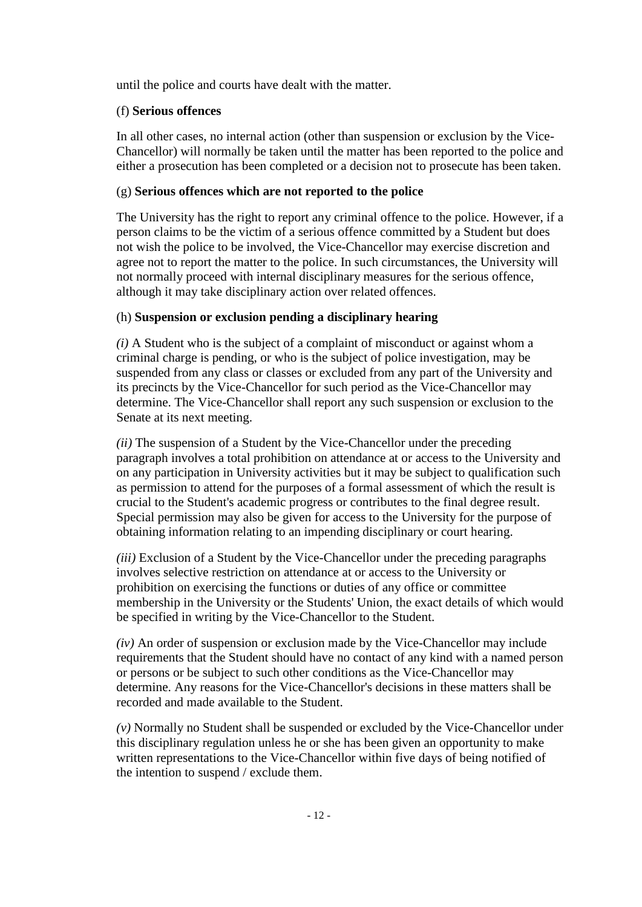until the police and courts have dealt with the matter.

# (f) **Serious offences**

In all other cases, no internal action (other than suspension or exclusion by the Vice-Chancellor) will normally be taken until the matter has been reported to the police and either a prosecution has been completed or a decision not to prosecute has been taken.

## (g) **Serious offences which are not reported to the police**

The University has the right to report any criminal offence to the police. However, if a person claims to be the victim of a serious offence committed by a Student but does not wish the police to be involved, the Vice-Chancellor may exercise discretion and agree not to report the matter to the police. In such circumstances, the University will not normally proceed with internal disciplinary measures for the serious offence, although it may take disciplinary action over related offences.

# (h) **Suspension or exclusion pending a disciplinary hearing**

*(i)* A Student who is the subject of a complaint of misconduct or against whom a criminal charge is pending, or who is the subject of police investigation, may be suspended from any class or classes or excluded from any part of the University and its precincts by the Vice-Chancellor for such period as the Vice-Chancellor may determine. The Vice-Chancellor shall report any such suspension or exclusion to the Senate at its next meeting.

*(ii)* The suspension of a Student by the Vice-Chancellor under the preceding paragraph involves a total prohibition on attendance at or access to the University and on any participation in University activities but it may be subject to qualification such as permission to attend for the purposes of a formal assessment of which the result is crucial to the Student's academic progress or contributes to the final degree result. Special permission may also be given for access to the University for the purpose of obtaining information relating to an impending disciplinary or court hearing.

*(iii)* Exclusion of a Student by the Vice-Chancellor under the preceding paragraphs involves selective restriction on attendance at or access to the University or prohibition on exercising the functions or duties of any office or committee membership in the University or the Students' Union, the exact details of which would be specified in writing by the Vice-Chancellor to the Student.

*(iv)* An order of suspension or exclusion made by the Vice-Chancellor may include requirements that the Student should have no contact of any kind with a named person or persons or be subject to such other conditions as the Vice-Chancellor may determine. Any reasons for the Vice-Chancellor's decisions in these matters shall be recorded and made available to the Student.

*(v)* Normally no Student shall be suspended or excluded by the Vice-Chancellor under this disciplinary regulation unless he or she has been given an opportunity to make written representations to the Vice-Chancellor within five days of being notified of the intention to suspend / exclude them.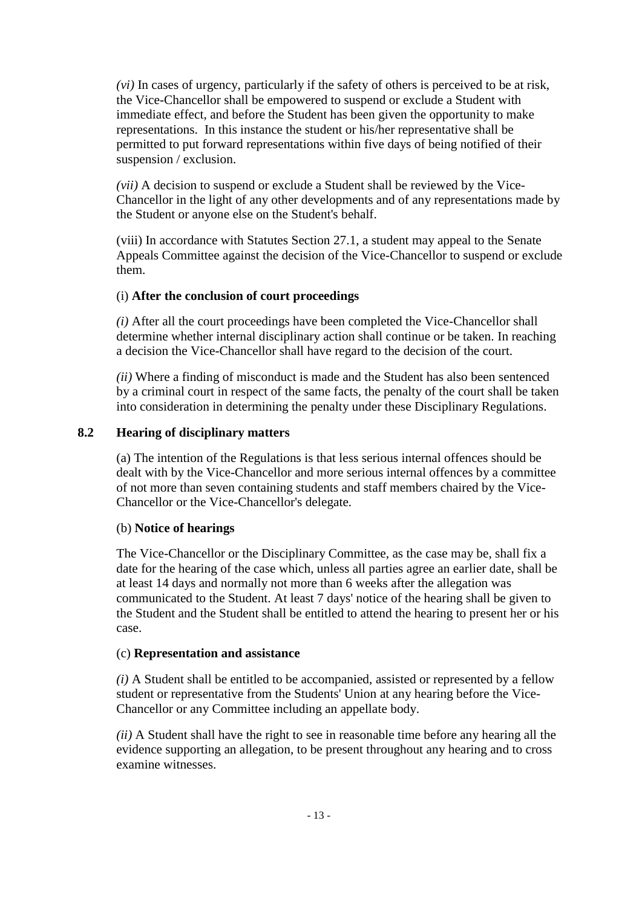*(vi)* In cases of urgency, particularly if the safety of others is perceived to be at risk, the Vice-Chancellor shall be empowered to suspend or exclude a Student with immediate effect, and before the Student has been given the opportunity to make representations. In this instance the student or his/her representative shall be permitted to put forward representations within five days of being notified of their suspension / exclusion.

*(vii)* A decision to suspend or exclude a Student shall be reviewed by the Vice-Chancellor in the light of any other developments and of any representations made by the Student or anyone else on the Student's behalf.

(viii) In accordance with Statutes Section 27.1, a student may appeal to the Senate Appeals Committee against the decision of the Vice-Chancellor to suspend or exclude them.

## (i) **After the conclusion of court proceedings**

*(i)* After all the court proceedings have been completed the Vice-Chancellor shall determine whether internal disciplinary action shall continue or be taken. In reaching a decision the Vice-Chancellor shall have regard to the decision of the court.

*(ii)* Where a finding of misconduct is made and the Student has also been sentenced by a criminal court in respect of the same facts, the penalty of the court shall be taken into consideration in determining the penalty under these Disciplinary Regulations.

## **8.2 Hearing of disciplinary matters**

(a) The intention of the Regulations is that less serious internal offences should be dealt with by the Vice-Chancellor and more serious internal offences by a committee of not more than seven containing students and staff members chaired by the Vice-Chancellor or the Vice-Chancellor's delegate.

### (b) **Notice of hearings**

The Vice-Chancellor or the Disciplinary Committee, as the case may be, shall fix a date for the hearing of the case which, unless all parties agree an earlier date, shall be at least 14 days and normally not more than 6 weeks after the allegation was communicated to the Student. At least 7 days' notice of the hearing shall be given to the Student and the Student shall be entitled to attend the hearing to present her or his case.

### (c) **Representation and assistance**

*(i)* A Student shall be entitled to be accompanied, assisted or represented by a fellow student or representative from the Students' Union at any hearing before the Vice-Chancellor or any Committee including an appellate body.

*(ii)* A Student shall have the right to see in reasonable time before any hearing all the evidence supporting an allegation, to be present throughout any hearing and to cross examine witnesses.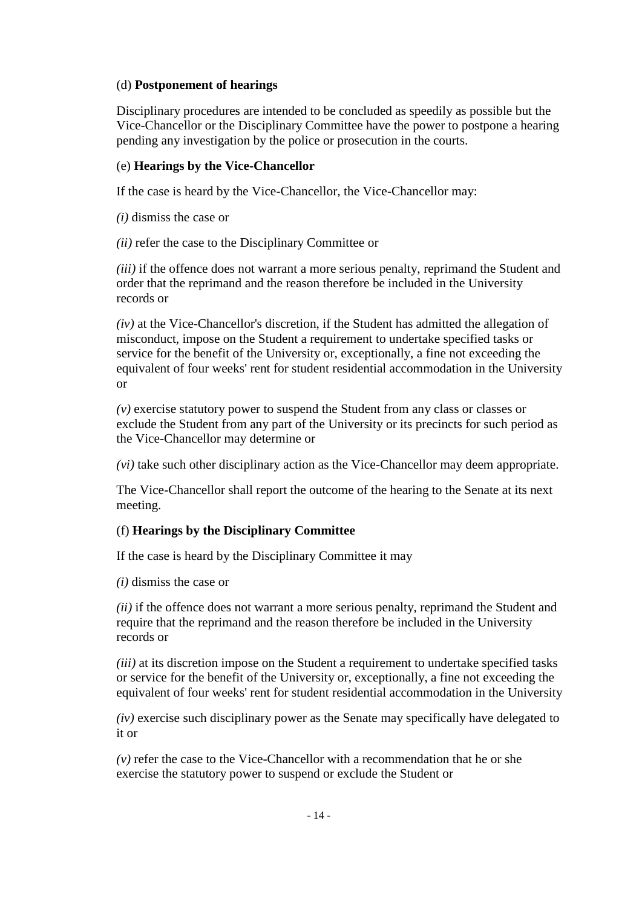### (d) **Postponement of hearings**

Disciplinary procedures are intended to be concluded as speedily as possible but the Vice-Chancellor or the Disciplinary Committee have the power to postpone a hearing pending any investigation by the police or prosecution in the courts.

### (e) **Hearings by the Vice-Chancellor**

If the case is heard by the Vice-Chancellor, the Vice-Chancellor may:

*(i)* dismiss the case or

*(ii)* refer the case to the Disciplinary Committee or

*(iii)* if the offence does not warrant a more serious penalty, reprimand the Student and order that the reprimand and the reason therefore be included in the University records or

*(iv)* at the Vice-Chancellor's discretion, if the Student has admitted the allegation of misconduct, impose on the Student a requirement to undertake specified tasks or service for the benefit of the University or, exceptionally, a fine not exceeding the equivalent of four weeks' rent for student residential accommodation in the University or

*(v)* exercise statutory power to suspend the Student from any class or classes or exclude the Student from any part of the University or its precincts for such period as the Vice-Chancellor may determine or

*(vi)* take such other disciplinary action as the Vice-Chancellor may deem appropriate.

The Vice-Chancellor shall report the outcome of the hearing to the Senate at its next meeting.

### (f) **Hearings by the Disciplinary Committee**

If the case is heard by the Disciplinary Committee it may

*(i)* dismiss the case or

*(ii)* if the offence does not warrant a more serious penalty, reprimand the Student and require that the reprimand and the reason therefore be included in the University records or

*(iii)* at its discretion impose on the Student a requirement to undertake specified tasks or service for the benefit of the University or, exceptionally, a fine not exceeding the equivalent of four weeks' rent for student residential accommodation in the University

*(iv)* exercise such disciplinary power as the Senate may specifically have delegated to it or

*(v)* refer the case to the Vice-Chancellor with a recommendation that he or she exercise the statutory power to suspend or exclude the Student or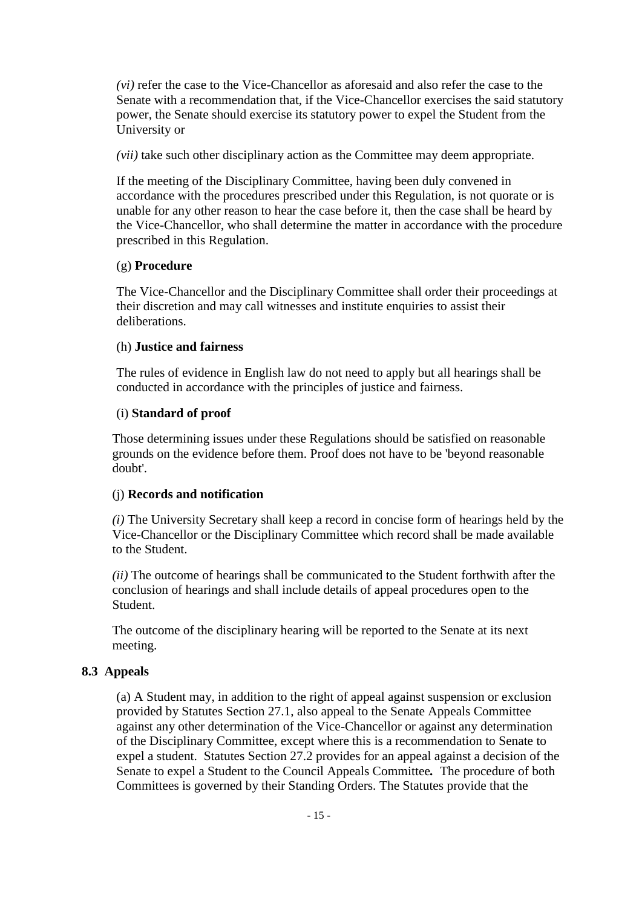*(vi)* refer the case to the Vice-Chancellor as aforesaid and also refer the case to the Senate with a recommendation that, if the Vice-Chancellor exercises the said statutory power, the Senate should exercise its statutory power to expel the Student from the University or

*(vii)* take such other disciplinary action as the Committee may deem appropriate.

If the meeting of the Disciplinary Committee, having been duly convened in accordance with the procedures prescribed under this Regulation, is not quorate or is unable for any other reason to hear the case before it, then the case shall be heard by the Vice-Chancellor, who shall determine the matter in accordance with the procedure prescribed in this Regulation.

## (g) **Procedure**

The Vice-Chancellor and the Disciplinary Committee shall order their proceedings at their discretion and may call witnesses and institute enquiries to assist their deliberations.

## (h) **Justice and fairness**

The rules of evidence in English law do not need to apply but all hearings shall be conducted in accordance with the principles of justice and fairness.

## (i) **Standard of proof**

Those determining issues under these Regulations should be satisfied on reasonable grounds on the evidence before them. Proof does not have to be 'beyond reasonable doubt'.

### (j) **Records and notification**

*(i)* The University Secretary shall keep a record in concise form of hearings held by the Vice-Chancellor or the Disciplinary Committee which record shall be made available to the Student.

*(ii)* The outcome of hearings shall be communicated to the Student forthwith after the conclusion of hearings and shall include details of appeal procedures open to the Student.

The outcome of the disciplinary hearing will be reported to the Senate at its next meeting.

# **8.3 Appeals**

(a) A Student may, in addition to the right of appeal against suspension or exclusion provided by Statutes Section 27.1, also appeal to the Senate Appeals Committee against any other determination of the Vice-Chancellor or against any determination of the Disciplinary Committee, except where this is a recommendation to Senate to expel a student. Statutes Section 27.2 provides for an appeal against a decision of the Senate to expel a Student to the Council Appeals Committee*.* The procedure of both Committees is governed by their Standing Orders. The Statutes provide that the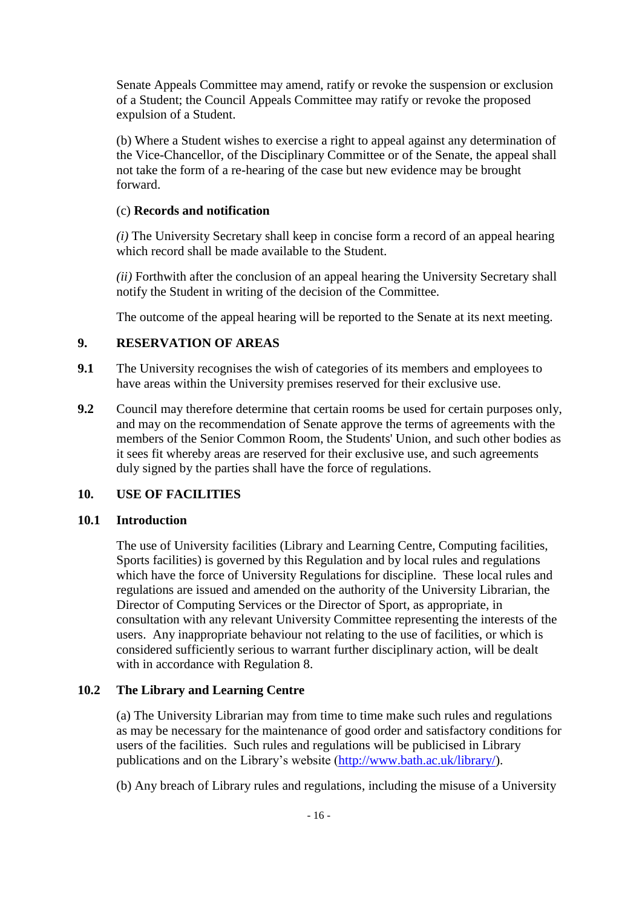Senate Appeals Committee may amend, ratify or revoke the suspension or exclusion of a Student; the Council Appeals Committee may ratify or revoke the proposed expulsion of a Student.

(b) Where a Student wishes to exercise a right to appeal against any determination of the Vice-Chancellor, of the Disciplinary Committee or of the Senate, the appeal shall not take the form of a re-hearing of the case but new evidence may be brought forward.

## (c) **Records and notification**

*(i)* The University Secretary shall keep in concise form a record of an appeal hearing which record shall be made available to the Student.

*(ii)* Forthwith after the conclusion of an appeal hearing the University Secretary shall notify the Student in writing of the decision of the Committee.

The outcome of the appeal hearing will be reported to the Senate at its next meeting.

## **9. RESERVATION OF AREAS**

- **9.1** The University recognises the wish of categories of its members and employees to have areas within the University premises reserved for their exclusive use.
- **9.2** Council may therefore determine that certain rooms be used for certain purposes only, and may on the recommendation of Senate approve the terms of agreements with the members of the Senior Common Room, the Students' Union, and such other bodies as it sees fit whereby areas are reserved for their exclusive use, and such agreements duly signed by the parties shall have the force of regulations.

# **10. USE OF FACILITIES**

### **10.1 Introduction**

The use of University facilities (Library and Learning Centre, Computing facilities, Sports facilities) is governed by this Regulation and by local rules and regulations which have the force of University Regulations for discipline. These local rules and regulations are issued and amended on the authority of the University Librarian, the Director of Computing Services or the Director of Sport, as appropriate, in consultation with any relevant University Committee representing the interests of the users. Any inappropriate behaviour not relating to the use of facilities, or which is considered sufficiently serious to warrant further disciplinary action, will be dealt with in accordance with Regulation 8.

### **10.2 The Library and Learning Centre**

(a) The University Librarian may from time to time make such rules and regulations as may be necessary for the maintenance of good order and satisfactory conditions for users of the facilities. Such rules and regulations will be publicised in Library publications and on the Library's website [\(http://www.bath.ac.uk/library/\)](http://www.bath.ac.uk/library/).

(b) Any breach of Library rules and regulations, including the misuse of a University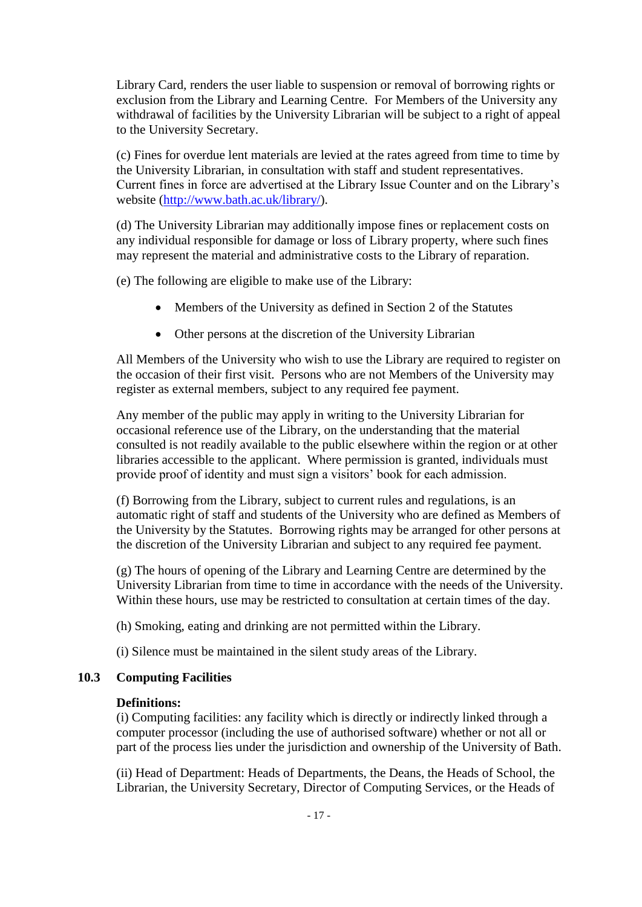Library Card*,* renders the user liable to suspension or removal of borrowing rights or exclusion from the Library and Learning Centre. For Members of the University any withdrawal of facilities by the University Librarian will be subject to a right of appeal to the University Secretary.

(c) Fines for overdue lent materials are levied at the rates agreed from time to time by the University Librarian, in consultation with staff and student representatives. Current fines in force are advertised at the Library Issue Counter and on the Library's website [\(http://www.bath.ac.uk/library/\)](http://www.bath.ac.uk/library/).

(d) The University Librarian may additionally impose fines or replacement costs on any individual responsible for damage or loss of Library property, where such fines may represent the material and administrative costs to the Library of reparation.

(e) The following are eligible to make use of the Library:

- Members of the University as defined in Section 2 of the Statutes
- Other persons at the discretion of the University Librarian

All Members of the University who wish to use the Library are required to register on the occasion of their first visit. Persons who are not Members of the University may register as external members, subject to any required fee payment.

Any member of the public may apply in writing to the University Librarian for occasional reference use of the Library, on the understanding that the material consulted is not readily available to the public elsewhere within the region or at other libraries accessible to the applicant. Where permission is granted, individuals must provide proof of identity and must sign a visitors' book for each admission.

(f) Borrowing from the Library, subject to current rules and regulations, is an automatic right of staff and students of the University who are defined as Members of the University by the Statutes. Borrowing rights may be arranged for other persons at the discretion of the University Librarian and subject to any required fee payment.

(g) The hours of opening of the Library and Learning Centre are determined by the University Librarian from time to time in accordance with the needs of the University. Within these hours, use may be restricted to consultation at certain times of the day.

(h) Smoking, eating and drinking are not permitted within the Library.

(i) Silence must be maintained in the silent study areas of the Library.

## **10.3 Computing Facilities**

#### **Definitions:**

(i) Computing facilities: any facility which is directly or indirectly linked through a computer processor (including the use of authorised software) whether or not all or part of the process lies under the jurisdiction and ownership of the University of Bath.

(ii) Head of Department: Heads of Departments, the Deans, the Heads of School, the Librarian, the University Secretary, Director of Computing Services, or the Heads of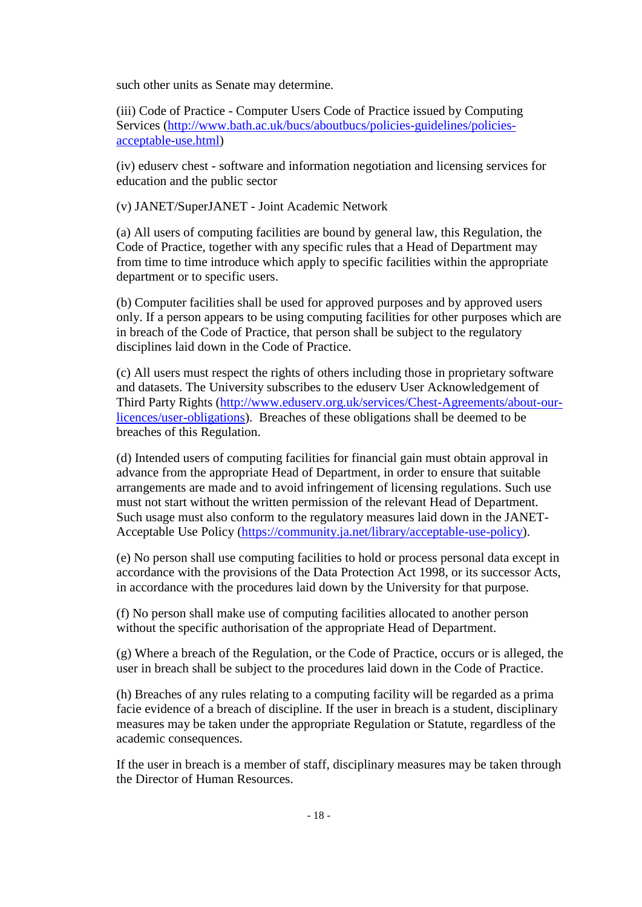such other units as Senate may determine.

(iii) Code of Practice - Computer Users Code of Practice issued by Computing Services [\(http://www.bath.ac.uk/bucs/aboutbucs/policies-guidelines/policies](http://www.bath.ac.uk/bucs/aboutbucs/policies-guidelines/policies-acceptable-use.html)[acceptable-use.html\)](http://www.bath.ac.uk/bucs/aboutbucs/policies-guidelines/policies-acceptable-use.html)

(iv) eduserv chest - software and information negotiation and licensing services for education and the public sector

(v) JANET/SuperJANET - Joint Academic Network

(a) All users of computing facilities are bound by general law, this Regulation, the Code of Practice, together with any specific rules that a Head of Department may from time to time introduce which apply to specific facilities within the appropriate department or to specific users.

(b) Computer facilities shall be used for approved purposes and by approved users only. If a person appears to be using computing facilities for other purposes which are in breach of the Code of Practice, that person shall be subject to the regulatory disciplines laid down in the Code of Practice.

(c) All users must respect the rights of others including those in proprietary software and datasets. The University subscribes to the eduserv User Acknowledgement of Third Party Rights [\(http://www.eduserv.org.uk/services/Chest-Agreements/about-our](http://www.eduserv.org.uk/services/Chest-Agreements/about-our-licences/user-obligations)[licences/user-obligations\)](http://www.eduserv.org.uk/services/Chest-Agreements/about-our-licences/user-obligations). Breaches of these obligations shall be deemed to be breaches of this Regulation.

(d) Intended users of computing facilities for financial gain must obtain approval in advance from the appropriate Head of Department, in order to ensure that suitable arrangements are made and to avoid infringement of licensing regulations. Such use must not start without the written permission of the relevant Head of Department. Such usage must also conform to the regulatory measures laid down in the JANET-Acceptable Use Policy [\(https://community.ja.net/library/acceptable-use-policy\)](https://community.ja.net/library/acceptable-use-policy).

(e) No person shall use computing facilities to hold or process personal data except in accordance with the provisions of the Data Protection Act 1998, or its successor Acts, in accordance with the procedures laid down by the University for that purpose.

(f) No person shall make use of computing facilities allocated to another person without the specific authorisation of the appropriate Head of Department.

(g) Where a breach of the Regulation, or the Code of Practice, occurs or is alleged, the user in breach shall be subject to the procedures laid down in the Code of Practice.

(h) Breaches of any rules relating to a computing facility will be regarded as a prima facie evidence of a breach of discipline. If the user in breach is a student, disciplinary measures may be taken under the appropriate Regulation or Statute, regardless of the academic consequences.

If the user in breach is a member of staff, disciplinary measures may be taken through the Director of Human Resources.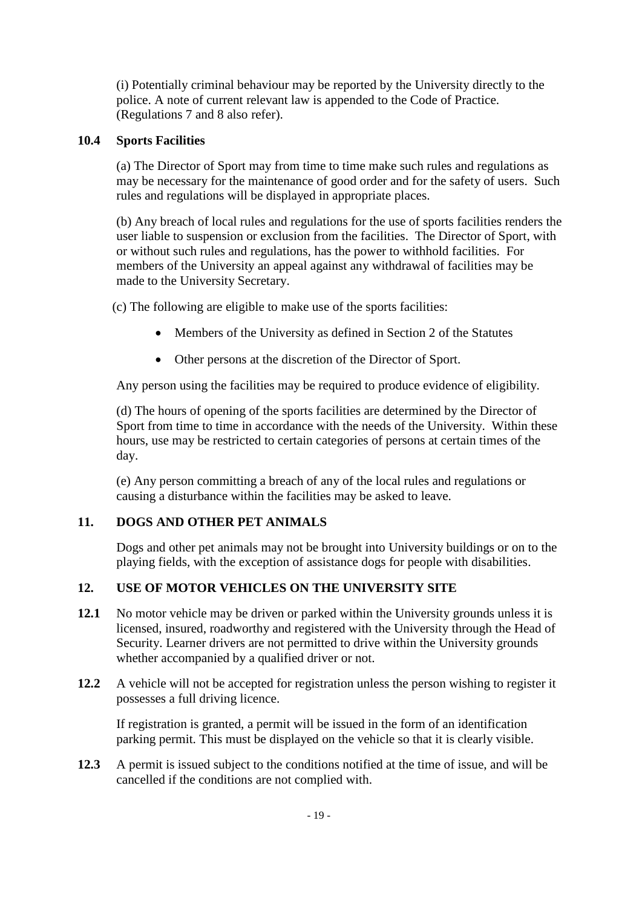(i) Potentially criminal behaviour may be reported by the University directly to the police. A note of current relevant law is appended to the Code of Practice. (Regulations 7 and 8 also refer).

# **10.4 Sports Facilities**

(a) The Director of Sport may from time to time make such rules and regulations as may be necessary for the maintenance of good order and for the safety of users. Such rules and regulations will be displayed in appropriate places.

(b) Any breach of local rules and regulations for the use of sports facilities renders the user liable to suspension or exclusion from the facilities. The Director of Sport, with or without such rules and regulations, has the power to withhold facilities. For members of the University an appeal against any withdrawal of facilities may be made to the University Secretary.

(c) The following are eligible to make use of the sports facilities:

- Members of the University as defined in Section 2 of the Statutes
- Other persons at the discretion of the Director of Sport.

Any person using the facilities may be required to produce evidence of eligibility.

(d) The hours of opening of the sports facilities are determined by the Director of Sport from time to time in accordance with the needs of the University. Within these hours, use may be restricted to certain categories of persons at certain times of the day.

(e) Any person committing a breach of any of the local rules and regulations or causing a disturbance within the facilities may be asked to leave.

# **11. DOGS AND OTHER PET ANIMALS**

Dogs and other pet animals may not be brought into University buildings or on to the playing fields, with the exception of assistance dogs for people with disabilities.

# **12. USE OF MOTOR VEHICLES ON THE UNIVERSITY SITE**

- **12.1** No motor vehicle may be driven or parked within the University grounds unless it is licensed, insured, roadworthy and registered with the University through the Head of Security. Learner drivers are not permitted to drive within the University grounds whether accompanied by a qualified driver or not.
- **12.2** A vehicle will not be accepted for registration unless the person wishing to register it possesses a full driving licence.

If registration is granted, a permit will be issued in the form of an identification parking permit. This must be displayed on the vehicle so that it is clearly visible.

**12.3** A permit is issued subject to the conditions notified at the time of issue, and will be cancelled if the conditions are not complied with.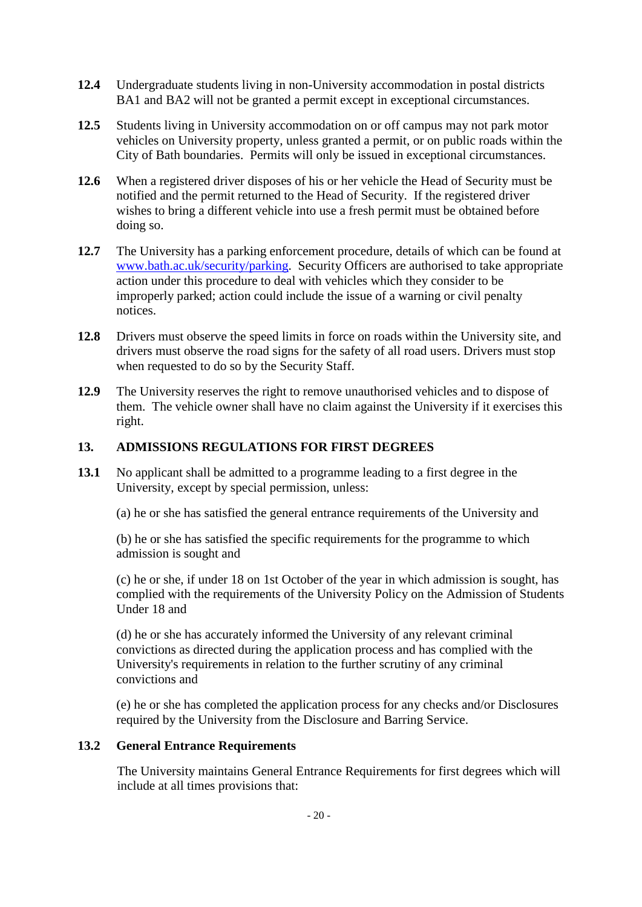- **12.4** Undergraduate students living in non-University accommodation in postal districts BA1 and BA2 will not be granted a permit except in exceptional circumstances.
- **12.5** Students living in University accommodation on or off campus may not park motor vehicles on University property, unless granted a permit, or on public roads within the City of Bath boundaries. Permits will only be issued in exceptional circumstances.
- **12.6** When a registered driver disposes of his or her vehicle the Head of Security must be notified and the permit returned to the Head of Security. If the registered driver wishes to bring a different vehicle into use a fresh permit must be obtained before doing so.
- **12.7** The University has a parking enforcement procedure, details of which can be found at [www.bath.ac.uk/security/parking.](http://www.bath.ac.uk/security/parking) Security Officers are authorised to take appropriate action under this procedure to deal with vehicles which they consider to be improperly parked; action could include the issue of a warning or civil penalty notices.
- **12.8** Drivers must observe the speed limits in force on roads within the University site, and drivers must observe the road signs for the safety of all road users. Drivers must stop when requested to do so by the Security Staff.
- **12.9** The University reserves the right to remove unauthorised vehicles and to dispose of them. The vehicle owner shall have no claim against the University if it exercises this right.

## **13. ADMISSIONS REGULATIONS FOR FIRST DEGREES**

**13.1** No applicant shall be admitted to a programme leading to a first degree in the University, except by special permission, unless:

(a) he or she has satisfied the general entrance requirements of the University and

(b) he or she has satisfied the specific requirements for the programme to which admission is sought and

(c) he or she, if under 18 on 1st October of the year in which admission is sought, has complied with the requirements of the University Policy on the Admission of Students Under 18 and

(d) he or she has accurately informed the University of any relevant criminal convictions as directed during the application process and has complied with the University's requirements in relation to the further scrutiny of any criminal convictions and

(e) he or she has completed the application process for any checks and/or Disclosures required by the University from the Disclosure and Barring Service.

### **13.2 General Entrance Requirements**

The University maintains General Entrance Requirements for first degrees which will include at all times provisions that: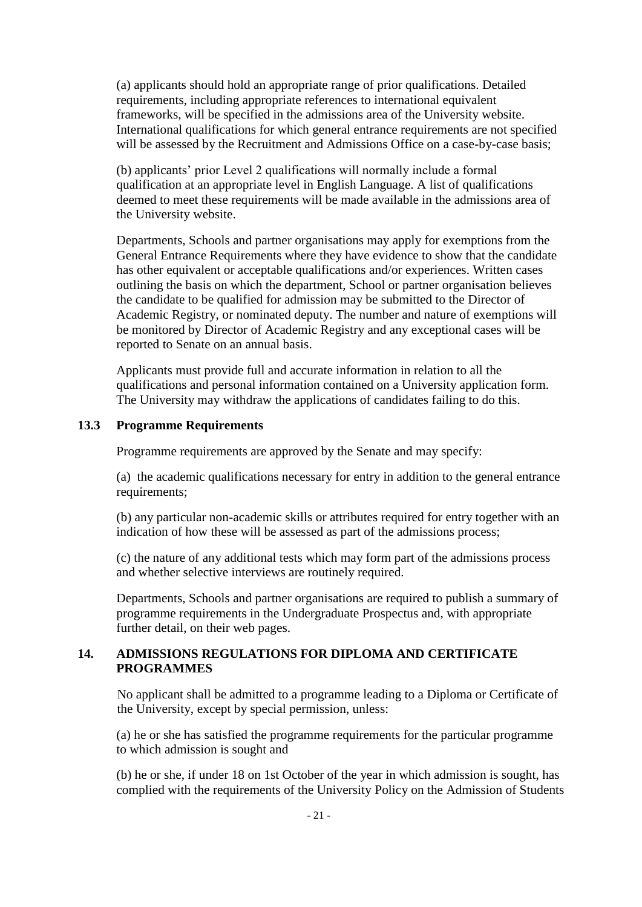(a) applicants should hold an appropriate range of prior qualifications. Detailed requirements, including appropriate references to international equivalent frameworks, will be specified in the admissions area of the University website. International qualifications for which general entrance requirements are not specified will be assessed by the Recruitment and Admissions Office on a case-by-case basis;

(b) applicants' prior Level 2 qualifications will normally include a formal qualification at an appropriate level in English Language. A list of qualifications deemed to meet these requirements will be made available in the admissions area of the University website.

Departments, Schools and partner organisations may apply for exemptions from the General Entrance Requirements where they have evidence to show that the candidate has other equivalent or acceptable qualifications and/or experiences. Written cases outlining the basis on which the department, School or partner organisation believes the candidate to be qualified for admission may be submitted to the Director of Academic Registry, or nominated deputy. The number and nature of exemptions will be monitored by Director of Academic Registry and any exceptional cases will be reported to Senate on an annual basis.

Applicants must provide full and accurate information in relation to all the qualifications and personal information contained on a University application form. The University may withdraw the applications of candidates failing to do this.

## **13.3 Programme Requirements**

Programme requirements are approved by the Senate and may specify:

(a) the academic qualifications necessary for entry in addition to the general entrance requirements;

(b) any particular non-academic skills or attributes required for entry together with an indication of how these will be assessed as part of the admissions process;

(c) the nature of any additional tests which may form part of the admissions process and whether selective interviews are routinely required.

Departments, Schools and partner organisations are required to publish a summary of programme requirements in the Undergraduate Prospectus and, with appropriate further detail, on their web pages.

## **14. ADMISSIONS REGULATIONS FOR DIPLOMA AND CERTIFICATE PROGRAMMES**

No applicant shall be admitted to a programme leading to a Diploma or Certificate of the University, except by special permission, unless:

(a) he or she has satisfied the programme requirements for the particular programme to which admission is sought and

(b) he or she, if under 18 on 1st October of the year in which admission is sought, has complied with the requirements of the University Policy on the Admission of Students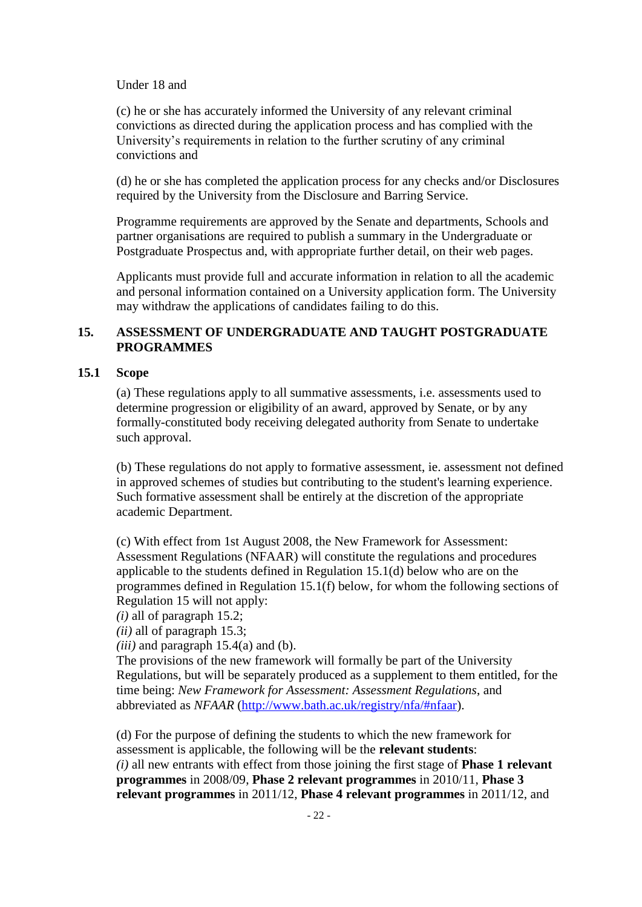Under 18 and

(c) he or she has accurately informed the University of any relevant criminal convictions as directed during the application process and has complied with the University's requirements in relation to the further scrutiny of any criminal convictions and

(d) he or she has completed the application process for any checks and/or Disclosures required by the University from the Disclosure and Barring Service.

Programme requirements are approved by the Senate and departments, Schools and partner organisations are required to publish a summary in the Undergraduate or Postgraduate Prospectus and, with appropriate further detail, on their web pages.

Applicants must provide full and accurate information in relation to all the academic and personal information contained on a University application form. The University may withdraw the applications of candidates failing to do this.

## **15. ASSESSMENT OF UNDERGRADUATE AND TAUGHT POSTGRADUATE PROGRAMMES**

## **15.1 Scope**

(a) These regulations apply to all summative assessments, i.e. assessments used to determine progression or eligibility of an award, approved by Senate, or by any formally-constituted body receiving delegated authority from Senate to undertake such approval.

(b) These regulations do not apply to formative assessment, ie. assessment not defined in approved schemes of studies but contributing to the student's learning experience. Such formative assessment shall be entirely at the discretion of the appropriate academic Department.

(c) With effect from 1st August 2008, the New Framework for Assessment: Assessment Regulations (NFAAR) will constitute the regulations and procedures applicable to the students defined in Regulation 15.1(d) below who are on the programmes defined in Regulation 15.1(f) below, for whom the following sections of Regulation 15 will not apply:

*(i)* all of paragraph 15.2;

*(ii)* all of paragraph 15.3;

*(iii)* and paragraph 15.4(a) and (b).

The provisions of the new framework will formally be part of the University Regulations, but will be separately produced as a supplement to them entitled, for the time being: *New Framework for Assessment: Assessment Regulations*, and abbreviated as *NFAAR* [\(http://www.bath.ac.uk/registry/nfa/#nfaar\)](http://www.bath.ac.uk/registry/nfa/#nfaar).

(d) For the purpose of defining the students to which the new framework for assessment is applicable, the following will be the **relevant students**: *(i)* all new entrants with effect from those joining the first stage of **Phase 1 relevant programmes** in 2008/09, **Phase 2 relevant programmes** in 2010/11, **Phase 3 relevant programmes** in 2011/12, **Phase 4 relevant programmes** in 2011/12, and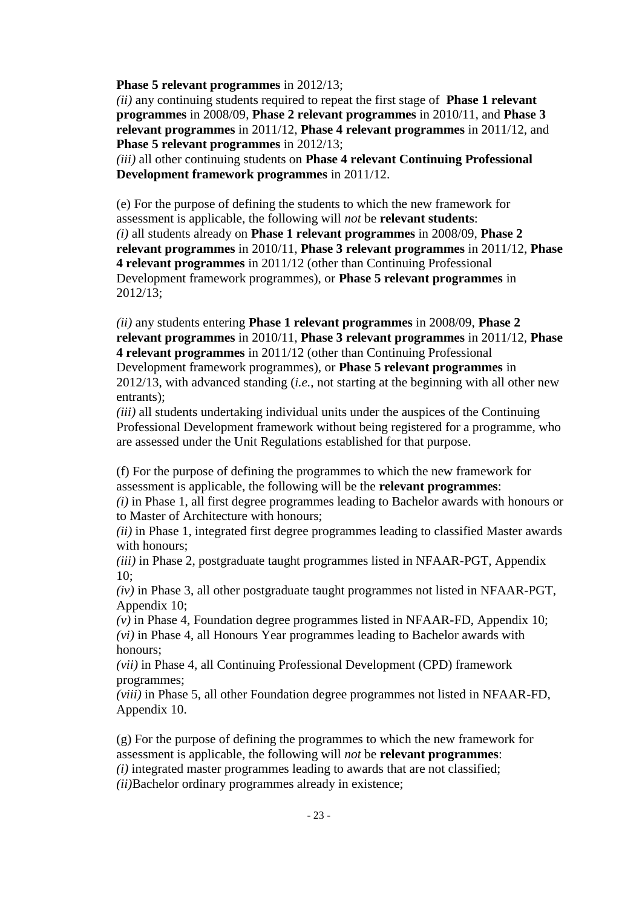**Phase 5 relevant programmes** in 2012/13;

*(ii)* any continuing students required to repeat the first stage of **Phase 1 relevant programmes** in 2008/09, **Phase 2 relevant programmes** in 2010/11, and **Phase 3 relevant programmes** in 2011/12, **Phase 4 relevant programmes** in 2011/12, and **Phase 5 relevant programmes** in 2012/13;

*(iii)* all other continuing students on **Phase 4 relevant Continuing Professional Development framework programmes** in 2011/12.

(e) For the purpose of defining the students to which the new framework for assessment is applicable, the following will *not* be **relevant students**: *(i)* all students already on **Phase 1 relevant programmes** in 2008/09, **Phase 2 relevant programmes** in 2010/11, **Phase 3 relevant programmes** in 2011/12, **Phase 4 relevant programmes** in 2011/12 (other than Continuing Professional Development framework programmes), or **Phase 5 relevant programmes** in 2012/13;

*(ii)* any students entering **Phase 1 relevant programmes** in 2008/09, **Phase 2 relevant programmes** in 2010/11, **Phase 3 relevant programmes** in 2011/12, **Phase 4 relevant programmes** in 2011/12 (other than Continuing Professional Development framework programmes), or **Phase 5 relevant programmes** in 2012/13, with advanced standing (*i.e.*, not starting at the beginning with all other new entrants);

*(iii)* all students undertaking individual units under the auspices of the Continuing Professional Development framework without being registered for a programme, who are assessed under the Unit Regulations established for that purpose.

(f) For the purpose of defining the programmes to which the new framework for assessment is applicable, the following will be the **relevant programmes**:

*(i)* in Phase 1, all first degree programmes leading to Bachelor awards with honours or to Master of Architecture with honours;

*(ii)* in Phase 1, integrated first degree programmes leading to classified Master awards with honours;

*(iii)* in Phase 2, postgraduate taught programmes listed in NFAAR-PGT, Appendix 10;

*(iv)* in Phase 3, all other postgraduate taught programmes not listed in NFAAR-PGT, Appendix 10;

*(v)* in Phase 4, Foundation degree programmes listed in NFAAR-FD, Appendix 10; *(vi)* in Phase 4, all Honours Year programmes leading to Bachelor awards with honours;

*(vii)* in Phase 4, all Continuing Professional Development (CPD) framework programmes;

*(viii)* in Phase 5, all other Foundation degree programmes not listed in NFAAR-FD, Appendix 10.

(g) For the purpose of defining the programmes to which the new framework for assessment is applicable, the following will *not* be **relevant programmes**: *(i)* integrated master programmes leading to awards that are not classified;

*(ii)*Bachelor ordinary programmes already in existence;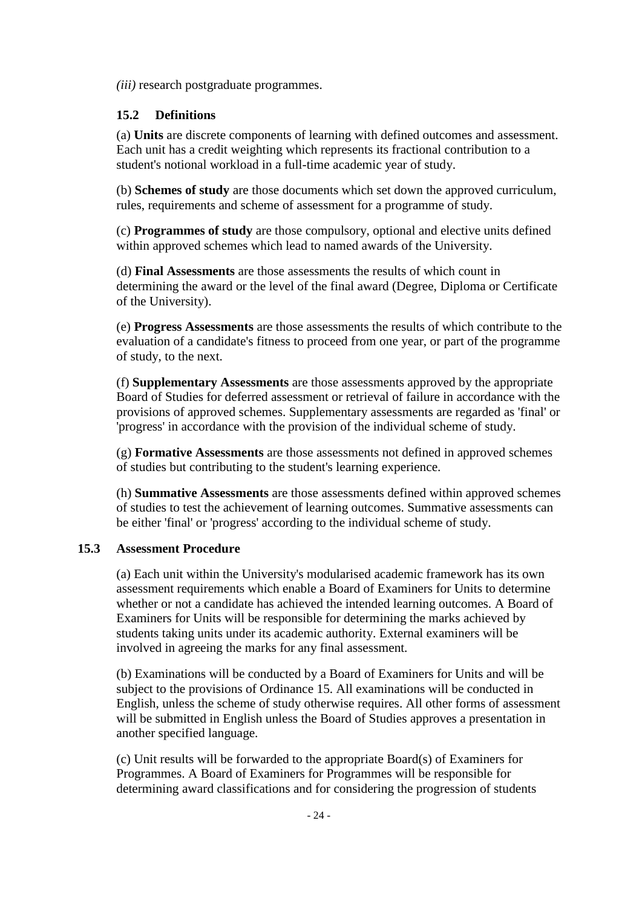*(iii)* research postgraduate programmes.

## **15.2 Definitions**

(a) **Units** are discrete components of learning with defined outcomes and assessment. Each unit has a credit weighting which represents its fractional contribution to a student's notional workload in a full-time academic year of study.

(b) **Schemes of study** are those documents which set down the approved curriculum, rules, requirements and scheme of assessment for a programme of study.

(c) **Programmes of study** are those compulsory, optional and elective units defined within approved schemes which lead to named awards of the University.

(d) **Final Assessments** are those assessments the results of which count in determining the award or the level of the final award (Degree, Diploma or Certificate of the University).

(e) **Progress Assessments** are those assessments the results of which contribute to the evaluation of a candidate's fitness to proceed from one year, or part of the programme of study, to the next.

(f) **Supplementary Assessments** are those assessments approved by the appropriate Board of Studies for deferred assessment or retrieval of failure in accordance with the provisions of approved schemes. Supplementary assessments are regarded as 'final' or 'progress' in accordance with the provision of the individual scheme of study.

(g) **Formative Assessments** are those assessments not defined in approved schemes of studies but contributing to the student's learning experience.

(h) **Summative Assessments** are those assessments defined within approved schemes of studies to test the achievement of learning outcomes. Summative assessments can be either 'final' or 'progress' according to the individual scheme of study.

### **15.3 Assessment Procedure**

(a) Each unit within the University's modularised academic framework has its own assessment requirements which enable a Board of Examiners for Units to determine whether or not a candidate has achieved the intended learning outcomes. A Board of Examiners for Units will be responsible for determining the marks achieved by students taking units under its academic authority. External examiners will be involved in agreeing the marks for any final assessment*.*

(b) Examinations will be conducted by a Board of Examiners for Units and will be subject to the provisions of Ordinance 15. All examinations will be conducted in English, unless the scheme of study otherwise requires. All other forms of assessment will be submitted in English unless the Board of Studies approves a presentation in another specified language.

(c) Unit results will be forwarded to the appropriate Board(s) of Examiners for Programmes. A Board of Examiners for Programmes will be responsible for determining award classifications and for considering the progression of students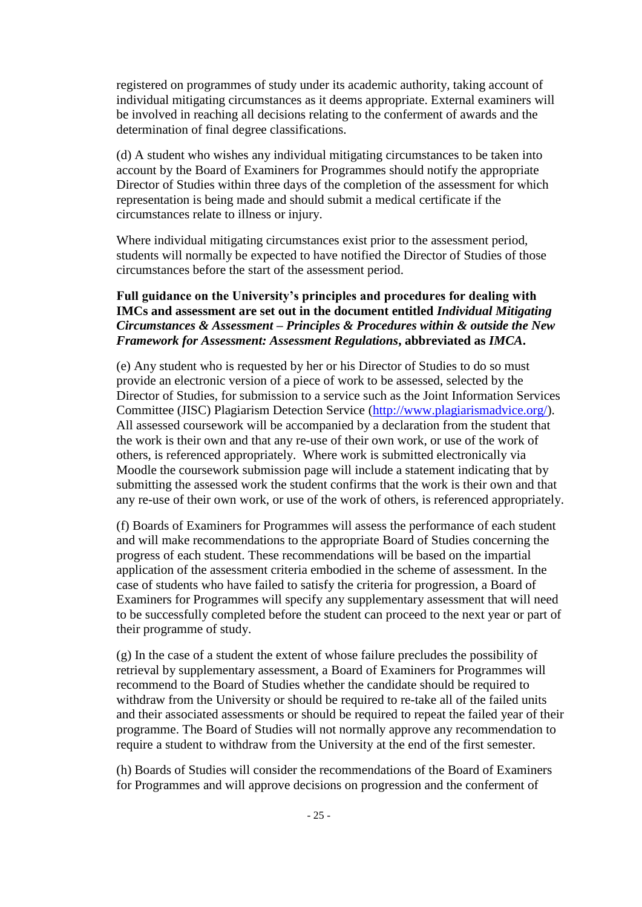registered on programmes of study under its academic authority, taking account of individual mitigating circumstances as it deems appropriate. External examiners will be involved in reaching all decisions relating to the conferment of awards and the determination of final degree classifications.

(d) A student who wishes any individual mitigating circumstances to be taken into account by the Board of Examiners for Programmes should notify the appropriate Director of Studies within three days of the completion of the assessment for which representation is being made and should submit a medical certificate if the circumstances relate to illness or injury.

Where individual mitigating circumstances exist prior to the assessment period, students will normally be expected to have notified the Director of Studies of those circumstances before the start of the assessment period.

## **Full guidance on the University's principles and procedures for dealing with IMCs and assessment are set out in the document entitled** *Individual Mitigating Circumstances & Assessment – Principles & Procedures within & outside the New Framework for Assessment: Assessment Regulations***, abbreviated as** *IMCA***.**

(e) Any student who is requested by her or his Director of Studies to do so must provide an electronic version of a piece of work to be assessed, selected by the Director of Studies, for submission to a service such as the Joint Information Services Committee (JISC) Plagiarism Detection Service [\(http://www.plagiarismadvice.org/\)](http://www.plagiarismadvice.org/). All assessed coursework will be accompanied by a declaration from the student that the work is their own and that any re-use of their own work, or use of the work of others, is referenced appropriately. Where work is submitted electronically via Moodle the coursework submission page will include a statement indicating that by submitting the assessed work the student confirms that the work is their own and that any re-use of their own work, or use of the work of others, is referenced appropriately.

(f) Boards of Examiners for Programmes will assess the performance of each student and will make recommendations to the appropriate Board of Studies concerning the progress of each student. These recommendations will be based on the impartial application of the assessment criteria embodied in the scheme of assessment. In the case of students who have failed to satisfy the criteria for progression, a Board of Examiners for Programmes will specify any supplementary assessment that will need to be successfully completed before the student can proceed to the next year or part of their programme of study.

(g) In the case of a student the extent of whose failure precludes the possibility of retrieval by supplementary assessment, a Board of Examiners for Programmes will recommend to the Board of Studies whether the candidate should be required to withdraw from the University or should be required to re-take all of the failed units and their associated assessments or should be required to repeat the failed year of their programme. The Board of Studies will not normally approve any recommendation to require a student to withdraw from the University at the end of the first semester.

(h) Boards of Studies will consider the recommendations of the Board of Examiners for Programmes and will approve decisions on progression and the conferment of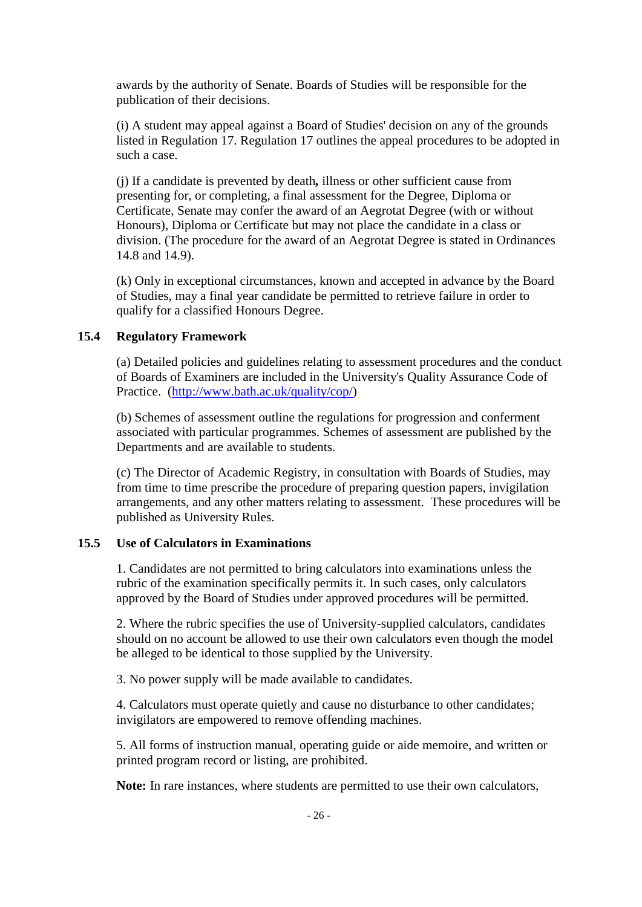awards by the authority of Senate. Boards of Studies will be responsible for the publication of their decisions.

(i) A student may appeal against a Board of Studies' decision on any of the grounds listed in Regulation 17. Regulation 17 outlines the appeal procedures to be adopted in such a case.

(j) If a candidate is prevented by death*,* illness or other sufficient cause from presenting for, or completing, a final assessment for the Degree, Diploma or Certificate, Senate may confer the award of an Aegrotat Degree (with or without Honours), Diploma or Certificate but may not place the candidate in a class or division. (The procedure for the award of an Aegrotat Degree is stated in Ordinances 14.8 and 14.9).

(k) Only in exceptional circumstances, known and accepted in advance by the Board of Studies, may a final year candidate be permitted to retrieve failure in order to qualify for a classified Honours Degree.

## **15.4 Regulatory Framework**

(a) Detailed policies and guidelines relating to assessment procedures and the conduct of Boards of Examiners are included in the University's Quality Assurance Code of Practice. [\(http://www.bath.ac.uk/quality/cop/\)](http://www.bath.ac.uk/quality/cop/)

(b) Schemes of assessment outline the regulations for progression and conferment associated with particular programmes. Schemes of assessment are published by the Departments and are available to students.

(c) The Director of Academic Registry, in consultation with Boards of Studies, may from time to time prescribe the procedure of preparing question papers, invigilation arrangements, and any other matters relating to assessment. These procedures will be published as University Rules.

### **15.5 Use of Calculators in Examinations**

1. Candidates are not permitted to bring calculators into examinations unless the rubric of the examination specifically permits it. In such cases, only calculators approved by the Board of Studies under approved procedures will be permitted.

2. Where the rubric specifies the use of University-supplied calculators, candidates should on no account be allowed to use their own calculators even though the model be alleged to be identical to those supplied by the University.

3. No power supply will be made available to candidates.

4. Calculators must operate quietly and cause no disturbance to other candidates; invigilators are empowered to remove offending machines.

5. All forms of instruction manual, operating guide or aide memoire, and written or printed program record or listing, are prohibited.

**Note:** In rare instances, where students are permitted to use their own calculators,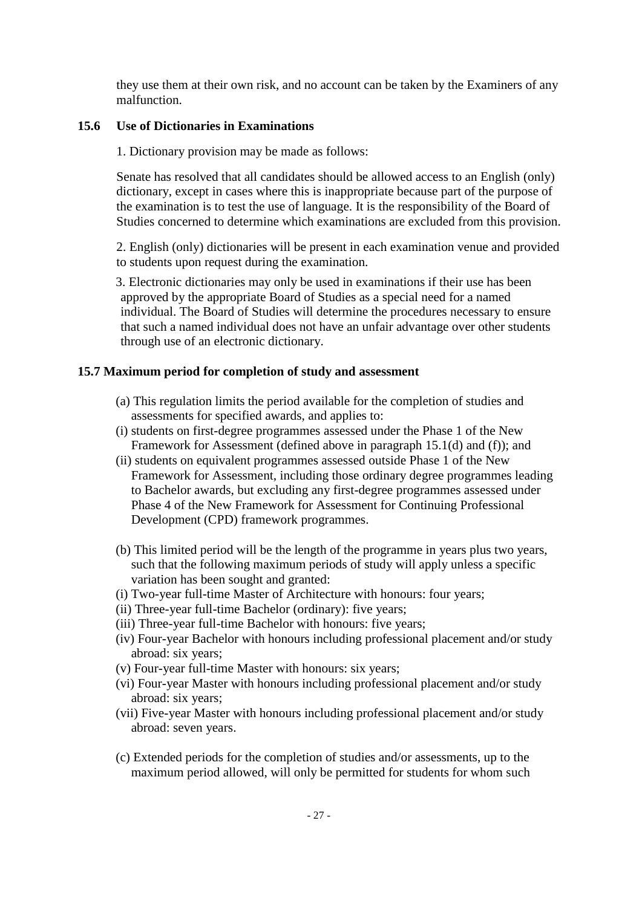they use them at their own risk, and no account can be taken by the Examiners of any malfunction.

## **15.6 Use of Dictionaries in Examinations**

1. Dictionary provision may be made as follows:

Senate has resolved that all candidates should be allowed access to an English (only) dictionary, except in cases where this is inappropriate because part of the purpose of the examination is to test the use of language. It is the responsibility of the Board of Studies concerned to determine which examinations are excluded from this provision.

2. English (only) dictionaries will be present in each examination venue and provided to students upon request during the examination.

3. Electronic dictionaries may only be used in examinations if their use has been approved by the appropriate Board of Studies as a special need for a named individual. The Board of Studies will determine the procedures necessary to ensure that such a named individual does not have an unfair advantage over other students through use of an electronic dictionary.

## **15.7 Maximum period for completion of study and assessment**

- (a) This regulation limits the period available for the completion of studies and assessments for specified awards, and applies to:
- (i) students on first-degree programmes assessed under the Phase 1 of the New Framework for Assessment (defined above in paragraph 15.1(d) and (f)); and
- (ii) students on equivalent programmes assessed outside Phase 1 of the New Framework for Assessment, including those ordinary degree programmes leading to Bachelor awards, but excluding any first-degree programmes assessed under Phase 4 of the New Framework for Assessment for Continuing Professional Development (CPD) framework programmes.
- (b) This limited period will be the length of the programme in years plus two years, such that the following maximum periods of study will apply unless a specific variation has been sought and granted:
- (i) Two-year full-time Master of Architecture with honours: four years;
- (ii) Three-year full-time Bachelor (ordinary): five years;
- (iii) Three-year full-time Bachelor with honours: five years;
- (iv) Four-year Bachelor with honours including professional placement and/or study abroad: six years;
- (v) Four-year full-time Master with honours: six years;
- (vi) Four-year Master with honours including professional placement and/or study abroad: six years;
- (vii) Five-year Master with honours including professional placement and/or study abroad: seven years.
- (c) Extended periods for the completion of studies and/or assessments, up to the maximum period allowed, will only be permitted for students for whom such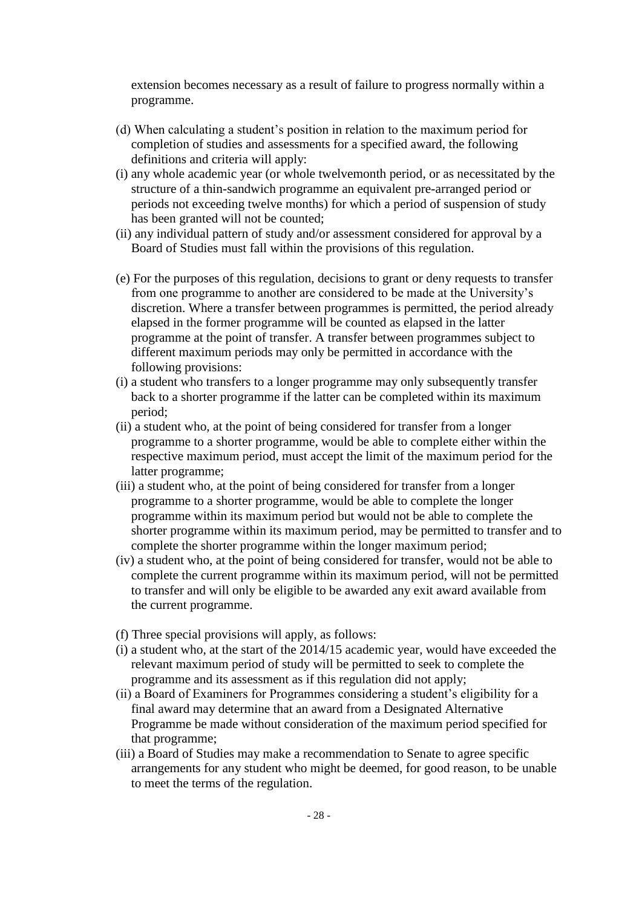extension becomes necessary as a result of failure to progress normally within a programme.

- (d) When calculating a student's position in relation to the maximum period for completion of studies and assessments for a specified award, the following definitions and criteria will apply:
- (i) any whole academic year (or whole twelvemonth period, or as necessitated by the structure of a thin-sandwich programme an equivalent pre-arranged period or periods not exceeding twelve months) for which a period of suspension of study has been granted will not be counted;
- (ii) any individual pattern of study and/or assessment considered for approval by a Board of Studies must fall within the provisions of this regulation.
- (e) For the purposes of this regulation, decisions to grant or deny requests to transfer from one programme to another are considered to be made at the University's discretion. Where a transfer between programmes is permitted, the period already elapsed in the former programme will be counted as elapsed in the latter programme at the point of transfer. A transfer between programmes subject to different maximum periods may only be permitted in accordance with the following provisions:
- (i) a student who transfers to a longer programme may only subsequently transfer back to a shorter programme if the latter can be completed within its maximum period;
- (ii) a student who, at the point of being considered for transfer from a longer programme to a shorter programme, would be able to complete either within the respective maximum period, must accept the limit of the maximum period for the latter programme;
- (iii) a student who, at the point of being considered for transfer from a longer programme to a shorter programme, would be able to complete the longer programme within its maximum period but would not be able to complete the shorter programme within its maximum period, may be permitted to transfer and to complete the shorter programme within the longer maximum period;
- (iv) a student who, at the point of being considered for transfer, would not be able to complete the current programme within its maximum period, will not be permitted to transfer and will only be eligible to be awarded any exit award available from the current programme.
- (f) Three special provisions will apply, as follows:
- (i) a student who, at the start of the 2014/15 academic year, would have exceeded the relevant maximum period of study will be permitted to seek to complete the programme and its assessment as if this regulation did not apply;
- (ii) a Board of Examiners for Programmes considering a student's eligibility for a final award may determine that an award from a Designated Alternative Programme be made without consideration of the maximum period specified for that programme;
- (iii) a Board of Studies may make a recommendation to Senate to agree specific arrangements for any student who might be deemed, for good reason, to be unable to meet the terms of the regulation.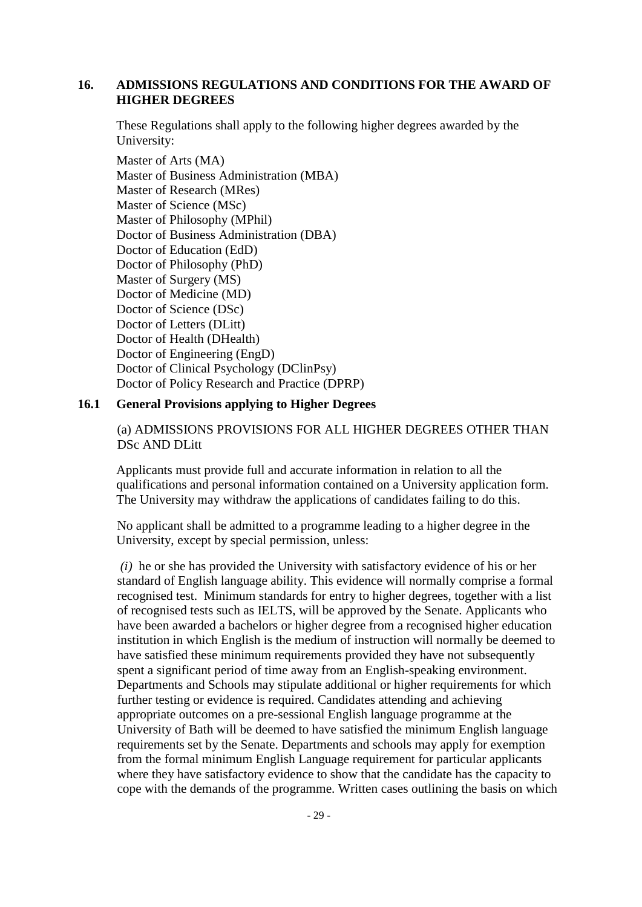### **16. ADMISSIONS REGULATIONS AND CONDITIONS FOR THE AWARD OF HIGHER DEGREES**

These Regulations shall apply to the following higher degrees awarded by the University:

Master of Arts (MA) Master of Business Administration (MBA) Master of Research (MRes) Master of Science (MSc) Master of Philosophy (MPhil) Doctor of Business Administration (DBA) Doctor of Education (EdD) Doctor of Philosophy (PhD) Master of Surgery (MS) Doctor of Medicine (MD) Doctor of Science (DSc) Doctor of Letters (DLitt) Doctor of Health (DHealth) Doctor of Engineering (EngD) Doctor of Clinical Psychology (DClinPsy) Doctor of Policy Research and Practice (DPRP)

### **16.1 General Provisions applying to Higher Degrees**

(a) ADMISSIONS PROVISIONS FOR ALL HIGHER DEGREES OTHER THAN DSc AND DLitt

Applicants must provide full and accurate information in relation to all the qualifications and personal information contained on a University application form. The University may withdraw the applications of candidates failing to do this.

No applicant shall be admitted to a programme leading to a higher degree in the University, except by special permission, unless:

*(i)* he or she has provided the University with satisfactory evidence of his or her standard of English language ability. This evidence will normally comprise a formal recognised test. Minimum standards for entry to higher degrees, together with a list of recognised tests such as IELTS, will be approved by the Senate. Applicants who have been awarded a bachelors or higher degree from a recognised higher education institution in which English is the medium of instruction will normally be deemed to have satisfied these minimum requirements provided they have not subsequently spent a significant period of time away from an English-speaking environment. Departments and Schools may stipulate additional or higher requirements for which further testing or evidence is required. Candidates attending and achieving appropriate outcomes on a pre-sessional English language programme at the University of Bath will be deemed to have satisfied the minimum English language requirements set by the Senate. Departments and schools may apply for exemption from the formal minimum English Language requirement for particular applicants where they have satisfactory evidence to show that the candidate has the capacity to cope with the demands of the programme. Written cases outlining the basis on which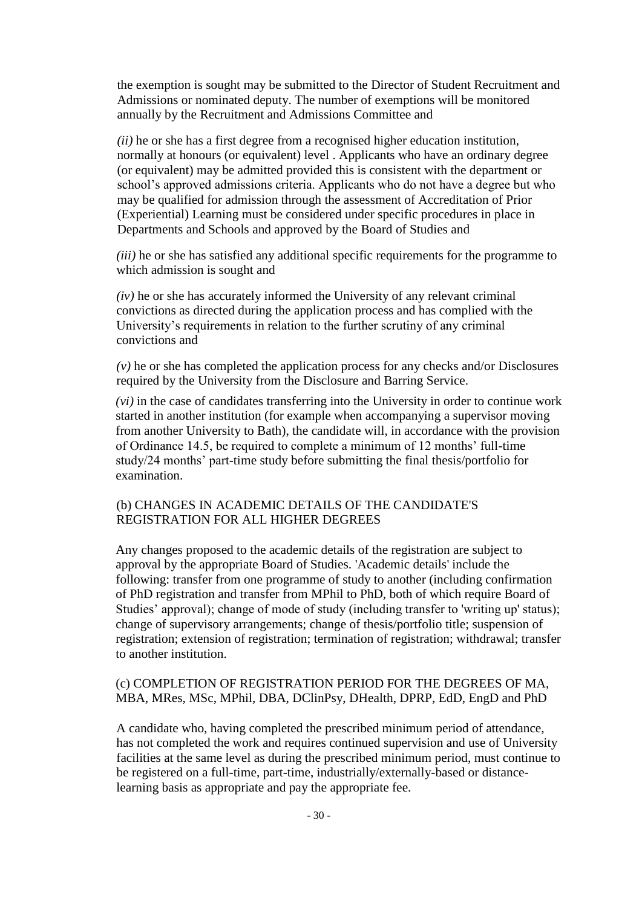the exemption is sought may be submitted to the Director of Student Recruitment and Admissions or nominated deputy. The number of exemptions will be monitored annually by the Recruitment and Admissions Committee and

*(ii)* he or she has a first degree from a recognised higher education institution, normally at honours (or equivalent) level . Applicants who have an ordinary degree (or equivalent) may be admitted provided this is consistent with the department or school's approved admissions criteria. Applicants who do not have a degree but who may be qualified for admission through the assessment of Accreditation of Prior (Experiential) Learning must be considered under specific procedures in place in Departments and Schools and approved by the Board of Studies and

*(iii)* he or she has satisfied any additional specific requirements for the programme to which admission is sought and

*(iv)* he or she has accurately informed the University of any relevant criminal convictions as directed during the application process and has complied with the University's requirements in relation to the further scrutiny of any criminal convictions and

*(v)* he or she has completed the application process for any checks and/or Disclosures required by the University from the Disclosure and Barring Service.

*(vi)* in the case of candidates transferring into the University in order to continue work started in another institution (for example when accompanying a supervisor moving from another University to Bath), the candidate will, in accordance with the provision of Ordinance 14.5, be required to complete a minimum of 12 months' full-time study/24 months' part-time study before submitting the final thesis/portfolio for examination.

## (b) CHANGES IN ACADEMIC DETAILS OF THE CANDIDATE'S REGISTRATION FOR ALL HIGHER DEGREES

Any changes proposed to the academic details of the registration are subject to approval by the appropriate Board of Studies. 'Academic details' include the following: transfer from one programme of study to another (including confirmation of PhD registration and transfer from MPhil to PhD, both of which require Board of Studies' approval); change of mode of study (including transfer to 'writing up' status); change of supervisory arrangements; change of thesis/portfolio title; suspension of registration; extension of registration; termination of registration; withdrawal; transfer to another institution.

### (c) COMPLETION OF REGISTRATION PERIOD FOR THE DEGREES OF MA, MBA, MRes, MSc, MPhil, DBA, DClinPsy, DHealth, DPRP, EdD, EngD and PhD

A candidate who, having completed the prescribed minimum period of attendance, has not completed the work and requires continued supervision and use of University facilities at the same level as during the prescribed minimum period, must continue to be registered on a full-time, part-time, industrially/externally-based or distancelearning basis as appropriate and pay the appropriate fee.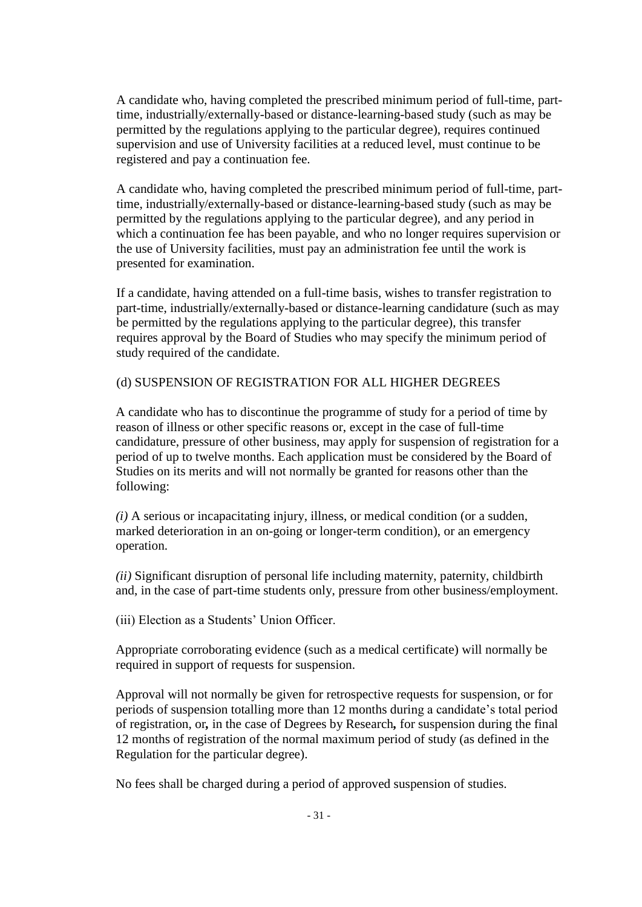A candidate who, having completed the prescribed minimum period of full-time, parttime, industrially/externally-based or distance-learning-based study (such as may be permitted by the regulations applying to the particular degree), requires continued supervision and use of University facilities at a reduced level, must continue to be registered and pay a continuation fee.

A candidate who, having completed the prescribed minimum period of full-time, parttime, industrially/externally-based or distance-learning-based study (such as may be permitted by the regulations applying to the particular degree), and any period in which a continuation fee has been payable, and who no longer requires supervision or the use of University facilities, must pay an administration fee until the work is presented for examination.

If a candidate, having attended on a full-time basis, wishes to transfer registration to part-time, industrially/externally-based or distance-learning candidature (such as may be permitted by the regulations applying to the particular degree), this transfer requires approval by the Board of Studies who may specify the minimum period of study required of the candidate.

## (d) SUSPENSION OF REGISTRATION FOR ALL HIGHER DEGREES

A candidate who has to discontinue the programme of study for a period of time by reason of illness or other specific reasons or, except in the case of full-time candidature, pressure of other business, may apply for suspension of registration for a period of up to twelve months. Each application must be considered by the Board of Studies on its merits and will not normally be granted for reasons other than the following:

*(i)* A serious or incapacitating injury, illness, or medical condition (or a sudden, marked deterioration in an on-going or longer-term condition), or an emergency operation.

*(ii)* Significant disruption of personal life including maternity, paternity, childbirth and, in the case of part-time students only, pressure from other business/employment.

(iii) Election as a Students' Union Officer.

Appropriate corroborating evidence (such as a medical certificate) will normally be required in support of requests for suspension.

Approval will not normally be given for retrospective requests for suspension, or for periods of suspension totalling more than 12 months during a candidate's total period of registration, or*,* in the case of Degrees by Research*,* for suspension during the final 12 months of registration of the normal maximum period of study (as defined in the Regulation for the particular degree).

No fees shall be charged during a period of approved suspension of studies.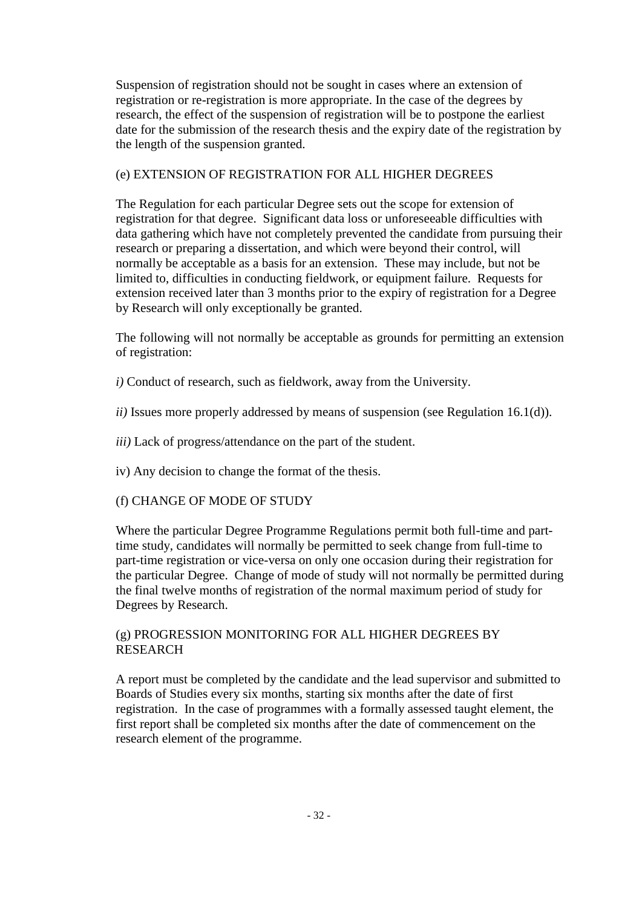Suspension of registration should not be sought in cases where an extension of registration or re-registration is more appropriate. In the case of the degrees by research, the effect of the suspension of registration will be to postpone the earliest date for the submission of the research thesis and the expiry date of the registration by the length of the suspension granted.

# (e) EXTENSION OF REGISTRATION FOR ALL HIGHER DEGREES

The Regulation for each particular Degree sets out the scope for extension of registration for that degree. Significant data loss or unforeseeable difficulties with data gathering which have not completely prevented the candidate from pursuing their research or preparing a dissertation, and which were beyond their control, will normally be acceptable as a basis for an extension. These may include, but not be limited to, difficulties in conducting fieldwork, or equipment failure. Requests for extension received later than 3 months prior to the expiry of registration for a Degree by Research will only exceptionally be granted.

The following will not normally be acceptable as grounds for permitting an extension of registration:

- *i)* Conduct of research, such as fieldwork, away from the University.
- *ii)* Issues more properly addressed by means of suspension (see Regulation 16.1(d)).
- *iii)* Lack of progress/attendance on the part of the student.
- iv) Any decision to change the format of the thesis.

# (f) CHANGE OF MODE OF STUDY

Where the particular Degree Programme Regulations permit both full-time and parttime study, candidates will normally be permitted to seek change from full-time to part-time registration or vice-versa on only one occasion during their registration for the particular Degree. Change of mode of study will not normally be permitted during the final twelve months of registration of the normal maximum period of study for Degrees by Research.

# (g) PROGRESSION MONITORING FOR ALL HIGHER DEGREES BY RESEARCH

A report must be completed by the candidate and the lead supervisor and submitted to Boards of Studies every six months, starting six months after the date of first registration. In the case of programmes with a formally assessed taught element, the first report shall be completed six months after the date of commencement on the research element of the programme.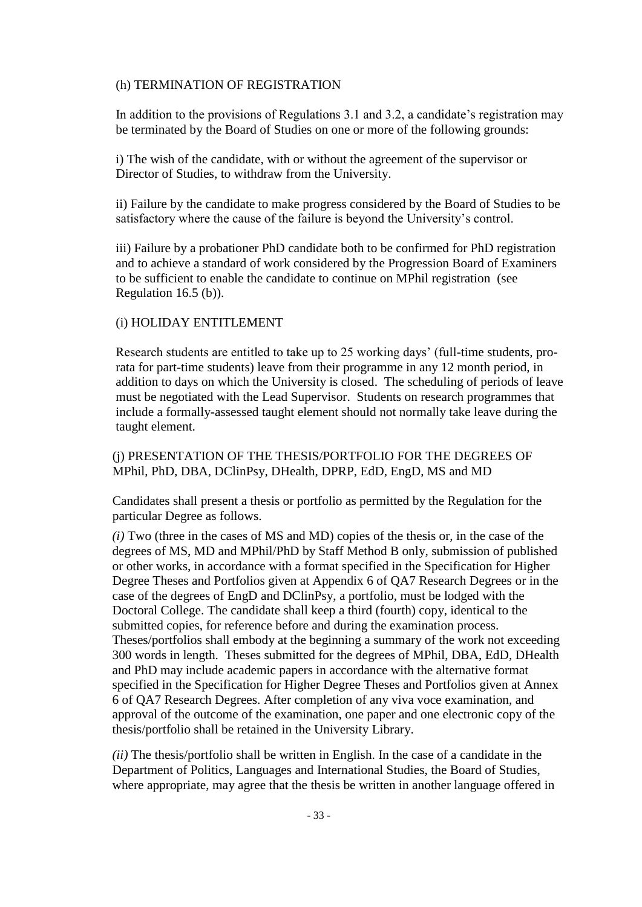#### (h) TERMINATION OF REGISTRATION

In addition to the provisions of Regulations 3.1 and 3.2, a candidate's registration may be terminated by the Board of Studies on one or more of the following grounds:

i) The wish of the candidate, with or without the agreement of the supervisor or Director of Studies, to withdraw from the University.

ii) Failure by the candidate to make progress considered by the Board of Studies to be satisfactory where the cause of the failure is beyond the University's control.

iii) Failure by a probationer PhD candidate both to be confirmed for PhD registration and to achieve a standard of work considered by the Progression Board of Examiners to be sufficient to enable the candidate to continue on MPhil registration (see Regulation 16.5 (b)).

### (i) HOLIDAY ENTITLEMENT

Research students are entitled to take up to 25 working days' (full-time students, prorata for part-time students) leave from their programme in any 12 month period, in addition to days on which the University is closed. The scheduling of periods of leave must be negotiated with the Lead Supervisor. Students on research programmes that include a formally-assessed taught element should not normally take leave during the taught element.

## (j) PRESENTATION OF THE THESIS/PORTFOLIO FOR THE DEGREES OF MPhil, PhD, DBA, DClinPsy, DHealth, DPRP, EdD, EngD, MS and MD

Candidates shall present a thesis or portfolio as permitted by the Regulation for the particular Degree as follows.

*(i)* Two (three in the cases of MS and MD) copies of the thesis or, in the case of the degrees of MS, MD and MPhil/PhD by Staff Method B only, submission of published or other works, in accordance with a format specified in the Specification for Higher Degree Theses and Portfolios given at Appendix 6 of QA7 Research Degrees or in the case of the degrees of EngD and DClinPsy, a portfolio, must be lodged with the Doctoral College. The candidate shall keep a third (fourth) copy, identical to the submitted copies, for reference before and during the examination process. Theses/portfolios shall embody at the beginning a summary of the work not exceeding 300 words in length. Theses submitted for the degrees of MPhil, DBA, EdD, DHealth and PhD may include academic papers in accordance with the alternative format specified in the Specification for Higher Degree Theses and Portfolios given at Annex 6 of QA7 Research Degrees. After completion of any viva voce examination, and approval of the outcome of the examination, one paper and one electronic copy of the thesis/portfolio shall be retained in the University Library.

*(ii)* The thesis/portfolio shall be written in English. In the case of a candidate in the Department of Politics, Languages and International Studies, the Board of Studies, where appropriate, may agree that the thesis be written in another language offered in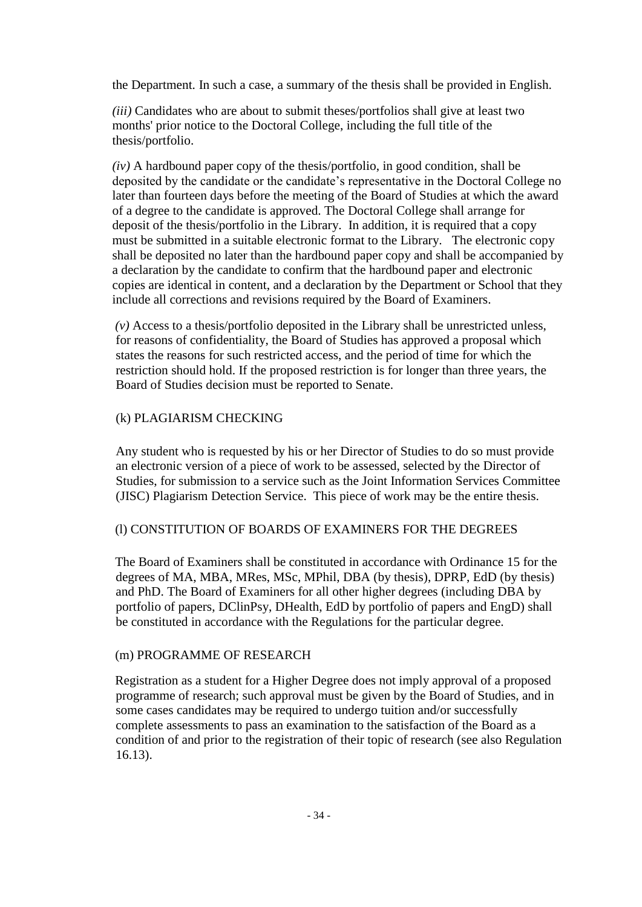the Department. In such a case, a summary of the thesis shall be provided in English.

*(iii)* Candidates who are about to submit theses/portfolios shall give at least two months' prior notice to the Doctoral College, including the full title of the thesis/portfolio.

*(iv)* A hardbound paper copy of the thesis/portfolio, in good condition, shall be deposited by the candidate or the candidate's representative in the Doctoral College no later than fourteen days before the meeting of the Board of Studies at which the award of a degree to the candidate is approved. The Doctoral College shall arrange for deposit of the thesis/portfolio in the Library. In addition, it is required that a copy must be submitted in a suitable electronic format to the Library. The electronic copy shall be deposited no later than the hardbound paper copy and shall be accompanied by a declaration by the candidate to confirm that the hardbound paper and electronic copies are identical in content, and a declaration by the Department or School that they include all corrections and revisions required by the Board of Examiners.

*(v)* Access to a thesis/portfolio deposited in the Library shall be unrestricted unless, for reasons of confidentiality, the Board of Studies has approved a proposal which states the reasons for such restricted access, and the period of time for which the restriction should hold. If the proposed restriction is for longer than three years, the Board of Studies decision must be reported to Senate.

## (k) PLAGIARISM CHECKING

Any student who is requested by his or her Director of Studies to do so must provide an electronic version of a piece of work to be assessed, selected by the Director of Studies, for submission to a service such as the Joint Information Services Committee (JISC) Plagiarism Detection Service. This piece of work may be the entire thesis.

### (l) CONSTITUTION OF BOARDS OF EXAMINERS FOR THE DEGREES

The Board of Examiners shall be constituted in accordance with Ordinance 15 for the degrees of MA, MBA, MRes, MSc, MPhil, DBA (by thesis), DPRP, EdD (by thesis) and PhD. The Board of Examiners for all other higher degrees (including DBA by portfolio of papers, DClinPsy, DHealth, EdD by portfolio of papers and EngD) shall be constituted in accordance with the Regulations for the particular degree.

### (m) PROGRAMME OF RESEARCH

Registration as a student for a Higher Degree does not imply approval of a proposed programme of research; such approval must be given by the Board of Studies, and in some cases candidates may be required to undergo tuition and/or successfully complete assessments to pass an examination to the satisfaction of the Board as a condition of and prior to the registration of their topic of research (see also Regulation 16.13).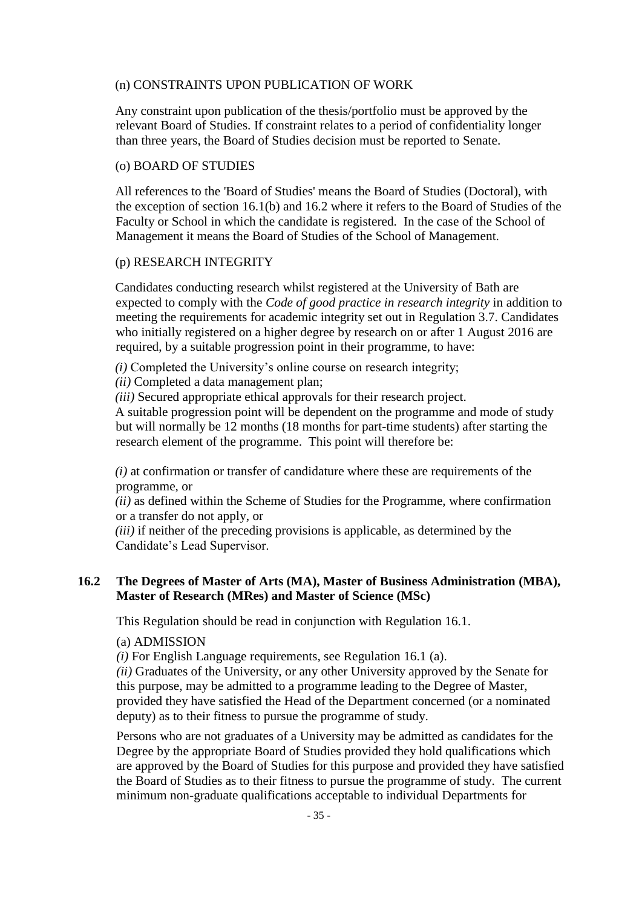### (n) CONSTRAINTS UPON PUBLICATION OF WORK

Any constraint upon publication of the thesis/portfolio must be approved by the relevant Board of Studies. If constraint relates to a period of confidentiality longer than three years, the Board of Studies decision must be reported to Senate.

#### (o) BOARD OF STUDIES

All references to the 'Board of Studies' means the Board of Studies (Doctoral), with the exception of section 16.1(b) and 16.2 where it refers to the Board of Studies of the Faculty or School in which the candidate is registered. In the case of the School of Management it means the Board of Studies of the School of Management.

### (p) RESEARCH INTEGRITY

Candidates conducting research whilst registered at the University of Bath are expected to comply with the *Code of good practice in research integrity* in addition to meeting the requirements for academic integrity set out in Regulation 3.7. Candidates who initially registered on a higher degree by research on or after 1 August 2016 are required, by a suitable progression point in their programme, to have:

*(i)* Completed the University's online course on research integrity;

*(ii)* Completed a data management plan;

*(iii)* Secured appropriate ethical approvals for their research project.

A suitable progression point will be dependent on the programme and mode of study but will normally be 12 months (18 months for part-time students) after starting the research element of the programme. This point will therefore be:

*(i)* at confirmation or transfer of candidature where these are requirements of the programme, or

*(ii)* as defined within the Scheme of Studies for the Programme, where confirmation or a transfer do not apply, or

*(iii)* if neither of the preceding provisions is applicable, as determined by the Candidate's Lead Supervisor.

## **16.2 The Degrees of Master of Arts (MA), Master of Business Administration (MBA), Master of Research (MRes) and Master of Science (MSc)**

This Regulation should be read in conjunction with Regulation 16.1.

#### (a) ADMISSION

*(i)* For English Language requirements, see Regulation 16.1 (a).

*(ii)* Graduates of the University, or any other University approved by the Senate for this purpose, may be admitted to a programme leading to the Degree of Master, provided they have satisfied the Head of the Department concerned (or a nominated deputy) as to their fitness to pursue the programme of study.

Persons who are not graduates of a University may be admitted as candidates for the Degree by the appropriate Board of Studies provided they hold qualifications which are approved by the Board of Studies for this purpose and provided they have satisfied the Board of Studies as to their fitness to pursue the programme of study. The current minimum non-graduate qualifications acceptable to individual Departments for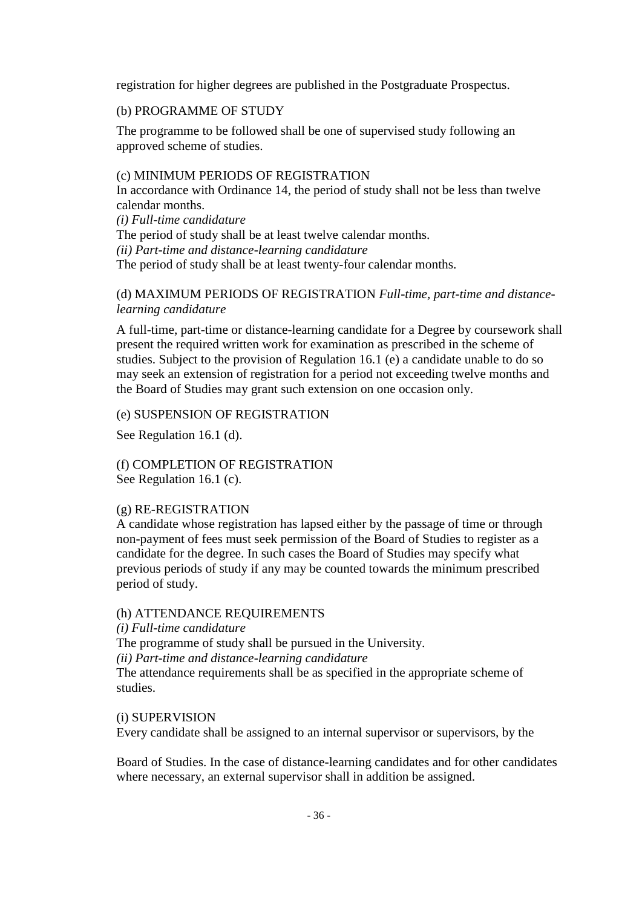registration for higher degrees are published in the Postgraduate Prospectus.

### (b) PROGRAMME OF STUDY

The programme to be followed shall be one of supervised study following an approved scheme of studies.

## (c) MINIMUM PERIODS OF REGISTRATION

In accordance with Ordinance 14, the period of study shall not be less than twelve calendar months.

*(i) Full-time candidature* The period of study shall be at least twelve calendar months. *(ii) Part-time and distance-learning candidature* The period of study shall be at least twenty-four calendar months.

## (d) MAXIMUM PERIODS OF REGISTRATION *Full-time, part-time and distancelearning candidature*

A full-time, part-time or distance-learning candidate for a Degree by coursework shall present the required written work for examination as prescribed in the scheme of studies. Subject to the provision of Regulation 16.1 (e) a candidate unable to do so may seek an extension of registration for a period not exceeding twelve months and the Board of Studies may grant such extension on one occasion only.

### (e) SUSPENSION OF REGISTRATION

See Regulation 16.1 (d).

(f) COMPLETION OF REGISTRATION See Regulation 16.1 (c).

### (g) RE-REGISTRATION

A candidate whose registration has lapsed either by the passage of time or through non-payment of fees must seek permission of the Board of Studies to register as a candidate for the degree. In such cases the Board of Studies may specify what previous periods of study if any may be counted towards the minimum prescribed period of study.

### (h) ATTENDANCE REQUIREMENTS

*(i) Full-time candidature* The programme of study shall be pursued in the University. *(ii) Part-time and distance-learning candidature* The attendance requirements shall be as specified in the appropriate scheme of studies.

### (i) SUPERVISION

Every candidate shall be assigned to an internal supervisor or supervisors, by the

Board of Studies. In the case of distance-learning candidates and for other candidates where necessary, an external supervisor shall in addition be assigned.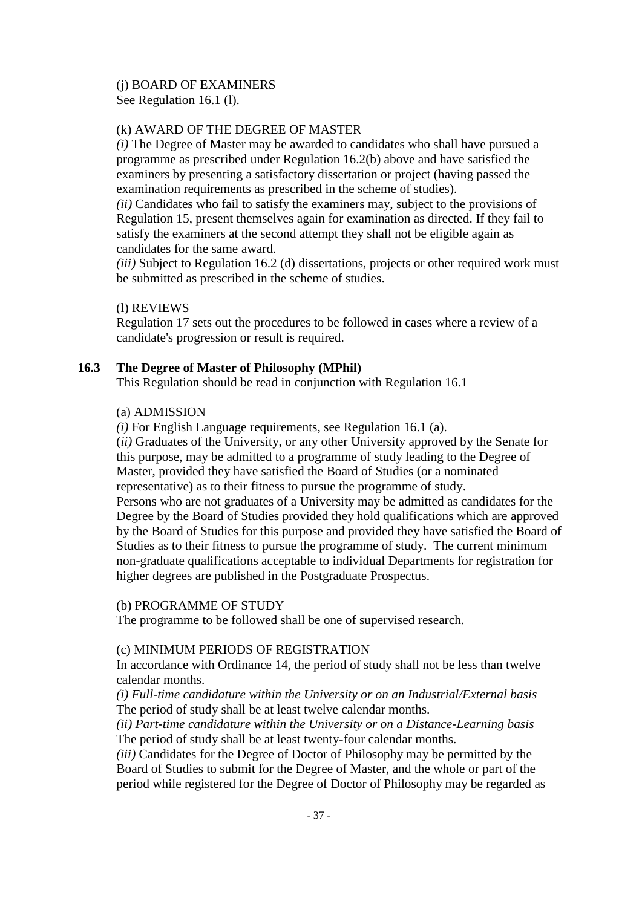# (j) BOARD OF EXAMINERS

See Regulation 16.1 (l).

# (k) AWARD OF THE DEGREE OF MASTER

*(i)* The Degree of Master may be awarded to candidates who shall have pursued a programme as prescribed under Regulation 16.2(b) above and have satisfied the examiners by presenting a satisfactory dissertation or project (having passed the examination requirements as prescribed in the scheme of studies).

*(ii)* Candidates who fail to satisfy the examiners may, subject to the provisions of Regulation 15, present themselves again for examination as directed. If they fail to satisfy the examiners at the second attempt they shall not be eligible again as candidates for the same award.

*(iii)* Subject to Regulation 16.2 (d) dissertations, projects or other required work must be submitted as prescribed in the scheme of studies.

# (l) REVIEWS

Regulation 17 sets out the procedures to be followed in cases where a review of a candidate's progression or result is required.

# **16.3 The Degree of Master of Philosophy (MPhil)**

This Regulation should be read in conjunction with Regulation 16.1

## (a) ADMISSION

*(i)* For English Language requirements, see Regulation 16.1 (a).

(*ii)* Graduates of the University, or any other University approved by the Senate for this purpose, may be admitted to a programme of study leading to the Degree of Master, provided they have satisfied the Board of Studies (or a nominated representative) as to their fitness to pursue the programme of study. Persons who are not graduates of a University may be admitted as candidates for the Degree by the Board of Studies provided they hold qualifications which are approved by the Board of Studies for this purpose and provided they have satisfied the Board of Studies as to their fitness to pursue the programme of study. The current minimum non-graduate qualifications acceptable to individual Departments for registration for higher degrees are published in the Postgraduate Prospectus.

## (b) PROGRAMME OF STUDY

The programme to be followed shall be one of supervised research.

# (c) MINIMUM PERIODS OF REGISTRATION

In accordance with Ordinance 14, the period of study shall not be less than twelve calendar months.

*(i) Full-time candidature within the University or on an Industrial/External basis* The period of study shall be at least twelve calendar months.

*(ii) Part-time candidature within the University or on a Distance-Learning basis* The period of study shall be at least twenty-four calendar months.

*(iii)* Candidates for the Degree of Doctor of Philosophy may be permitted by the Board of Studies to submit for the Degree of Master, and the whole or part of the period while registered for the Degree of Doctor of Philosophy may be regarded as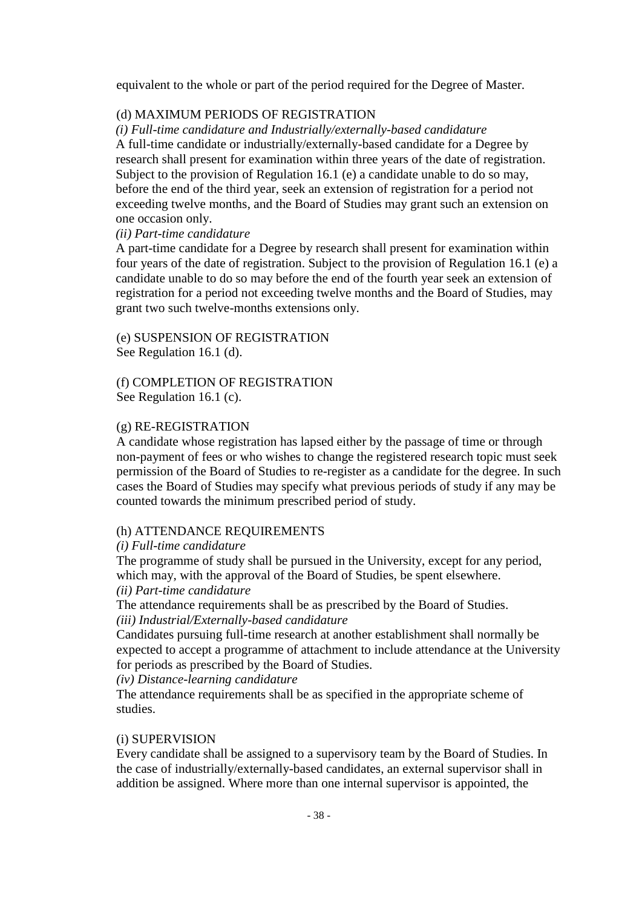equivalent to the whole or part of the period required for the Degree of Master.

## (d) MAXIMUM PERIODS OF REGISTRATION

*(i) Full-time candidature and Industrially/externally-based candidature*  A full-time candidate or industrially/externally-based candidate for a Degree by research shall present for examination within three years of the date of registration. Subject to the provision of Regulation 16.1 (e) a candidate unable to do so may, before the end of the third year, seek an extension of registration for a period not exceeding twelve months, and the Board of Studies may grant such an extension on one occasion only.

## *(ii) Part-time candidature*

A part-time candidate for a Degree by research shall present for examination within four years of the date of registration. Subject to the provision of Regulation 16.1 (e) a candidate unable to do so may before the end of the fourth year seek an extension of registration for a period not exceeding twelve months and the Board of Studies, may grant two such twelve-months extensions only.

(e) SUSPENSION OF REGISTRATION See Regulation 16.1 (d).

(f) COMPLETION OF REGISTRATION See Regulation 16.1 (c).

## (g) RE-REGISTRATION

A candidate whose registration has lapsed either by the passage of time or through non-payment of fees or who wishes to change the registered research topic must seek permission of the Board of Studies to re-register as a candidate for the degree. In such cases the Board of Studies may specify what previous periods of study if any may be counted towards the minimum prescribed period of study.

## (h) ATTENDANCE REQUIREMENTS

#### *(i) Full-time candidature*

The programme of study shall be pursued in the University, except for any period, which may, with the approval of the Board of Studies, be spent elsewhere. *(ii) Part-time candidature*

The attendance requirements shall be as prescribed by the Board of Studies. *(iii) Industrial/Externally-based candidature*

Candidates pursuing full-time research at another establishment shall normally be expected to accept a programme of attachment to include attendance at the University for periods as prescribed by the Board of Studies.

*(iv) Distance-learning candidature*

The attendance requirements shall be as specified in the appropriate scheme of studies.

## (i) SUPERVISION

Every candidate shall be assigned to a supervisory team by the Board of Studies. In the case of industrially/externally-based candidates, an external supervisor shall in addition be assigned. Where more than one internal supervisor is appointed, the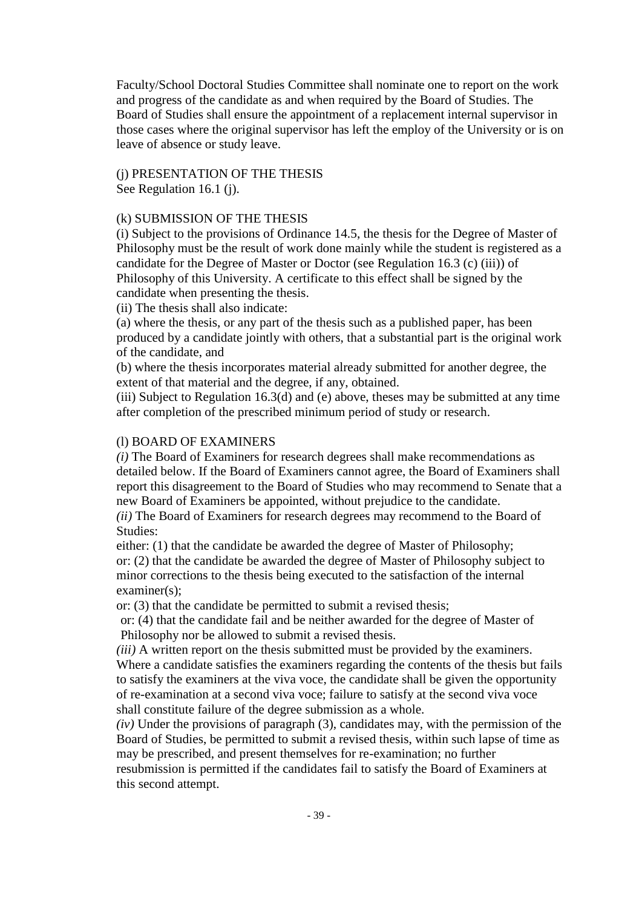Faculty/School Doctoral Studies Committee shall nominate one to report on the work and progress of the candidate as and when required by the Board of Studies. The Board of Studies shall ensure the appointment of a replacement internal supervisor in those cases where the original supervisor has left the employ of the University or is on leave of absence or study leave.

#### (j) PRESENTATION OF THE THESIS See Regulation 16.1 (j).

## (k) SUBMISSION OF THE THESIS

(i) Subject to the provisions of Ordinance 14.5, the thesis for the Degree of Master of Philosophy must be the result of work done mainly while the student is registered as a candidate for the Degree of Master or Doctor (see Regulation 16.3 (c) (iii)) of Philosophy of this University. A certificate to this effect shall be signed by the candidate when presenting the thesis.

(ii) The thesis shall also indicate:

(a) where the thesis, or any part of the thesis such as a published paper, has been produced by a candidate jointly with others, that a substantial part is the original work of the candidate, and

(b) where the thesis incorporates material already submitted for another degree, the extent of that material and the degree, if any, obtained.

(iii) Subject to Regulation 16.3(d) and (e) above, theses may be submitted at any time after completion of the prescribed minimum period of study or research.

#### (l) BOARD OF EXAMINERS

*(i)* The Board of Examiners for research degrees shall make recommendations as detailed below. If the Board of Examiners cannot agree, the Board of Examiners shall report this disagreement to the Board of Studies who may recommend to Senate that a new Board of Examiners be appointed, without prejudice to the candidate.

*(ii)* The Board of Examiners for research degrees may recommend to the Board of Studies:

either: (1) that the candidate be awarded the degree of Master of Philosophy; or: (2) that the candidate be awarded the degree of Master of Philosophy subject to minor corrections to the thesis being executed to the satisfaction of the internal examiner(s):

or: (3) that the candidate be permitted to submit a revised thesis;

or: (4) that the candidate fail and be neither awarded for the degree of Master of Philosophy nor be allowed to submit a revised thesis.

*(iii)* A written report on the thesis submitted must be provided by the examiners. Where a candidate satisfies the examiners regarding the contents of the thesis but fails to satisfy the examiners at the viva voce, the candidate shall be given the opportunity of re-examination at a second viva voce; failure to satisfy at the second viva voce shall constitute failure of the degree submission as a whole.

*(iv)* Under the provisions of paragraph (3), candidates may, with the permission of the Board of Studies, be permitted to submit a revised thesis, within such lapse of time as may be prescribed, and present themselves for re-examination; no further resubmission is permitted if the candidates fail to satisfy the Board of Examiners at this second attempt.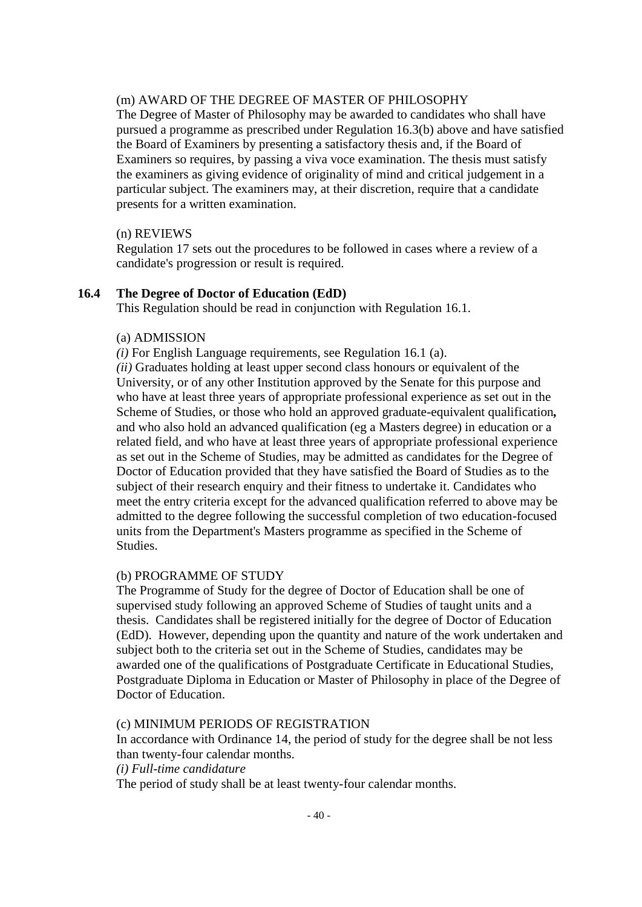## (m) AWARD OF THE DEGREE OF MASTER OF PHILOSOPHY

The Degree of Master of Philosophy may be awarded to candidates who shall have pursued a programme as prescribed under Regulation 16.3(b) above and have satisfied the Board of Examiners by presenting a satisfactory thesis and, if the Board of Examiners so requires, by passing a viva voce examination. The thesis must satisfy the examiners as giving evidence of originality of mind and critical judgement in a particular subject. The examiners may, at their discretion, require that a candidate presents for a written examination.

#### (n) REVIEWS

Regulation 17 sets out the procedures to be followed in cases where a review of a candidate's progression or result is required.

#### **16.4 The Degree of Doctor of Education (EdD)**

This Regulation should be read in conjunction with Regulation 16.1.

#### (a) ADMISSION

*(i)* For English Language requirements, see Regulation 16.1 (a).

*(ii)* Graduates holding at least upper second class honours or equivalent of the University, or of any other Institution approved by the Senate for this purpose and who have at least three years of appropriate professional experience as set out in the Scheme of Studies, or those who hold an approved graduate-equivalent qualification*,*  and who also hold an advanced qualification (eg a Masters degree) in education or a related field, and who have at least three years of appropriate professional experience as set out in the Scheme of Studies*,* may be admitted as candidates for the Degree of Doctor of Education provided that they have satisfied the Board of Studies as to the subject of their research enquiry and their fitness to undertake it. Candidates who meet the entry criteria except for the advanced qualification referred to above may be admitted to the degree following the successful completion of two education-focused units from the Department's Masters programme as specified in the Scheme of Studies.

#### (b) PROGRAMME OF STUDY

The Programme of Study for the degree of Doctor of Education shall be one of supervised study following an approved Scheme of Studies of taught units and a thesis. Candidates shall be registered initially for the degree of Doctor of Education (EdD). However, depending upon the quantity and nature of the work undertaken and subject both to the criteria set out in the Scheme of Studies, candidates may be awarded one of the qualifications of Postgraduate Certificate in Educational Studies, Postgraduate Diploma in Education or Master of Philosophy in place of the Degree of Doctor of Education.

#### (c) MINIMUM PERIODS OF REGISTRATION

In accordance with Ordinance 14, the period of study for the degree shall be not less than twenty-four calendar months.

*(i) Full-time candidature*

The period of study shall be at least twenty-four calendar months.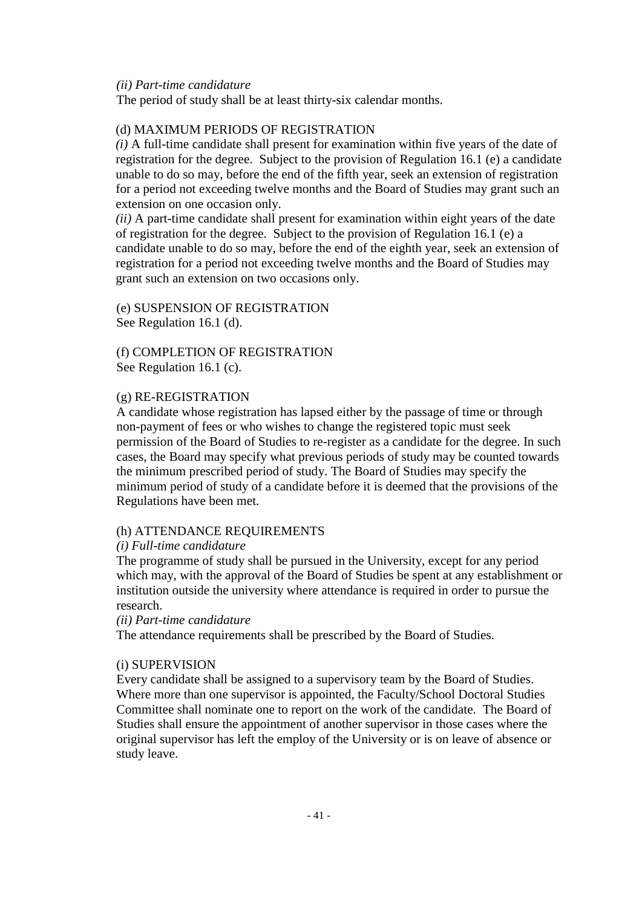#### *(ii) Part-time candidature*

The period of study shall be at least thirty-six calendar months.

#### (d) MAXIMUM PERIODS OF REGISTRATION

*(i)* A full-time candidate shall present for examination within five years of the date of registration for the degree. Subject to the provision of Regulation 16.1 (e) a candidate unable to do so may, before the end of the fifth year, seek an extension of registration for a period not exceeding twelve months and the Board of Studies may grant such an extension on one occasion only.

*(ii)* A part-time candidate shall present for examination within eight years of the date of registration for the degree. Subject to the provision of Regulation 16.1 (e) a candidate unable to do so may, before the end of the eighth year, seek an extension of registration for a period not exceeding twelve months and the Board of Studies may grant such an extension on two occasions only.

(e) SUSPENSION OF REGISTRATION See Regulation 16.1 (d).

(f) COMPLETION OF REGISTRATION See Regulation 16.1 (c).

#### (g) RE-REGISTRATION

A candidate whose registration has lapsed either by the passage of time or through non-payment of fees or who wishes to change the registered topic must seek permission of the Board of Studies to re-register as a candidate for the degree. In such cases, the Board may specify what previous periods of study may be counted towards the minimum prescribed period of study. The Board of Studies may specify the minimum period of study of a candidate before it is deemed that the provisions of the Regulations have been met.

#### (h) ATTENDANCE REQUIREMENTS

#### *(i) Full-time candidature*

The programme of study shall be pursued in the University, except for any period which may, with the approval of the Board of Studies be spent at any establishment or institution outside the university where attendance is required in order to pursue the research.

#### *(ii) Part-time candidature*

The attendance requirements shall be prescribed by the Board of Studies.

#### (i) SUPERVISION

Every candidate shall be assigned to a supervisory team by the Board of Studies. Where more than one supervisor is appointed, the Faculty/School Doctoral Studies Committee shall nominate one to report on the work of the candidate. The Board of Studies shall ensure the appointment of another supervisor in those cases where the original supervisor has left the employ of the University or is on leave of absence or study leave.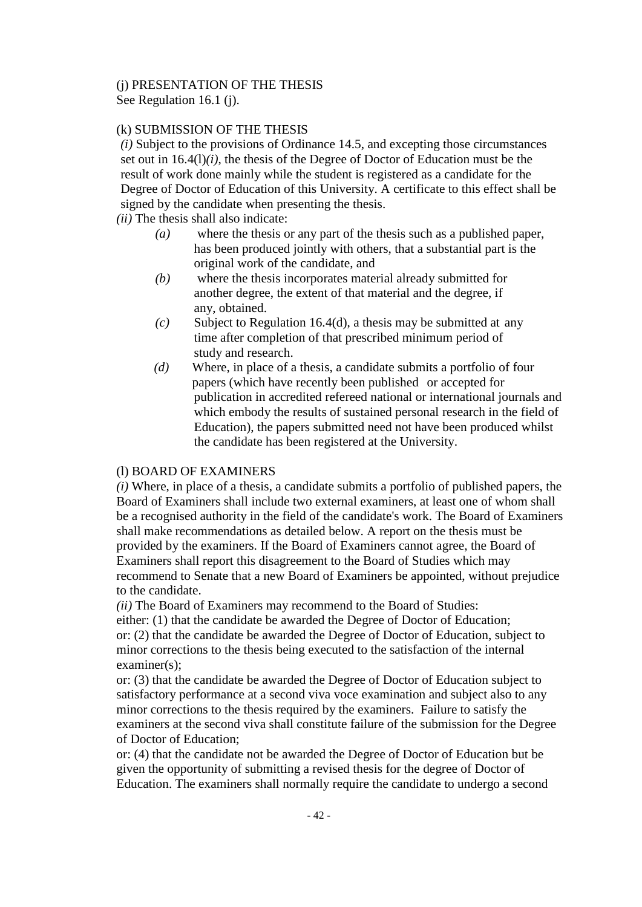# (j) PRESENTATION OF THE THESIS

See Regulation 16.1 (j).

# (k) SUBMISSION OF THE THESIS

*(i)* Subject to the provisions of Ordinance 14.5, and excepting those circumstances set out in 16.4(l)*(i)*, the thesis of the Degree of Doctor of Education must be the result of work done mainly while the student is registered as a candidate for the Degree of Doctor of Education of this University. A certificate to this effect shall be signed by the candidate when presenting the thesis.

*(ii)* The thesis shall also indicate:

- *(a)* where the thesis or any part of the thesis such as a published paper, has been produced jointly with others, that a substantial part is the original work of the candidate, and
- *(b)* where the thesis incorporates material already submitted for another degree, the extent of that material and the degree, if any, obtained.
- *(c)* Subject to Regulation 16.4(d), a thesis may be submitted at any time after completion of that prescribed minimum period of study and research.
- *(d)* Where, in place of a thesis, a candidate submits a portfolio of four papers (which have recently been published or accepted for publication in accredited refereed national or international journals and which embody the results of sustained personal research in the field of Education), the papers submitted need not have been produced whilst the candidate has been registered at the University.

# (l) BOARD OF EXAMINERS

*(i)* Where, in place of a thesis, a candidate submits a portfolio of published papers, the Board of Examiners shall include two external examiners, at least one of whom shall be a recognised authority in the field of the candidate's work. The Board of Examiners shall make recommendations as detailed below. A report on the thesis must be provided by the examiners. If the Board of Examiners cannot agree, the Board of Examiners shall report this disagreement to the Board of Studies which may recommend to Senate that a new Board of Examiners be appointed, without prejudice to the candidate.

*(ii)* The Board of Examiners may recommend to the Board of Studies:

either: (1) that the candidate be awarded the Degree of Doctor of Education; or: (2) that the candidate be awarded the Degree of Doctor of Education, subject to minor corrections to the thesis being executed to the satisfaction of the internal examiner(s):

or: (3) that the candidate be awarded the Degree of Doctor of Education subject to satisfactory performance at a second viva voce examination and subject also to any minor corrections to the thesis required by the examiners. Failure to satisfy the examiners at the second viva shall constitute failure of the submission for the Degree of Doctor of Education;

or: (4) that the candidate not be awarded the Degree of Doctor of Education but be given the opportunity of submitting a revised thesis for the degree of Doctor of Education. The examiners shall normally require the candidate to undergo a second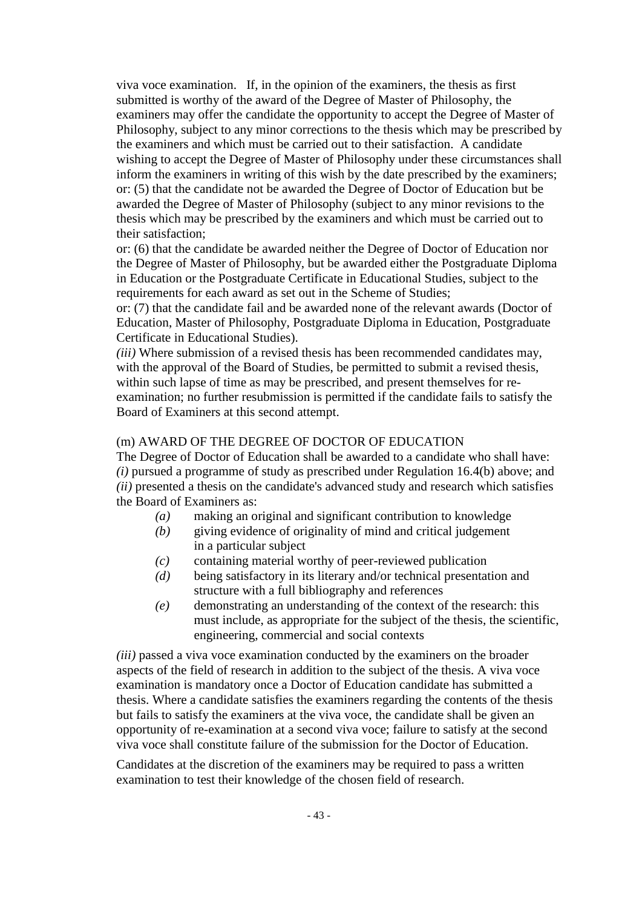viva voce examination. If, in the opinion of the examiners, the thesis as first submitted is worthy of the award of the Degree of Master of Philosophy, the examiners may offer the candidate the opportunity to accept the Degree of Master of Philosophy, subject to any minor corrections to the thesis which may be prescribed by the examiners and which must be carried out to their satisfaction. A candidate wishing to accept the Degree of Master of Philosophy under these circumstances shall inform the examiners in writing of this wish by the date prescribed by the examiners; or: (5) that the candidate not be awarded the Degree of Doctor of Education but be awarded the Degree of Master of Philosophy (subject to any minor revisions to the thesis which may be prescribed by the examiners and which must be carried out to their satisfaction;

or: (6) that the candidate be awarded neither the Degree of Doctor of Education nor the Degree of Master of Philosophy, but be awarded either the Postgraduate Diploma in Education or the Postgraduate Certificate in Educational Studies, subject to the requirements for each award as set out in the Scheme of Studies;

or: (7) that the candidate fail and be awarded none of the relevant awards (Doctor of Education, Master of Philosophy, Postgraduate Diploma in Education, Postgraduate Certificate in Educational Studies).

*(iii)* Where submission of a revised thesis has been recommended candidates may, with the approval of the Board of Studies, be permitted to submit a revised thesis, within such lapse of time as may be prescribed, and present themselves for reexamination; no further resubmission is permitted if the candidate fails to satisfy the Board of Examiners at this second attempt.

## (m) AWARD OF THE DEGREE OF DOCTOR OF EDUCATION

The Degree of Doctor of Education shall be awarded to a candidate who shall have: *(i)* pursued a programme of study as prescribed under Regulation 16.4(b) above; and *(ii)* presented a thesis on the candidate's advanced study and research which satisfies the Board of Examiners as:

- *(a)* making an original and significant contribution to knowledge
- *(b)* giving evidence of originality of mind and critical judgement in a particular subject
- *(c)* containing material worthy of peer-reviewed publication
- *(d)* being satisfactory in its literary and/or technical presentation and structure with a full bibliography and references
- *(e)* demonstrating an understanding of the context of the research: this must include, as appropriate for the subject of the thesis, the scientific, engineering, commercial and social contexts

*(iii)* passed a viva voce examination conducted by the examiners on the broader aspects of the field of research in addition to the subject of the thesis. A viva voce examination is mandatory once a Doctor of Education candidate has submitted a thesis. Where a candidate satisfies the examiners regarding the contents of the thesis but fails to satisfy the examiners at the viva voce, the candidate shall be given an opportunity of re-examination at a second viva voce; failure to satisfy at the second viva voce shall constitute failure of the submission for the Doctor of Education.

Candidates at the discretion of the examiners may be required to pass a written examination to test their knowledge of the chosen field of research.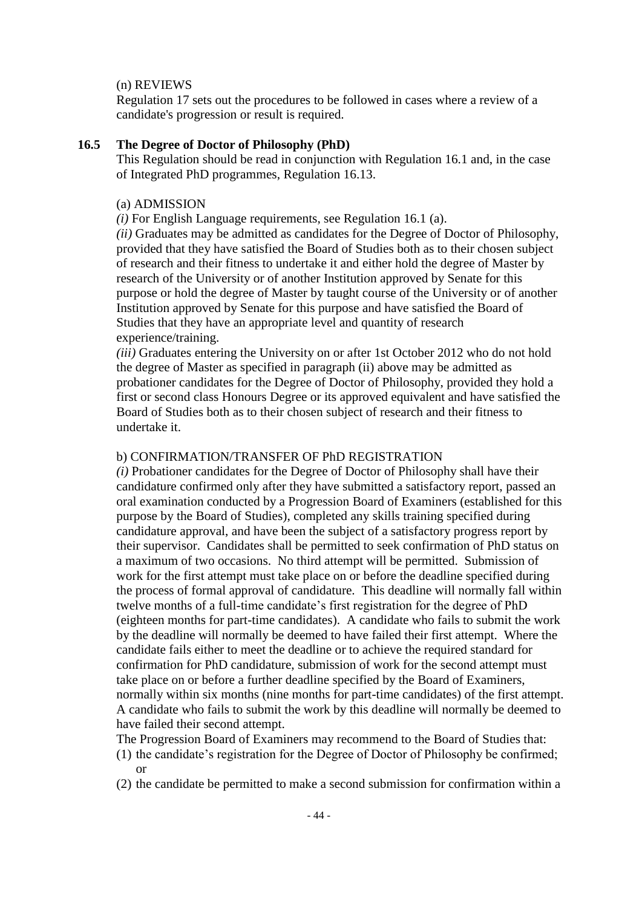#### (n) REVIEWS

Regulation 17 sets out the procedures to be followed in cases where a review of a candidate's progression or result is required.

#### **16.5 The Degree of Doctor of Philosophy (PhD)**

This Regulation should be read in conjunction with Regulation 16.1 and, in the case of Integrated PhD programmes, Regulation 16.13.

#### (a) ADMISSION

*(i)* For English Language requirements, see Regulation 16.1 (a).

*(ii)* Graduates may be admitted as candidates for the Degree of Doctor of Philosophy, provided that they have satisfied the Board of Studies both as to their chosen subject of research and their fitness to undertake it and either hold the degree of Master by research of the University or of another Institution approved by Senate for this purpose or hold the degree of Master by taught course of the University or of another Institution approved by Senate for this purpose and have satisfied the Board of Studies that they have an appropriate level and quantity of research experience/training.

*(iii)* Graduates entering the University on or after 1st October 2012 who do not hold the degree of Master as specified in paragraph (ii) above may be admitted as probationer candidates for the Degree of Doctor of Philosophy, provided they hold a first or second class Honours Degree or its approved equivalent and have satisfied the Board of Studies both as to their chosen subject of research and their fitness to undertake it.

#### b) CONFIRMATION/TRANSFER OF PhD REGISTRATION

*(i)* Probationer candidates for the Degree of Doctor of Philosophy shall have their candidature confirmed only after they have submitted a satisfactory report, passed an oral examination conducted by a Progression Board of Examiners (established for this purpose by the Board of Studies), completed any skills training specified during candidature approval, and have been the subject of a satisfactory progress report by their supervisor. Candidates shall be permitted to seek confirmation of PhD status on a maximum of two occasions. No third attempt will be permitted. Submission of work for the first attempt must take place on or before the deadline specified during the process of formal approval of candidature. This deadline will normally fall within twelve months of a full-time candidate's first registration for the degree of PhD (eighteen months for part-time candidates). A candidate who fails to submit the work by the deadline will normally be deemed to have failed their first attempt. Where the candidate fails either to meet the deadline or to achieve the required standard for confirmation for PhD candidature, submission of work for the second attempt must take place on or before a further deadline specified by the Board of Examiners, normally within six months (nine months for part-time candidates) of the first attempt. A candidate who fails to submit the work by this deadline will normally be deemed to have failed their second attempt.

The Progression Board of Examiners may recommend to the Board of Studies that: (1) the candidate's registration for the Degree of Doctor of Philosophy be confirmed;

- or
- (2) the candidate be permitted to make a second submission for confirmation within a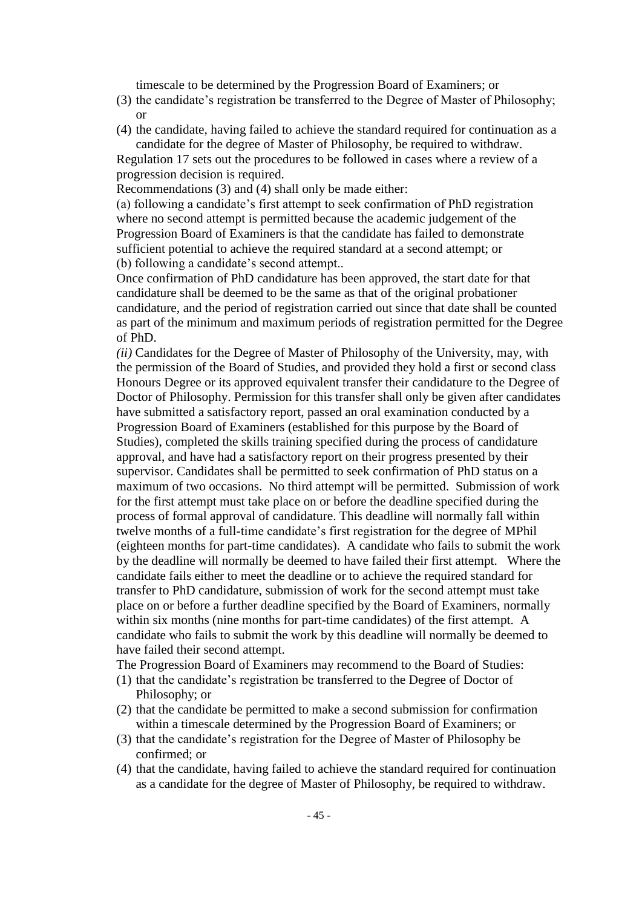timescale to be determined by the Progression Board of Examiners; or

- (3) the candidate's registration be transferred to the Degree of Master of Philosophy; or
- (4) the candidate, having failed to achieve the standard required for continuation as a candidate for the degree of Master of Philosophy, be required to withdraw.

Regulation 17 sets out the procedures to be followed in cases where a review of a progression decision is required.

Recommendations (3) and (4) shall only be made either:

(a) following a candidate's first attempt to seek confirmation of PhD registration where no second attempt is permitted because the academic judgement of the Progression Board of Examiners is that the candidate has failed to demonstrate sufficient potential to achieve the required standard at a second attempt; or (b) following a candidate's second attempt..

Once confirmation of PhD candidature has been approved, the start date for that candidature shall be deemed to be the same as that of the original probationer candidature, and the period of registration carried out since that date shall be counted as part of the minimum and maximum periods of registration permitted for the Degree of PhD.

*(ii)* Candidates for the Degree of Master of Philosophy of the University, may, with the permission of the Board of Studies, and provided they hold a first or second class Honours Degree or its approved equivalent transfer their candidature to the Degree of Doctor of Philosophy. Permission for this transfer shall only be given after candidates have submitted a satisfactory report, passed an oral examination conducted by a Progression Board of Examiners (established for this purpose by the Board of Studies), completed the skills training specified during the process of candidature approval, and have had a satisfactory report on their progress presented by their supervisor. Candidates shall be permitted to seek confirmation of PhD status on a maximum of two occasions. No third attempt will be permitted. Submission of work for the first attempt must take place on or before the deadline specified during the process of formal approval of candidature. This deadline will normally fall within twelve months of a full-time candidate's first registration for the degree of MPhil (eighteen months for part-time candidates). A candidate who fails to submit the work by the deadline will normally be deemed to have failed their first attempt. Where the candidate fails either to meet the deadline or to achieve the required standard for transfer to PhD candidature, submission of work for the second attempt must take place on or before a further deadline specified by the Board of Examiners, normally within six months (nine months for part-time candidates) of the first attempt. A candidate who fails to submit the work by this deadline will normally be deemed to have failed their second attempt.

The Progression Board of Examiners may recommend to the Board of Studies:

- (1) that the candidate's registration be transferred to the Degree of Doctor of Philosophy; or
- (2) that the candidate be permitted to make a second submission for confirmation within a timescale determined by the Progression Board of Examiners; or
- (3) that the candidate's registration for the Degree of Master of Philosophy be confirmed; or
- (4) that the candidate, having failed to achieve the standard required for continuation as a candidate for the degree of Master of Philosophy, be required to withdraw.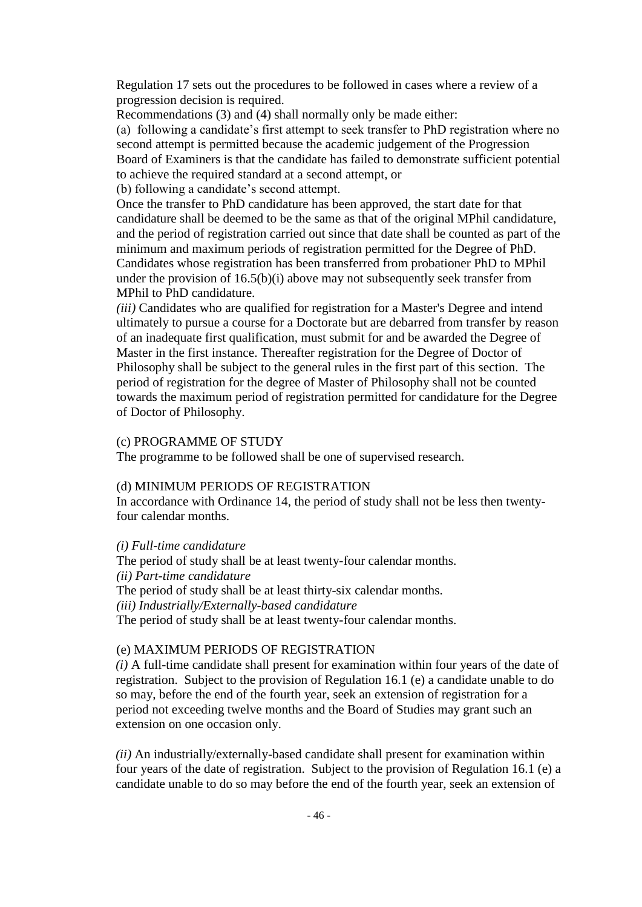Regulation 17 sets out the procedures to be followed in cases where a review of a progression decision is required.

Recommendations (3) and (4) shall normally only be made either:

(a) following a candidate's first attempt to seek transfer to PhD registration where no second attempt is permitted because the academic judgement of the Progression Board of Examiners is that the candidate has failed to demonstrate sufficient potential to achieve the required standard at a second attempt, or

(b) following a candidate's second attempt.

Once the transfer to PhD candidature has been approved, the start date for that candidature shall be deemed to be the same as that of the original MPhil candidature, and the period of registration carried out since that date shall be counted as part of the minimum and maximum periods of registration permitted for the Degree of PhD. Candidates whose registration has been transferred from probationer PhD to MPhil under the provision of 16.5(b)(i) above may not subsequently seek transfer from MPhil to PhD candidature.

*(iii)* Candidates who are qualified for registration for a Master's Degree and intend ultimately to pursue a course for a Doctorate but are debarred from transfer by reason of an inadequate first qualification, must submit for and be awarded the Degree of Master in the first instance. Thereafter registration for the Degree of Doctor of Philosophy shall be subject to the general rules in the first part of this section. The period of registration for the degree of Master of Philosophy shall not be counted towards the maximum period of registration permitted for candidature for the Degree of Doctor of Philosophy.

#### (c) PROGRAMME OF STUDY

The programme to be followed shall be one of supervised research.

## (d) MINIMUM PERIODS OF REGISTRATION

In accordance with Ordinance 14, the period of study shall not be less then twentyfour calendar months.

#### *(i) Full-time candidature*

The period of study shall be at least twenty-four calendar months. *(ii) Part-time candidature* The period of study shall be at least thirty-six calendar months. *(iii) Industrially/Externally-based candidature* The period of study shall be at least twenty-four calendar months.

## (e) MAXIMUM PERIODS OF REGISTRATION

*(i)* A full-time candidate shall present for examination within four years of the date of registration. Subject to the provision of Regulation 16.1 (e) a candidate unable to do so may, before the end of the fourth year, seek an extension of registration for a period not exceeding twelve months and the Board of Studies may grant such an extension on one occasion only.

*(ii)* An industrially/externally-based candidate shall present for examination within four years of the date of registration. Subject to the provision of Regulation 16.1 (e) a candidate unable to do so may before the end of the fourth year, seek an extension of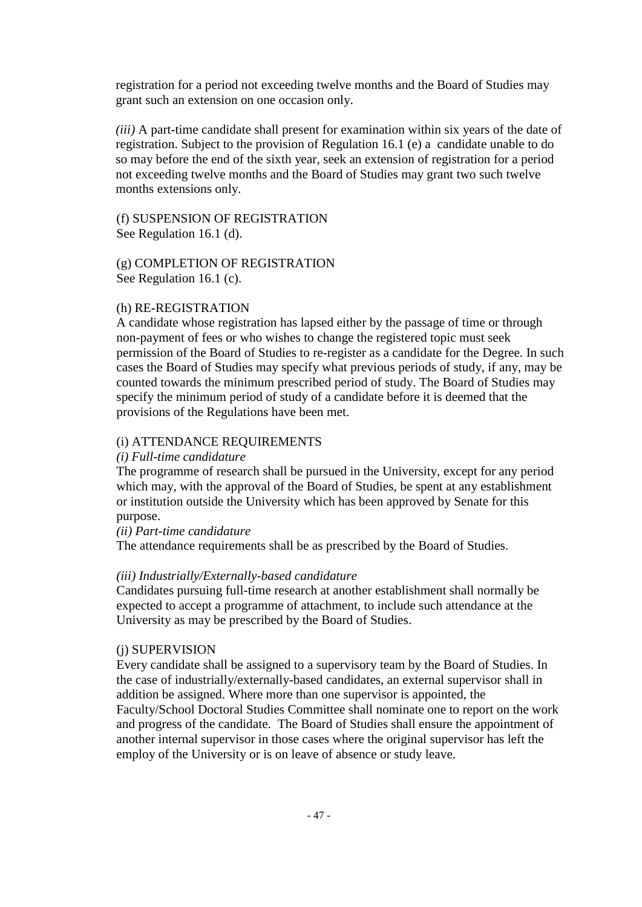registration for a period not exceeding twelve months and the Board of Studies may grant such an extension on one occasion only.

*(iii)* A part-time candidate shall present for examination within six years of the date of registration. Subject to the provision of Regulation 16.1 (e) a candidate unable to do so may before the end of the sixth year, seek an extension of registration for a period not exceeding twelve months and the Board of Studies may grant two such twelve months extensions only.

(f) SUSPENSION OF REGISTRATION See Regulation 16.1 (d).

(g) COMPLETION OF REGISTRATION See Regulation 16.1 (c).

#### (h) RE-REGISTRATION

A candidate whose registration has lapsed either by the passage of time or through non-payment of fees or who wishes to change the registered topic must seek permission of the Board of Studies to re-register as a candidate for the Degree. In such cases the Board of Studies may specify what previous periods of study, if any, may be counted towards the minimum prescribed period of study. The Board of Studies may specify the minimum period of study of a candidate before it is deemed that the provisions of the Regulations have been met.

#### (i) ATTENDANCE REQUIREMENTS

#### *(i) Full-time candidature*

The programme of research shall be pursued in the University, except for any period which may, with the approval of the Board of Studies, be spent at any establishment or institution outside the University which has been approved by Senate for this purpose.

#### *(ii) Part-time candidature*

The attendance requirements shall be as prescribed by the Board of Studies.

#### *(iii) Industrially/Externally-based candidature*

Candidates pursuing full-time research at another establishment shall normally be expected to accept a programme of attachment, to include such attendance at the University as may be prescribed by the Board of Studies.

#### (j) SUPERVISION

Every candidate shall be assigned to a supervisory team by the Board of Studies. In the case of industrially/externally-based candidates, an external supervisor shall in addition be assigned. Where more than one supervisor is appointed, the Faculty/School Doctoral Studies Committee shall nominate one to report on the work and progress of the candidate. The Board of Studies shall ensure the appointment of another internal supervisor in those cases where the original supervisor has left the employ of the University or is on leave of absence or study leave.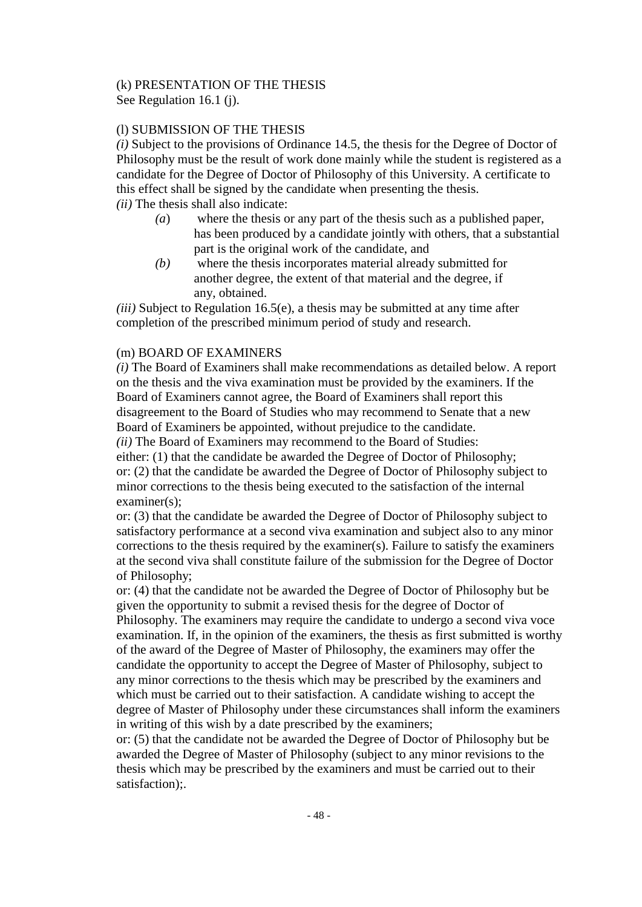# (k) PRESENTATION OF THE THESIS

See Regulation 16.1 (j).

# (l) SUBMISSION OF THE THESIS

*(i)* Subject to the provisions of Ordinance 14.5, the thesis for the Degree of Doctor of Philosophy must be the result of work done mainly while the student is registered as a candidate for the Degree of Doctor of Philosophy of this University. A certificate to this effect shall be signed by the candidate when presenting the thesis. *(ii)* The thesis shall also indicate:

- *(a*) where the thesis or any part of the thesis such as a published paper, has been produced by a candidate jointly with others, that a substantial part is the original work of the candidate, and
- *(b)* where the thesis incorporates material already submitted for another degree, the extent of that material and the degree, if any, obtained.

*(iii)* Subject to Regulation 16.5(e), a thesis may be submitted at any time after completion of the prescribed minimum period of study and research.

# (m) BOARD OF EXAMINERS

*(i)* The Board of Examiners shall make recommendations as detailed below. A report on the thesis and the viva examination must be provided by the examiners. If the Board of Examiners cannot agree, the Board of Examiners shall report this disagreement to the Board of Studies who may recommend to Senate that a new Board of Examiners be appointed, without prejudice to the candidate.

*(ii)* The Board of Examiners may recommend to the Board of Studies:

either: (1) that the candidate be awarded the Degree of Doctor of Philosophy; or: (2) that the candidate be awarded the Degree of Doctor of Philosophy subject to minor corrections to the thesis being executed to the satisfaction of the internal examiner(s);

or: (3) that the candidate be awarded the Degree of Doctor of Philosophy subject to satisfactory performance at a second viva examination and subject also to any minor corrections to the thesis required by the examiner(s). Failure to satisfy the examiners at the second viva shall constitute failure of the submission for the Degree of Doctor of Philosophy;

or: (4) that the candidate not be awarded the Degree of Doctor of Philosophy but be given the opportunity to submit a revised thesis for the degree of Doctor of Philosophy. The examiners may require the candidate to undergo a second viva voce examination. If, in the opinion of the examiners, the thesis as first submitted is worthy of the award of the Degree of Master of Philosophy, the examiners may offer the candidate the opportunity to accept the Degree of Master of Philosophy, subject to any minor corrections to the thesis which may be prescribed by the examiners and which must be carried out to their satisfaction. A candidate wishing to accept the degree of Master of Philosophy under these circumstances shall inform the examiners in writing of this wish by a date prescribed by the examiners;

or: (5) that the candidate not be awarded the Degree of Doctor of Philosophy but be awarded the Degree of Master of Philosophy (subject to any minor revisions to the thesis which may be prescribed by the examiners and must be carried out to their satisfaction);.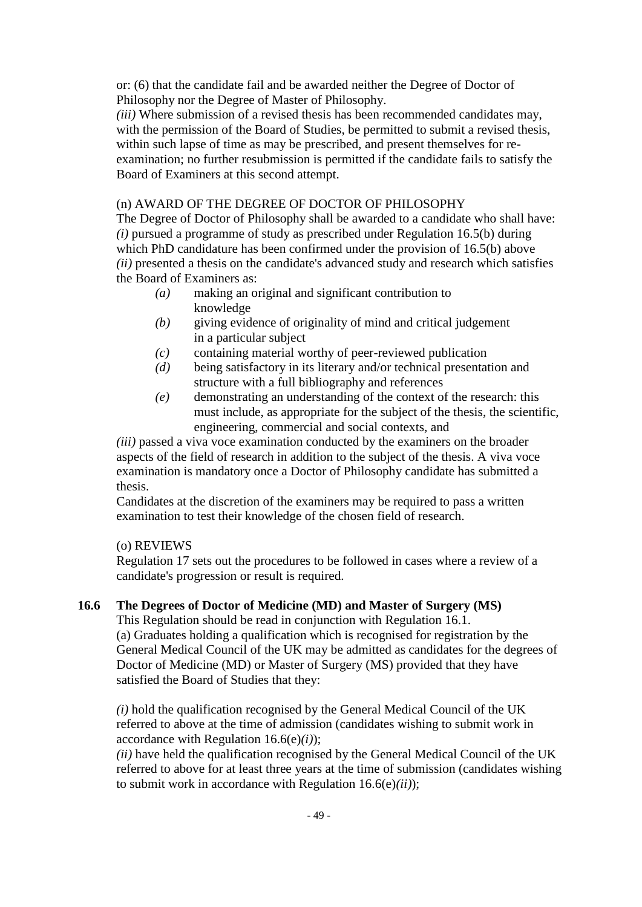or: (6) that the candidate fail and be awarded neither the Degree of Doctor of Philosophy nor the Degree of Master of Philosophy.

*(iii)* Where submission of a revised thesis has been recommended candidates may, with the permission of the Board of Studies, be permitted to submit a revised thesis, within such lapse of time as may be prescribed, and present themselves for reexamination; no further resubmission is permitted if the candidate fails to satisfy the Board of Examiners at this second attempt.

# (n) AWARD OF THE DEGREE OF DOCTOR OF PHILOSOPHY

The Degree of Doctor of Philosophy shall be awarded to a candidate who shall have: *(i)* pursued a programme of study as prescribed under Regulation 16.5(b) during which PhD candidature has been confirmed under the provision of 16.5(b) above *(ii)* presented a thesis on the candidate's advanced study and research which satisfies the Board of Examiners as:

- *(a)* making an original and significant contribution to knowledge
- *(b)* giving evidence of originality of mind and critical judgement in a particular subject
- *(c)* containing material worthy of peer-reviewed publication
- *(d)* being satisfactory in its literary and/or technical presentation and structure with a full bibliography and references
- *(e)* demonstrating an understanding of the context of the research: this must include, as appropriate for the subject of the thesis, the scientific, engineering, commercial and social contexts, and

*(iii)* passed a viva voce examination conducted by the examiners on the broader aspects of the field of research in addition to the subject of the thesis. A viva voce examination is mandatory once a Doctor of Philosophy candidate has submitted a thesis.

Candidates at the discretion of the examiners may be required to pass a written examination to test their knowledge of the chosen field of research.

# (o) REVIEWS

Regulation 17 sets out the procedures to be followed in cases where a review of a candidate's progression or result is required.

# **16.6 The Degrees of Doctor of Medicine (MD) and Master of Surgery (MS)**

This Regulation should be read in conjunction with Regulation 16.1. (a) Graduates holding a qualification which is recognised for registration by the General Medical Council of the UK may be admitted as candidates for the degrees of Doctor of Medicine (MD) or Master of Surgery (MS) provided that they have satisfied the Board of Studies that they:

*(i)* hold the qualification recognised by the General Medical Council of the UK referred to above at the time of admission (candidates wishing to submit work in accordance with Regulation 16.6(e)*(i)*);

*(ii)* have held the qualification recognised by the General Medical Council of the UK referred to above for at least three years at the time of submission (candidates wishing to submit work in accordance with Regulation 16.6(e)*(ii)*);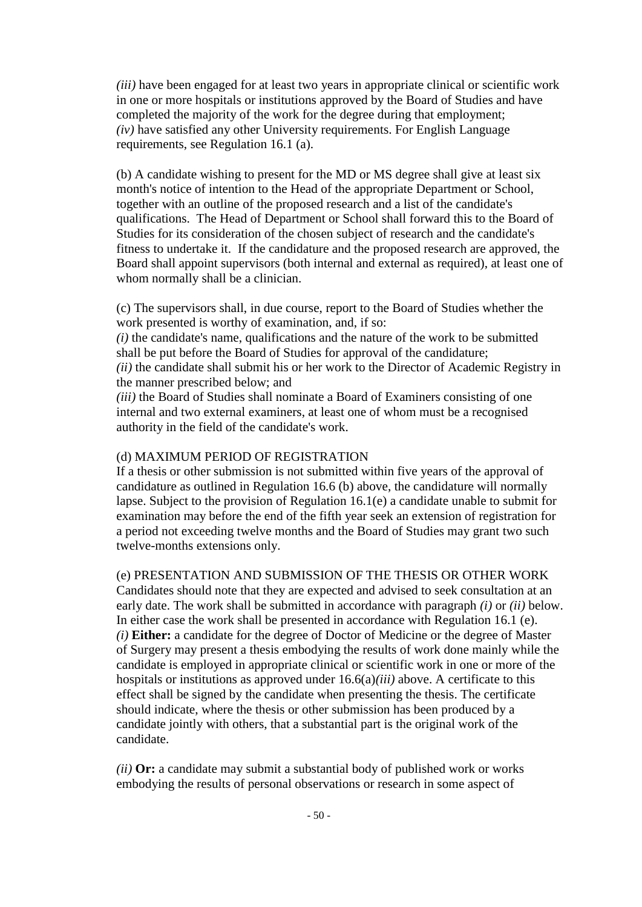*(iii)* have been engaged for at least two years in appropriate clinical or scientific work in one or more hospitals or institutions approved by the Board of Studies and have completed the majority of the work for the degree during that employment; *(iv)* have satisfied any other University requirements. For English Language requirements, see Regulation 16.1 (a).

(b) A candidate wishing to present for the MD or MS degree shall give at least six month's notice of intention to the Head of the appropriate Department or School, together with an outline of the proposed research and a list of the candidate's qualifications. The Head of Department or School shall forward this to the Board of Studies for its consideration of the chosen subject of research and the candidate's fitness to undertake it. If the candidature and the proposed research are approved, the Board shall appoint supervisors (both internal and external as required), at least one of whom normally shall be a clinician.

(c) The supervisors shall, in due course, report to the Board of Studies whether the work presented is worthy of examination, and, if so:

*(i)* the candidate's name, qualifications and the nature of the work to be submitted shall be put before the Board of Studies for approval of the candidature;

*(ii)* the candidate shall submit his or her work to the Director of Academic Registry in the manner prescribed below; and

*(iii)* the Board of Studies shall nominate a Board of Examiners consisting of one internal and two external examiners, at least one of whom must be a recognised authority in the field of the candidate's work.

#### (d) MAXIMUM PERIOD OF REGISTRATION

If a thesis or other submission is not submitted within five years of the approval of candidature as outlined in Regulation 16.6 (b) above, the candidature will normally lapse. Subject to the provision of Regulation 16.1(e) a candidate unable to submit for examination may before the end of the fifth year seek an extension of registration for a period not exceeding twelve months and the Board of Studies may grant two such twelve-months extensions only.

#### (e) PRESENTATION AND SUBMISSION OF THE THESIS OR OTHER WORK

Candidates should note that they are expected and advised to seek consultation at an early date. The work shall be submitted in accordance with paragraph *(i)* or *(ii)* below. In either case the work shall be presented in accordance with Regulation 16.1 (e). *(i)* **Either:** a candidate for the degree of Doctor of Medicine or the degree of Master of Surgery may present a thesis embodying the results of work done mainly while the candidate is employed in appropriate clinical or scientific work in one or more of the hospitals or institutions as approved under 16.6(a)*(iii)* above. A certificate to this effect shall be signed by the candidate when presenting the thesis. The certificate should indicate, where the thesis or other submission has been produced by a candidate jointly with others, that a substantial part is the original work of the candidate.

*(ii)* **Or:** a candidate may submit a substantial body of published work or works embodying the results of personal observations or research in some aspect of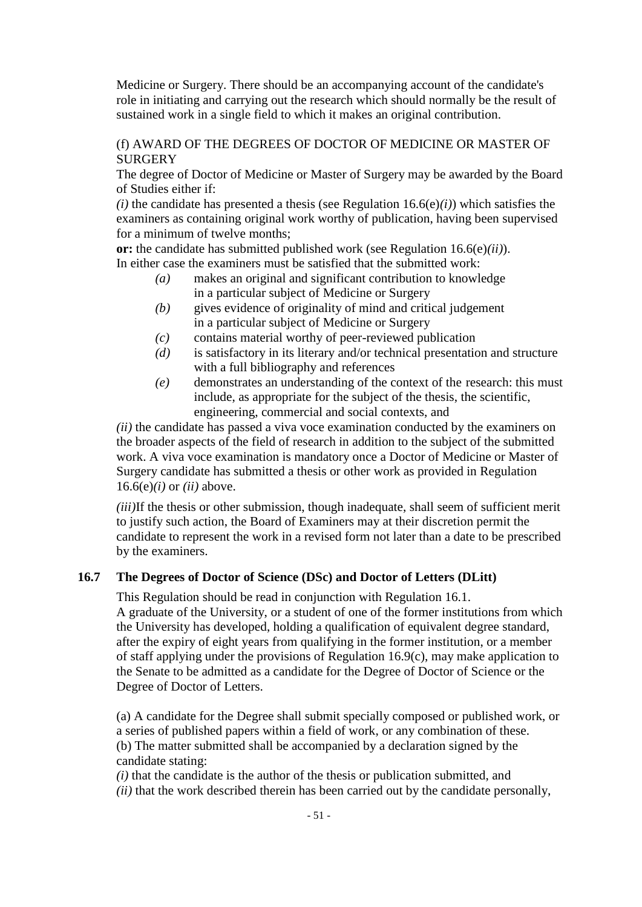Medicine or Surgery. There should be an accompanying account of the candidate's role in initiating and carrying out the research which should normally be the result of sustained work in a single field to which it makes an original contribution.

# (f) AWARD OF THE DEGREES OF DOCTOR OF MEDICINE OR MASTER OF **SURGERY**

The degree of Doctor of Medicine or Master of Surgery may be awarded by the Board of Studies either if:

 $(i)$  the candidate has presented a thesis (see Regulation 16.6(e) $(i)$ ) which satisfies the examiners as containing original work worthy of publication, having been supervised for a minimum of twelve months;

**or:** the candidate has submitted published work (see Regulation 16.6(e)*(ii)*). In either case the examiners must be satisfied that the submitted work:

- *(a)* makes an original and significant contribution to knowledge in a particular subject of Medicine or Surgery
- *(b)* gives evidence of originality of mind and critical judgement in a particular subject of Medicine or Surgery
- *(c)* contains material worthy of peer-reviewed publication
- *(d)* is satisfactory in its literary and/or technical presentation and structure with a full bibliography and references
- *(e)* demonstrates an understanding of the context of the research: this must include, as appropriate for the subject of the thesis, the scientific, engineering, commercial and social contexts, and

*(ii)* the candidate has passed a viva voce examination conducted by the examiners on the broader aspects of the field of research in addition to the subject of the submitted work. A viva voce examination is mandatory once a Doctor of Medicine or Master of Surgery candidate has submitted a thesis or other work as provided in Regulation 16.6(e)*(i)* or *(ii)* above.

*(iii)*If the thesis or other submission, though inadequate, shall seem of sufficient merit to justify such action, the Board of Examiners may at their discretion permit the candidate to represent the work in a revised form not later than a date to be prescribed by the examiners.

# **16.7 The Degrees of Doctor of Science (DSc) and Doctor of Letters (DLitt)**

This Regulation should be read in conjunction with Regulation 16.1. A graduate of the University, or a student of one of the former institutions from which the University has developed, holding a qualification of equivalent degree standard, after the expiry of eight years from qualifying in the former institution, or a member of staff applying under the provisions of Regulation 16.9(c), may make application to the Senate to be admitted as a candidate for the Degree of Doctor of Science or the Degree of Doctor of Letters.

(a) A candidate for the Degree shall submit specially composed or published work, or a series of published papers within a field of work, or any combination of these. (b) The matter submitted shall be accompanied by a declaration signed by the candidate stating:

*(i)* that the candidate is the author of the thesis or publication submitted, and

*(ii)* that the work described therein has been carried out by the candidate personally,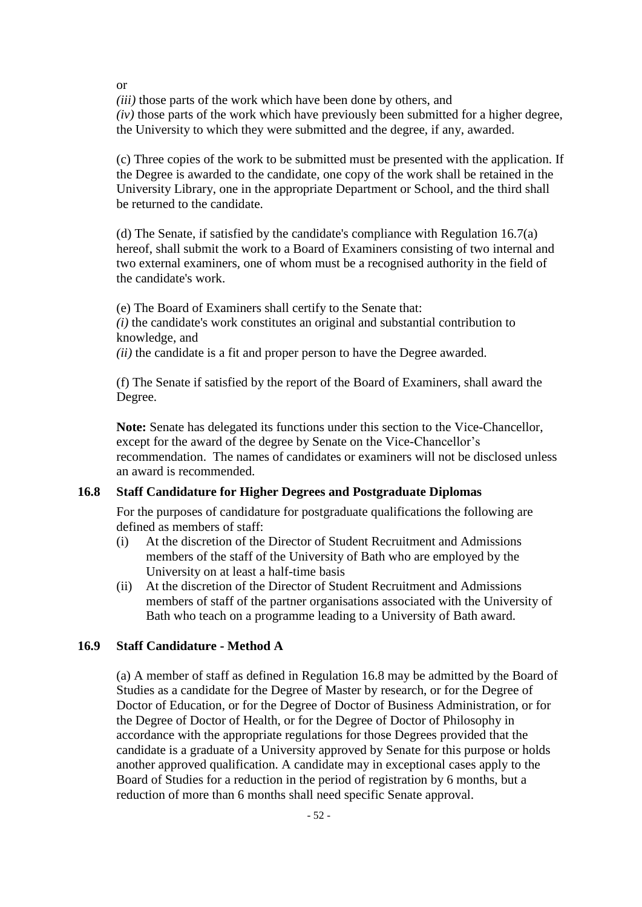*(iii)* those parts of the work which have been done by others, and *(iv)* those parts of the work which have previously been submitted for a higher degree, the University to which they were submitted and the degree, if any, awarded.

(c) Three copies of the work to be submitted must be presented with the application. If the Degree is awarded to the candidate, one copy of the work shall be retained in the University Library, one in the appropriate Department or School, and the third shall be returned to the candidate.

(d) The Senate, if satisfied by the candidate's compliance with Regulation  $16.7(a)$ hereof, shall submit the work to a Board of Examiners consisting of two internal and two external examiners, one of whom must be a recognised authority in the field of the candidate's work.

(e) The Board of Examiners shall certify to the Senate that: *(i)* the candidate's work constitutes an original and substantial contribution to knowledge, and

*(ii)* the candidate is a fit and proper person to have the Degree awarded.

(f) The Senate if satisfied by the report of the Board of Examiners, shall award the Degree.

**Note:** Senate has delegated its functions under this section to the Vice-Chancellor, except for the award of the degree by Senate on the Vice-Chancellor's recommendation. The names of candidates or examiners will not be disclosed unless an award is recommended.

# **16.8 Staff Candidature for Higher Degrees and Postgraduate Diplomas**

For the purposes of candidature for postgraduate qualifications the following are defined as members of staff:

- (i) At the discretion of the Director of Student Recruitment and Admissions members of the staff of the University of Bath who are employed by the University on at least a half-time basis
- (ii) At the discretion of the Director of Student Recruitment and Admissions members of staff of the partner organisations associated with the University of Bath who teach on a programme leading to a University of Bath award.

# **16.9 Staff Candidature - Method A**

(a) A member of staff as defined in Regulation 16.8 may be admitted by the Board of Studies as a candidate for the Degree of Master by research, or for the Degree of Doctor of Education, or for the Degree of Doctor of Business Administration, or for the Degree of Doctor of Health, or for the Degree of Doctor of Philosophy in accordance with the appropriate regulations for those Degrees provided that the candidate is a graduate of a University approved by Senate for this purpose or holds another approved qualification. A candidate may in exceptional cases apply to the Board of Studies for a reduction in the period of registration by 6 months, but a reduction of more than 6 months shall need specific Senate approval.

or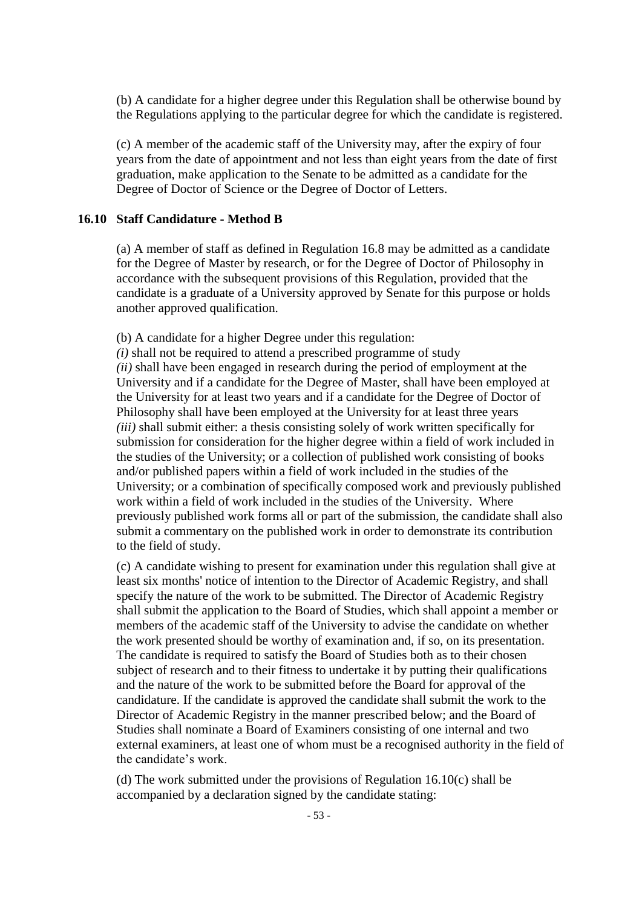(b) A candidate for a higher degree under this Regulation shall be otherwise bound by the Regulations applying to the particular degree for which the candidate is registered.

(c) A member of the academic staff of the University may, after the expiry of four years from the date of appointment and not less than eight years from the date of first graduation, make application to the Senate to be admitted as a candidate for the Degree of Doctor of Science or the Degree of Doctor of Letters.

## **16.10 Staff Candidature - Method B**

(a) A member of staff as defined in Regulation 16.8 may be admitted as a candidate for the Degree of Master by research, or for the Degree of Doctor of Philosophy in accordance with the subsequent provisions of this Regulation, provided that the candidate is a graduate of a University approved by Senate for this purpose or holds another approved qualification.

(b) A candidate for a higher Degree under this regulation:

*(i)* shall not be required to attend a prescribed programme of study *(ii)* shall have been engaged in research during the period of employment at the University and if a candidate for the Degree of Master, shall have been employed at the University for at least two years and if a candidate for the Degree of Doctor of Philosophy shall have been employed at the University for at least three years *(iii)* shall submit either: a thesis consisting solely of work written specifically for submission for consideration for the higher degree within a field of work included in the studies of the University; or a collection of published work consisting of books and/or published papers within a field of work included in the studies of the University; or a combination of specifically composed work and previously published work within a field of work included in the studies of the University. Where previously published work forms all or part of the submission, the candidate shall also submit a commentary on the published work in order to demonstrate its contribution to the field of study.

(c) A candidate wishing to present for examination under this regulation shall give at least six months' notice of intention to the Director of Academic Registry, and shall specify the nature of the work to be submitted. The Director of Academic Registry shall submit the application to the Board of Studies, which shall appoint a member or members of the academic staff of the University to advise the candidate on whether the work presented should be worthy of examination and, if so, on its presentation. The candidate is required to satisfy the Board of Studies both as to their chosen subject of research and to their fitness to undertake it by putting their qualifications and the nature of the work to be submitted before the Board for approval of the candidature. If the candidate is approved the candidate shall submit the work to the Director of Academic Registry in the manner prescribed below; and the Board of Studies shall nominate a Board of Examiners consisting of one internal and two external examiners, at least one of whom must be a recognised authority in the field of the candidate's work.

(d) The work submitted under the provisions of Regulation 16.10(c) shall be accompanied by a declaration signed by the candidate stating: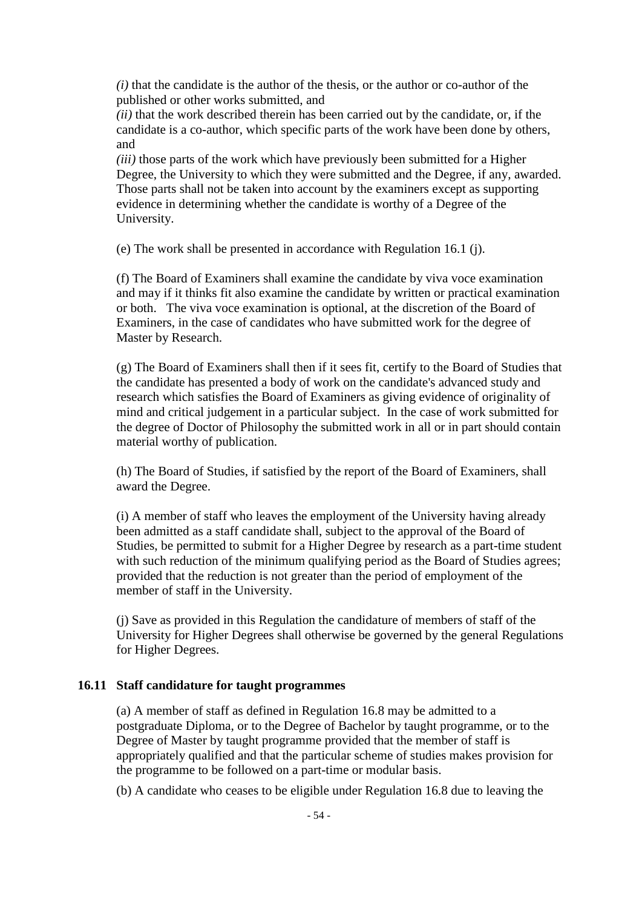*(i)* that the candidate is the author of the thesis, or the author or co-author of the published or other works submitted, and

*(ii)* that the work described therein has been carried out by the candidate, or, if the candidate is a co-author, which specific parts of the work have been done by others, and

*(iii)* those parts of the work which have previously been submitted for a Higher Degree, the University to which they were submitted and the Degree, if any, awarded. Those parts shall not be taken into account by the examiners except as supporting evidence in determining whether the candidate is worthy of a Degree of the University.

(e) The work shall be presented in accordance with Regulation 16.1 (j).

(f) The Board of Examiners shall examine the candidate by viva voce examination and may if it thinks fit also examine the candidate by written or practical examination or both. The viva voce examination is optional, at the discretion of the Board of Examiners, in the case of candidates who have submitted work for the degree of Master by Research.

(g) The Board of Examiners shall then if it sees fit, certify to the Board of Studies that the candidate has presented a body of work on the candidate's advanced study and research which satisfies the Board of Examiners as giving evidence of originality of mind and critical judgement in a particular subject. In the case of work submitted for the degree of Doctor of Philosophy the submitted work in all or in part should contain material worthy of publication.

(h) The Board of Studies, if satisfied by the report of the Board of Examiners, shall award the Degree.

(i) A member of staff who leaves the employment of the University having already been admitted as a staff candidate shall, subject to the approval of the Board of Studies, be permitted to submit for a Higher Degree by research as a part-time student with such reduction of the minimum qualifying period as the Board of Studies agrees; provided that the reduction is not greater than the period of employment of the member of staff in the University.

(j) Save as provided in this Regulation the candidature of members of staff of the University for Higher Degrees shall otherwise be governed by the general Regulations for Higher Degrees.

#### **16.11 Staff candidature for taught programmes**

(a) A member of staff as defined in Regulation 16.8 may be admitted to a postgraduate Diploma, or to the Degree of Bachelor by taught programme, or to the Degree of Master by taught programme provided that the member of staff is appropriately qualified and that the particular scheme of studies makes provision for the programme to be followed on a part-time or modular basis.

(b) A candidate who ceases to be eligible under Regulation 16.8 due to leaving the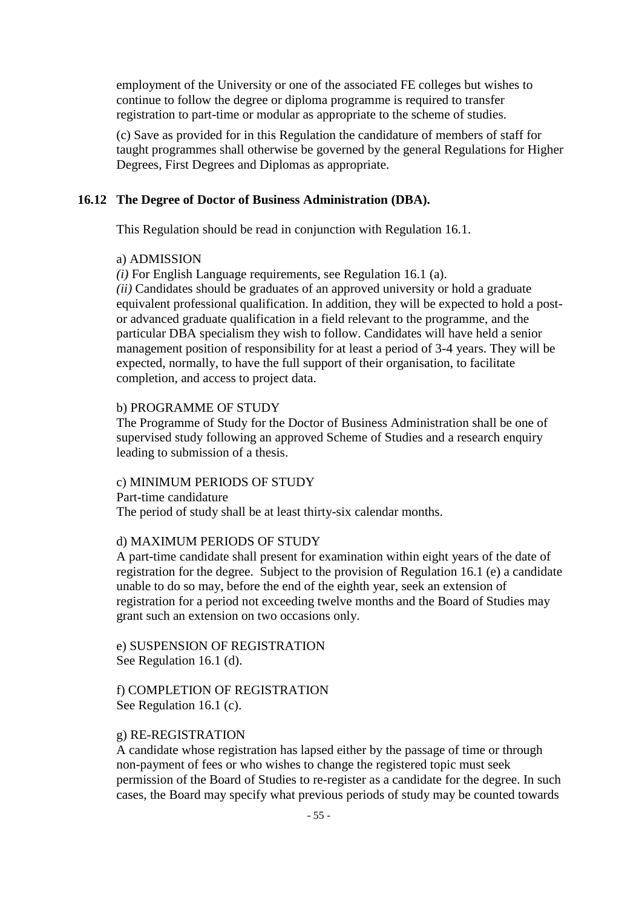employment of the University or one of the associated FE colleges but wishes to continue to follow the degree or diploma programme is required to transfer registration to part-time or modular as appropriate to the scheme of studies.

(c) Save as provided for in this Regulation the candidature of members of staff for taught programmes shall otherwise be governed by the general Regulations for Higher Degrees, First Degrees and Diplomas as appropriate.

#### **16.12 The Degree of Doctor of Business Administration (DBA).**

This Regulation should be read in conjunction with Regulation 16.1.

#### a) ADMISSION

*(i)* For English Language requirements, see Regulation 16.1 (a).

*(ii)* Candidates should be graduates of an approved university or hold a graduate equivalent professional qualification. In addition, they will be expected to hold a postor advanced graduate qualification in a field relevant to the programme, and the particular DBA specialism they wish to follow. Candidates will have held a senior management position of responsibility for at least a period of 3-4 years. They will be expected, normally, to have the full support of their organisation, to facilitate completion, and access to project data.

#### b) PROGRAMME OF STUDY

The Programme of Study for the Doctor of Business Administration shall be one of supervised study following an approved Scheme of Studies and a research enquiry leading to submission of a thesis.

#### c) MINIMUM PERIODS OF STUDY

Part-time candidature The period of study shall be at least thirty-six calendar months.

#### d) MAXIMUM PERIODS OF STUDY

A part-time candidate shall present for examination within eight years of the date of registration for the degree. Subject to the provision of Regulation 16.1 (e) a candidate unable to do so may, before the end of the eighth year, seek an extension of registration for a period not exceeding twelve months and the Board of Studies may grant such an extension on two occasions only.

e) SUSPENSION OF REGISTRATION See Regulation 16.1 (d).

f) COMPLETION OF REGISTRATION See Regulation 16.1 (c).

#### g) RE-REGISTRATION

A candidate whose registration has lapsed either by the passage of time or through non-payment of fees or who wishes to change the registered topic must seek permission of the Board of Studies to re-register as a candidate for the degree. In such cases, the Board may specify what previous periods of study may be counted towards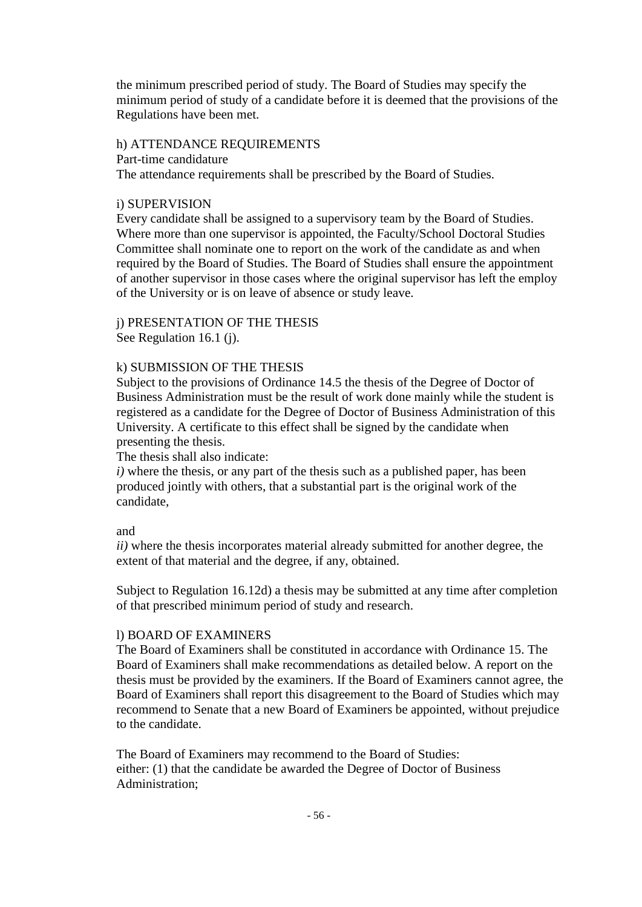the minimum prescribed period of study. The Board of Studies may specify the minimum period of study of a candidate before it is deemed that the provisions of the Regulations have been met.

#### h) ATTENDANCE REQUIREMENTS

Part-time candidature

The attendance requirements shall be prescribed by the Board of Studies.

## i) SUPERVISION

Every candidate shall be assigned to a supervisory team by the Board of Studies. Where more than one supervisor is appointed, the Faculty/School Doctoral Studies Committee shall nominate one to report on the work of the candidate as and when required by the Board of Studies. The Board of Studies shall ensure the appointment of another supervisor in those cases where the original supervisor has left the employ of the University or is on leave of absence or study leave.

# j) PRESENTATION OF THE THESIS

See Regulation 16.1 (j).

# k) SUBMISSION OF THE THESIS

Subject to the provisions of Ordinance 14.5 the thesis of the Degree of Doctor of Business Administration must be the result of work done mainly while the student is registered as a candidate for the Degree of Doctor of Business Administration of this University. A certificate to this effect shall be signed by the candidate when presenting the thesis.

The thesis shall also indicate:

*i)* where the thesis, or any part of the thesis such as a published paper, has been produced jointly with others, that a substantial part is the original work of the candidate,

## and

*ii*) where the thesis incorporates material already submitted for another degree, the extent of that material and the degree, if any, obtained.

Subject to Regulation 16.12d) a thesis may be submitted at any time after completion of that prescribed minimum period of study and research.

## l) BOARD OF EXAMINERS

The Board of Examiners shall be constituted in accordance with Ordinance 15. The Board of Examiners shall make recommendations as detailed below. A report on the thesis must be provided by the examiners. If the Board of Examiners cannot agree, the Board of Examiners shall report this disagreement to the Board of Studies which may recommend to Senate that a new Board of Examiners be appointed, without prejudice to the candidate.

The Board of Examiners may recommend to the Board of Studies: either: (1) that the candidate be awarded the Degree of Doctor of Business Administration;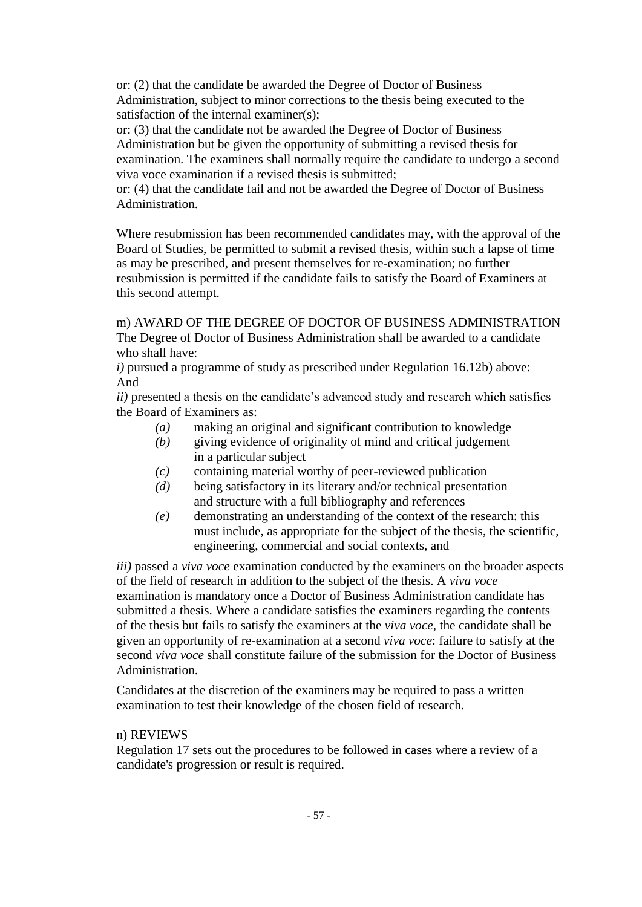or: (2) that the candidate be awarded the Degree of Doctor of Business Administration, subject to minor corrections to the thesis being executed to the satisfaction of the internal examiner(s);

or: (3) that the candidate not be awarded the Degree of Doctor of Business Administration but be given the opportunity of submitting a revised thesis for examination. The examiners shall normally require the candidate to undergo a second viva voce examination if a revised thesis is submitted;

or: (4) that the candidate fail and not be awarded the Degree of Doctor of Business Administration.

Where resubmission has been recommended candidates may, with the approval of the Board of Studies, be permitted to submit a revised thesis, within such a lapse of time as may be prescribed, and present themselves for re-examination; no further resubmission is permitted if the candidate fails to satisfy the Board of Examiners at this second attempt.

m) AWARD OF THE DEGREE OF DOCTOR OF BUSINESS ADMINISTRATION The Degree of Doctor of Business Administration shall be awarded to a candidate who shall have:

*i)* pursued a programme of study as prescribed under Regulation 16.12b) above: And

*ii)* presented a thesis on the candidate's advanced study and research which satisfies the Board of Examiners as:

- *(a)* making an original and significant contribution to knowledge
- *(b)* giving evidence of originality of mind and critical judgement in a particular subject
- *(c)* containing material worthy of peer-reviewed publication
- *(d)* being satisfactory in its literary and/or technical presentation and structure with a full bibliography and references
- *(e)* demonstrating an understanding of the context of the research: this must include, as appropriate for the subject of the thesis, the scientific, engineering, commercial and social contexts, and

*iii)* passed a *viva voce* examination conducted by the examiners on the broader aspects of the field of research in addition to the subject of the thesis. A *viva voce* examination is mandatory once a Doctor of Business Administration candidate has submitted a thesis. Where a candidate satisfies the examiners regarding the contents of the thesis but fails to satisfy the examiners at the *viva voce*, the candidate shall be given an opportunity of re-examination at a second *viva voce*: failure to satisfy at the second *viva voce* shall constitute failure of the submission for the Doctor of Business Administration.

Candidates at the discretion of the examiners may be required to pass a written examination to test their knowledge of the chosen field of research.

## n) REVIEWS

Regulation 17 sets out the procedures to be followed in cases where a review of a candidate's progression or result is required.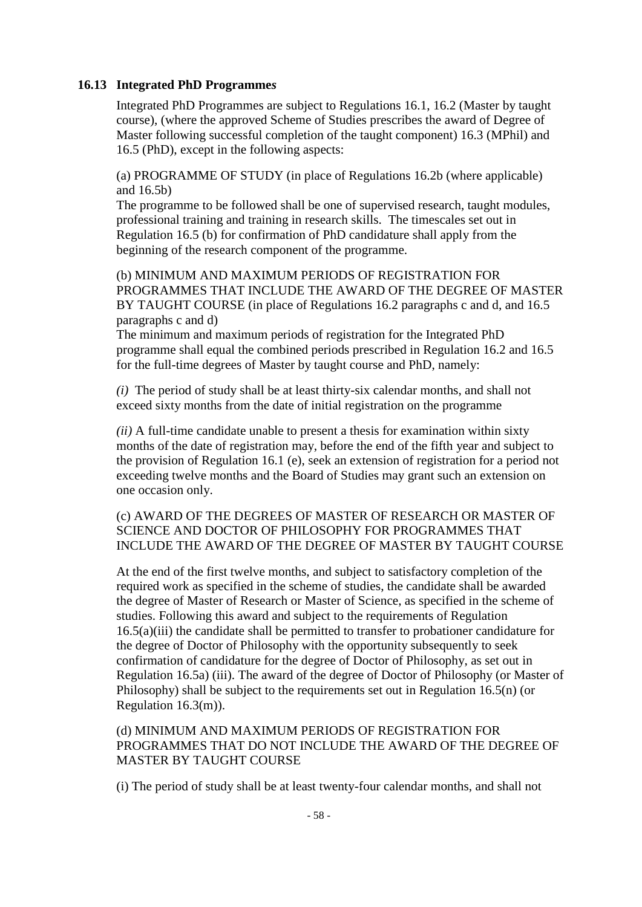## **16.13 Integrated PhD Programme***s*

Integrated PhD Programmes are subject to Regulations 16.1, 16.2 (Master by taught course), (where the approved Scheme of Studies prescribes the award of Degree of Master following successful completion of the taught component) 16.3 (MPhil) and 16.5 (PhD), except in the following aspects:

(a) PROGRAMME OF STUDY (in place of Regulations 16.2b (where applicable) and 16.5b)

The programme to be followed shall be one of supervised research, taught modules, professional training and training in research skills. The timescales set out in Regulation 16.5 (b) for confirmation of PhD candidature shall apply from the beginning of the research component of the programme.

(b) MINIMUM AND MAXIMUM PERIODS OF REGISTRATION FOR PROGRAMMES THAT INCLUDE THE AWARD OF THE DEGREE OF MASTER BY TAUGHT COURSE (in place of Regulations 16.2 paragraphs c and d, and 16.5 paragraphs c and d)

The minimum and maximum periods of registration for the Integrated PhD programme shall equal the combined periods prescribed in Regulation 16.2 and 16.5 for the full-time degrees of Master by taught course and PhD, namely:

*(i)* The period of study shall be at least thirty-six calendar months, and shall not exceed sixty months from the date of initial registration on the programme

*(ii)* A full-time candidate unable to present a thesis for examination within sixty months of the date of registration may, before the end of the fifth year and subject to the provision of Regulation 16.1 (e), seek an extension of registration for a period not exceeding twelve months and the Board of Studies may grant such an extension on one occasion only.

# (c) AWARD OF THE DEGREES OF MASTER OF RESEARCH OR MASTER OF SCIENCE AND DOCTOR OF PHILOSOPHY FOR PROGRAMMES THAT INCLUDE THE AWARD OF THE DEGREE OF MASTER BY TAUGHT COURSE

At the end of the first twelve months, and subject to satisfactory completion of the required work as specified in the scheme of studies, the candidate shall be awarded the degree of Master of Research or Master of Science, as specified in the scheme of studies. Following this award and subject to the requirements of Regulation 16.5(a)(iii) the candidate shall be permitted to transfer to probationer candidature for the degree of Doctor of Philosophy with the opportunity subsequently to seek confirmation of candidature for the degree of Doctor of Philosophy, as set out in Regulation 16.5a) (iii). The award of the degree of Doctor of Philosophy (or Master of Philosophy) shall be subject to the requirements set out in Regulation 16.5(n) (or Regulation 16.3(m)).

## (d) MINIMUM AND MAXIMUM PERIODS OF REGISTRATION FOR PROGRAMMES THAT DO NOT INCLUDE THE AWARD OF THE DEGREE OF MASTER BY TAUGHT COURSE

(i) The period of study shall be at least twenty-four calendar months, and shall not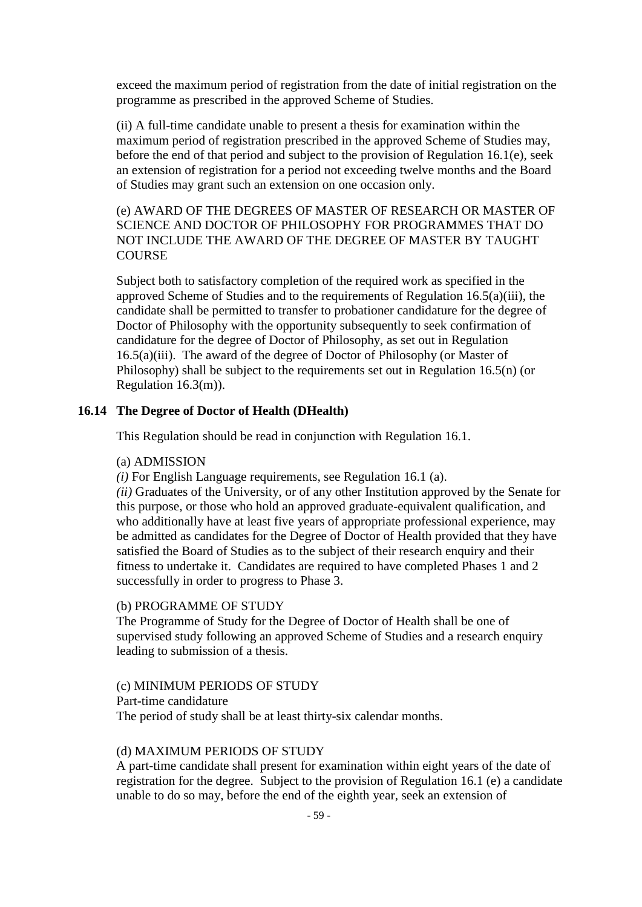exceed the maximum period of registration from the date of initial registration on the programme as prescribed in the approved Scheme of Studies.

(ii) A full-time candidate unable to present a thesis for examination within the maximum period of registration prescribed in the approved Scheme of Studies may, before the end of that period and subject to the provision of Regulation 16.1(e), seek an extension of registration for a period not exceeding twelve months and the Board of Studies may grant such an extension on one occasion only.

(e) AWARD OF THE DEGREES OF MASTER OF RESEARCH OR MASTER OF SCIENCE AND DOCTOR OF PHILOSOPHY FOR PROGRAMMES THAT DO NOT INCLUDE THE AWARD OF THE DEGREE OF MASTER BY TAUGHT **COURSE** 

Subject both to satisfactory completion of the required work as specified in the approved Scheme of Studies and to the requirements of Regulation 16.5(a)(iii), the candidate shall be permitted to transfer to probationer candidature for the degree of Doctor of Philosophy with the opportunity subsequently to seek confirmation of candidature for the degree of Doctor of Philosophy, as set out in Regulation 16.5(a)(iii). The award of the degree of Doctor of Philosophy (or Master of Philosophy) shall be subject to the requirements set out in Regulation 16.5(n) (or Regulation 16.3(m)).

#### **16.14 The Degree of Doctor of Health (DHealth)**

This Regulation should be read in conjunction with Regulation 16.1.

#### (a) ADMISSION

*(i)* For English Language requirements, see Regulation 16.1 (a).

*(ii)* Graduates of the University, or of any other Institution approved by the Senate for this purpose, or those who hold an approved graduate-equivalent qualification, and who additionally have at least five years of appropriate professional experience, may be admitted as candidates for the Degree of Doctor of Health provided that they have satisfied the Board of Studies as to the subject of their research enquiry and their fitness to undertake it. Candidates are required to have completed Phases 1 and 2 successfully in order to progress to Phase 3.

## (b) PROGRAMME OF STUDY

The Programme of Study for the Degree of Doctor of Health shall be one of supervised study following an approved Scheme of Studies and a research enquiry leading to submission of a thesis.

#### (c) MINIMUM PERIODS OF STUDY

Part-time candidature The period of study shall be at least thirty-six calendar months.

#### (d) MAXIMUM PERIODS OF STUDY

A part-time candidate shall present for examination within eight years of the date of registration for the degree. Subject to the provision of Regulation 16.1 (e) a candidate unable to do so may, before the end of the eighth year, seek an extension of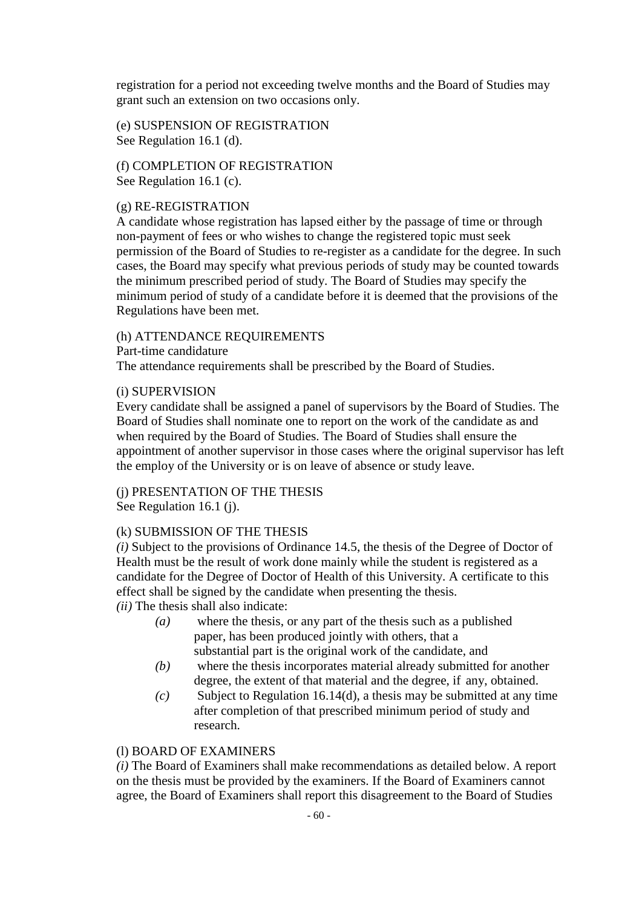registration for a period not exceeding twelve months and the Board of Studies may grant such an extension on two occasions only.

(e) SUSPENSION OF REGISTRATION See Regulation 16.1 (d).

(f) COMPLETION OF REGISTRATION See Regulation 16.1 (c).

#### (g) RE-REGISTRATION

A candidate whose registration has lapsed either by the passage of time or through non-payment of fees or who wishes to change the registered topic must seek permission of the Board of Studies to re-register as a candidate for the degree. In such cases, the Board may specify what previous periods of study may be counted towards the minimum prescribed period of study. The Board of Studies may specify the minimum period of study of a candidate before it is deemed that the provisions of the Regulations have been met.

#### (h) ATTENDANCE REQUIREMENTS

Part-time candidature

The attendance requirements shall be prescribed by the Board of Studies.

#### (i) SUPERVISION

Every candidate shall be assigned a panel of supervisors by the Board of Studies. The Board of Studies shall nominate one to report on the work of the candidate as and when required by the Board of Studies. The Board of Studies shall ensure the appointment of another supervisor in those cases where the original supervisor has left the employ of the University or is on leave of absence or study leave.

# (j) PRESENTATION OF THE THESIS

See Regulation 16.1 (j).

## (k) SUBMISSION OF THE THESIS

*(i)* Subject to the provisions of Ordinance 14.5, the thesis of the Degree of Doctor of Health must be the result of work done mainly while the student is registered as a candidate for the Degree of Doctor of Health of this University. A certificate to this effect shall be signed by the candidate when presenting the thesis. *(ii)* The thesis shall also indicate:

- *(a)* where the thesis, or any part of the thesis such as a published paper, has been produced jointly with others, that a substantial part is the original work of the candidate, and
- *(b)* where the thesis incorporates material already submitted for another degree, the extent of that material and the degree, if any, obtained.
- *(c)* Subject to Regulation 16.14(d), a thesis may be submitted at any time after completion of that prescribed minimum period of study and research.

## (l) BOARD OF EXAMINERS

*(i)* The Board of Examiners shall make recommendations as detailed below. A report on the thesis must be provided by the examiners. If the Board of Examiners cannot agree, the Board of Examiners shall report this disagreement to the Board of Studies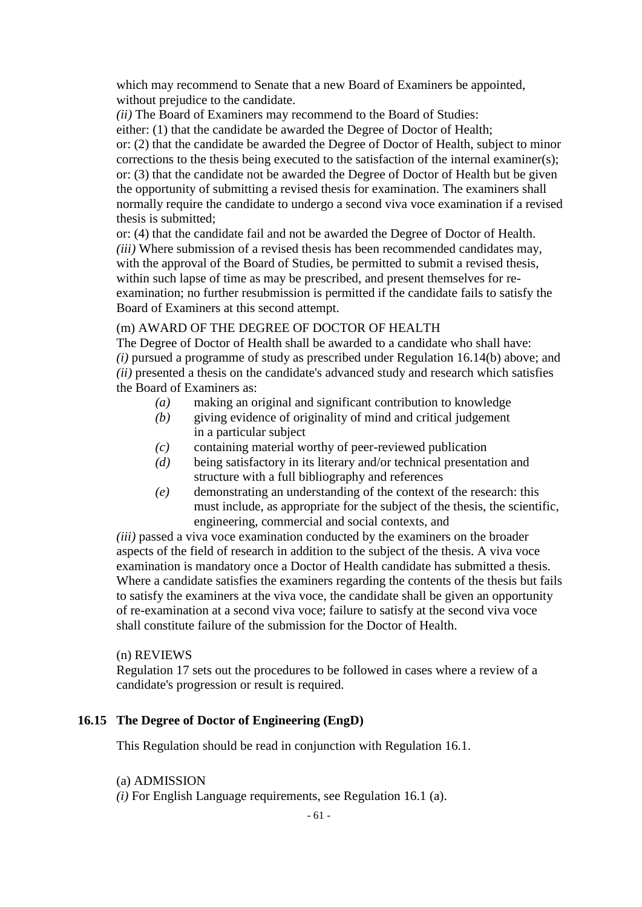which may recommend to Senate that a new Board of Examiners be appointed, without prejudice to the candidate.

*(ii)* The Board of Examiners may recommend to the Board of Studies:

either: (1) that the candidate be awarded the Degree of Doctor of Health; or: (2) that the candidate be awarded the Degree of Doctor of Health, subject to minor corrections to the thesis being executed to the satisfaction of the internal examiner(s); or: (3) that the candidate not be awarded the Degree of Doctor of Health but be given the opportunity of submitting a revised thesis for examination. The examiners shall normally require the candidate to undergo a second viva voce examination if a revised thesis is submitted;

or: (4) that the candidate fail and not be awarded the Degree of Doctor of Health. *(iii)* Where submission of a revised thesis has been recommended candidates may, with the approval of the Board of Studies, be permitted to submit a revised thesis, within such lapse of time as may be prescribed, and present themselves for reexamination; no further resubmission is permitted if the candidate fails to satisfy the Board of Examiners at this second attempt.

## (m) AWARD OF THE DEGREE OF DOCTOR OF HEALTH

The Degree of Doctor of Health shall be awarded to a candidate who shall have: *(i)* pursued a programme of study as prescribed under Regulation 16.14(b) above; and *(ii)* presented a thesis on the candidate's advanced study and research which satisfies the Board of Examiners as:

- *(a)* making an original and significant contribution to knowledge
- *(b)* giving evidence of originality of mind and critical judgement in a particular subject
- *(c)* containing material worthy of peer-reviewed publication
- *(d)* being satisfactory in its literary and/or technical presentation and structure with a full bibliography and references
- *(e)* demonstrating an understanding of the context of the research: this must include, as appropriate for the subject of the thesis, the scientific, engineering, commercial and social contexts, and

*(iii)* passed a viva voce examination conducted by the examiners on the broader aspects of the field of research in addition to the subject of the thesis. A viva voce examination is mandatory once a Doctor of Health candidate has submitted a thesis. Where a candidate satisfies the examiners regarding the contents of the thesis but fails to satisfy the examiners at the viva voce, the candidate shall be given an opportunity of re-examination at a second viva voce; failure to satisfy at the second viva voce shall constitute failure of the submission for the Doctor of Health.

## (n) REVIEWS

Regulation 17 sets out the procedures to be followed in cases where a review of a candidate's progression or result is required.

## **16.15 The Degree of Doctor of Engineering (EngD)**

This Regulation should be read in conjunction with Regulation 16.1.

#### (a) ADMISSION

*(i)* For English Language requirements, see Regulation 16.1 (a).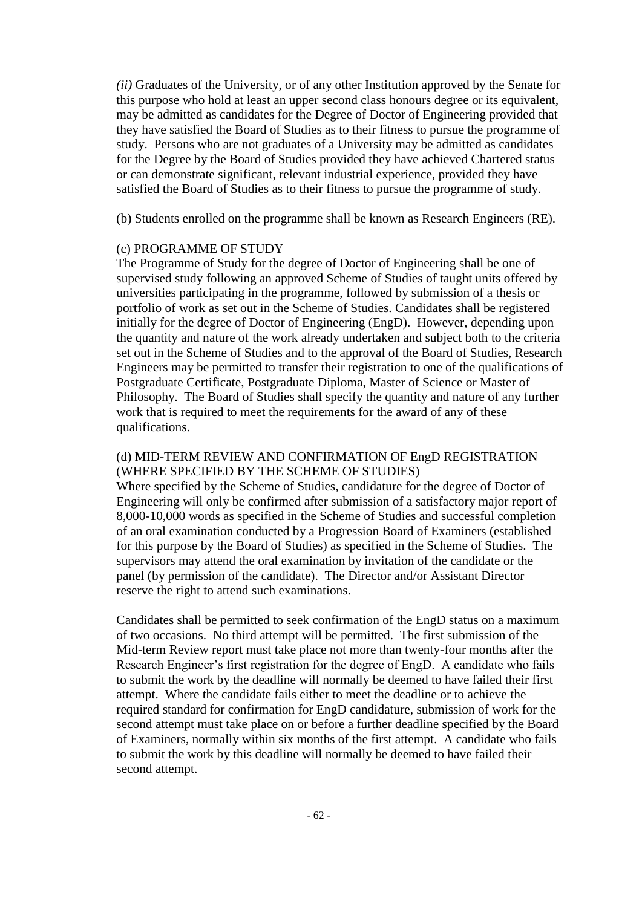*(ii)* Graduates of the University, or of any other Institution approved by the Senate for this purpose who hold at least an upper second class honours degree or its equivalent, may be admitted as candidates for the Degree of Doctor of Engineering provided that they have satisfied the Board of Studies as to their fitness to pursue the programme of study. Persons who are not graduates of a University may be admitted as candidates for the Degree by the Board of Studies provided they have achieved Chartered status or can demonstrate significant, relevant industrial experience, provided they have satisfied the Board of Studies as to their fitness to pursue the programme of study.

(b) Students enrolled on the programme shall be known as Research Engineers (RE).

## (c) PROGRAMME OF STUDY

The Programme of Study for the degree of Doctor of Engineering shall be one of supervised study following an approved Scheme of Studies of taught units offered by universities participating in the programme, followed by submission of a thesis or portfolio of work as set out in the Scheme of Studies. Candidates shall be registered initially for the degree of Doctor of Engineering (EngD). However, depending upon the quantity and nature of the work already undertaken and subject both to the criteria set out in the Scheme of Studies and to the approval of the Board of Studies, Research Engineers may be permitted to transfer their registration to one of the qualifications of Postgraduate Certificate, Postgraduate Diploma, Master of Science or Master of Philosophy. The Board of Studies shall specify the quantity and nature of any further work that is required to meet the requirements for the award of any of these qualifications.

## (d) MID-TERM REVIEW AND CONFIRMATION OF EngD REGISTRATION (WHERE SPECIFIED BY THE SCHEME OF STUDIES)

Where specified by the Scheme of Studies, candidature for the degree of Doctor of Engineering will only be confirmed after submission of a satisfactory major report of 8,000-10,000 words as specified in the Scheme of Studies and successful completion of an oral examination conducted by a Progression Board of Examiners (established for this purpose by the Board of Studies) as specified in the Scheme of Studies. The supervisors may attend the oral examination by invitation of the candidate or the panel (by permission of the candidate). The Director and/or Assistant Director reserve the right to attend such examinations.

Candidates shall be permitted to seek confirmation of the EngD status on a maximum of two occasions. No third attempt will be permitted. The first submission of the Mid-term Review report must take place not more than twenty-four months after the Research Engineer's first registration for the degree of EngD. A candidate who fails to submit the work by the deadline will normally be deemed to have failed their first attempt. Where the candidate fails either to meet the deadline or to achieve the required standard for confirmation for EngD candidature, submission of work for the second attempt must take place on or before a further deadline specified by the Board of Examiners, normally within six months of the first attempt. A candidate who fails to submit the work by this deadline will normally be deemed to have failed their second attempt.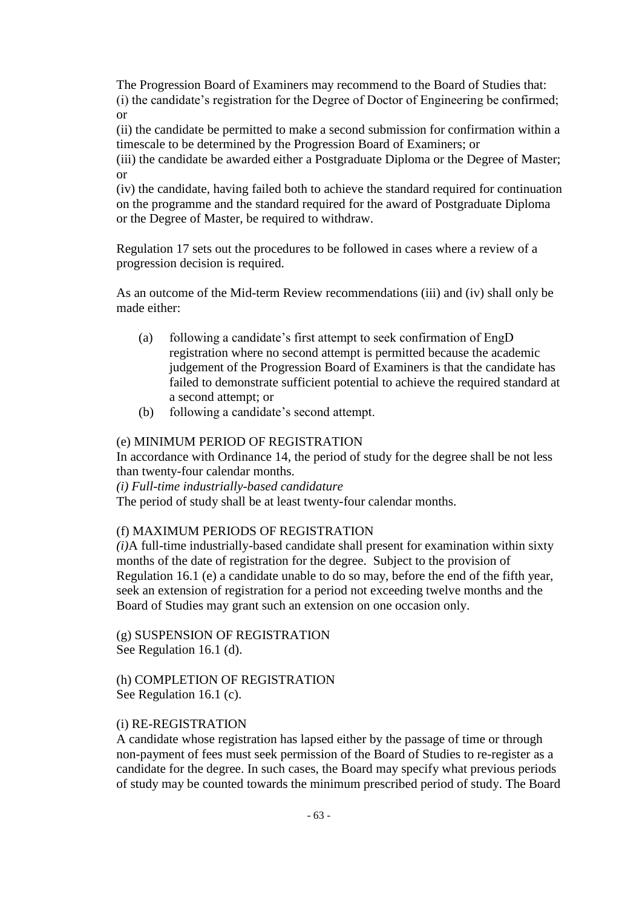The Progression Board of Examiners may recommend to the Board of Studies that: (i) the candidate's registration for the Degree of Doctor of Engineering be confirmed; or

(ii) the candidate be permitted to make a second submission for confirmation within a timescale to be determined by the Progression Board of Examiners; or

(iii) the candidate be awarded either a Postgraduate Diploma or the Degree of Master; or

(iv) the candidate, having failed both to achieve the standard required for continuation on the programme and the standard required for the award of Postgraduate Diploma or the Degree of Master, be required to withdraw.

Regulation 17 sets out the procedures to be followed in cases where a review of a progression decision is required.

As an outcome of the Mid-term Review recommendations (iii) and (iv) shall only be made either:

- (a) following a candidate's first attempt to seek confirmation of EngD registration where no second attempt is permitted because the academic judgement of the Progression Board of Examiners is that the candidate has failed to demonstrate sufficient potential to achieve the required standard at a second attempt; or
- (b) following a candidate's second attempt.

## (e) MINIMUM PERIOD OF REGISTRATION

In accordance with Ordinance 14, the period of study for the degree shall be not less than twenty-four calendar months.

*(i) Full-time industrially-based candidature*

The period of study shall be at least twenty-four calendar months.

## (f) MAXIMUM PERIODS OF REGISTRATION

*(i)*A full-time industrially-based candidate shall present for examination within sixty months of the date of registration for the degree. Subject to the provision of Regulation 16.1 (e) a candidate unable to do so may, before the end of the fifth year, seek an extension of registration for a period not exceeding twelve months and the Board of Studies may grant such an extension on one occasion only.

(g) SUSPENSION OF REGISTRATION See Regulation 16.1 (d).

## (h) COMPLETION OF REGISTRATION See Regulation 16.1 (c).

## (i) RE-REGISTRATION

A candidate whose registration has lapsed either by the passage of time or through non-payment of fees must seek permission of the Board of Studies to re-register as a candidate for the degree. In such cases, the Board may specify what previous periods of study may be counted towards the minimum prescribed period of study. The Board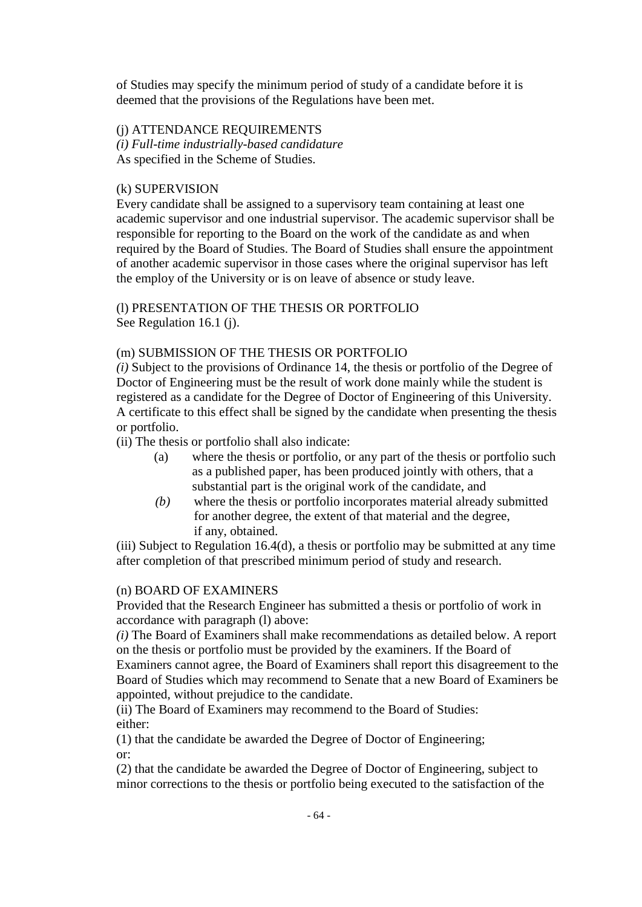of Studies may specify the minimum period of study of a candidate before it is deemed that the provisions of the Regulations have been met.

# (j) ATTENDANCE REQUIREMENTS

*(i) Full-time industrially-based candidature* As specified in the Scheme of Studies.

## (k) SUPERVISION

Every candidate shall be assigned to a supervisory team containing at least one academic supervisor and one industrial supervisor. The academic supervisor shall be responsible for reporting to the Board on the work of the candidate as and when required by the Board of Studies. The Board of Studies shall ensure the appointment of another academic supervisor in those cases where the original supervisor has left the employ of the University or is on leave of absence or study leave.

(l) PRESENTATION OF THE THESIS OR PORTFOLIO See Regulation 16.1 (j).

## (m) SUBMISSION OF THE THESIS OR PORTFOLIO

*(i)* Subject to the provisions of Ordinance 14, the thesis or portfolio of the Degree of Doctor of Engineering must be the result of work done mainly while the student is registered as a candidate for the Degree of Doctor of Engineering of this University. A certificate to this effect shall be signed by the candidate when presenting the thesis or portfolio.

(ii) The thesis or portfolio shall also indicate:

- (a) where the thesis or portfolio, or any part of the thesis or portfolio such as a published paper, has been produced jointly with others, that a substantial part is the original work of the candidate, and
- *(b)* where the thesis or portfolio incorporates material already submitted for another degree, the extent of that material and the degree, if any, obtained.

(iii) Subject to Regulation 16.4(d), a thesis or portfolio may be submitted at any time after completion of that prescribed minimum period of study and research.

## (n) BOARD OF EXAMINERS

Provided that the Research Engineer has submitted a thesis or portfolio of work in accordance with paragraph (l) above:

*(i)* The Board of Examiners shall make recommendations as detailed below. A report on the thesis or portfolio must be provided by the examiners. If the Board of Examiners cannot agree, the Board of Examiners shall report this disagreement to the Board of Studies which may recommend to Senate that a new Board of Examiners be appointed, without prejudice to the candidate.

(ii) The Board of Examiners may recommend to the Board of Studies: either:

(1) that the candidate be awarded the Degree of Doctor of Engineering; or:

(2) that the candidate be awarded the Degree of Doctor of Engineering, subject to minor corrections to the thesis or portfolio being executed to the satisfaction of the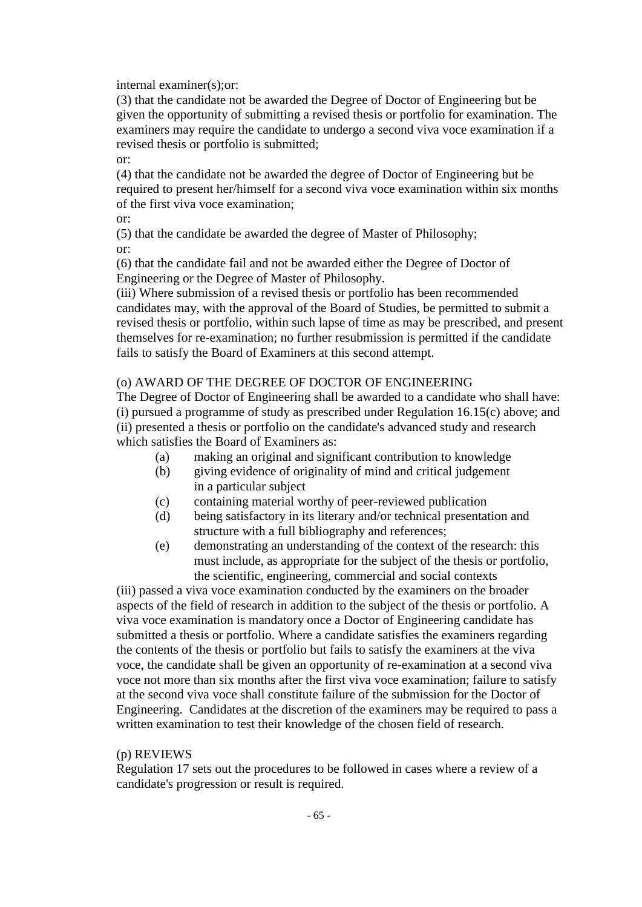internal examiner(s);or:

(3) that the candidate not be awarded the Degree of Doctor of Engineering but be given the opportunity of submitting a revised thesis or portfolio for examination. The examiners may require the candidate to undergo a second viva voce examination if a revised thesis or portfolio is submitted;

or:

(4) that the candidate not be awarded the degree of Doctor of Engineering but be required to present her/himself for a second viva voce examination within six months of the first viva voce examination;

or:

(5) that the candidate be awarded the degree of Master of Philosophy; or:

(6) that the candidate fail and not be awarded either the Degree of Doctor of Engineering or the Degree of Master of Philosophy.

(iii) Where submission of a revised thesis or portfolio has been recommended candidates may, with the approval of the Board of Studies, be permitted to submit a revised thesis or portfolio, within such lapse of time as may be prescribed, and present themselves for re-examination; no further resubmission is permitted if the candidate fails to satisfy the Board of Examiners at this second attempt.

## (o) AWARD OF THE DEGREE OF DOCTOR OF ENGINEERING

The Degree of Doctor of Engineering shall be awarded to a candidate who shall have: (i) pursued a programme of study as prescribed under Regulation 16.15(c) above; and (ii) presented a thesis or portfolio on the candidate's advanced study and research which satisfies the Board of Examiners as:

- (a) making an original and significant contribution to knowledge
- (b) giving evidence of originality of mind and critical judgement in a particular subject
- (c) containing material worthy of peer-reviewed publication
- (d) being satisfactory in its literary and/or technical presentation and structure with a full bibliography and references;
- (e) demonstrating an understanding of the context of the research: this must include, as appropriate for the subject of the thesis or portfolio, the scientific, engineering, commercial and social contexts

(iii) passed a viva voce examination conducted by the examiners on the broader aspects of the field of research in addition to the subject of the thesis or portfolio. A viva voce examination is mandatory once a Doctor of Engineering candidate has submitted a thesis or portfolio. Where a candidate satisfies the examiners regarding the contents of the thesis or portfolio but fails to satisfy the examiners at the viva voce, the candidate shall be given an opportunity of re-examination at a second viva voce not more than six months after the first viva voce examination; failure to satisfy at the second viva voce shall constitute failure of the submission for the Doctor of Engineering. Candidates at the discretion of the examiners may be required to pass a written examination to test their knowledge of the chosen field of research.

## (p) REVIEWS

Regulation 17 sets out the procedures to be followed in cases where a review of a candidate's progression or result is required.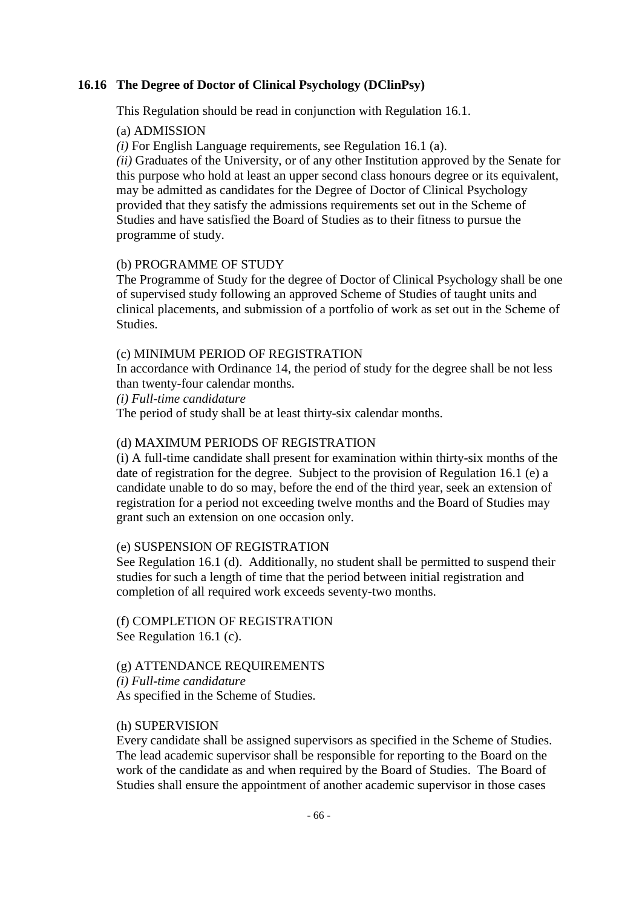## **16.16 The Degree of Doctor of Clinical Psychology (DClinPsy)**

This Regulation should be read in conjunction with Regulation 16.1.

#### (a) ADMISSION

*(i)* For English Language requirements, see Regulation 16.1 (a).

*(ii)* Graduates of the University, or of any other Institution approved by the Senate for this purpose who hold at least an upper second class honours degree or its equivalent, may be admitted as candidates for the Degree of Doctor of Clinical Psychology provided that they satisfy the admissions requirements set out in the Scheme of Studies and have satisfied the Board of Studies as to their fitness to pursue the programme of study.

#### (b) PROGRAMME OF STUDY

The Programme of Study for the degree of Doctor of Clinical Psychology shall be one of supervised study following an approved Scheme of Studies of taught units and clinical placements, and submission of a portfolio of work as set out in the Scheme of Studies.

#### (c) MINIMUM PERIOD OF REGISTRATION

In accordance with Ordinance 14, the period of study for the degree shall be not less than twenty-four calendar months.

*(i) Full-time candidature*

The period of study shall be at least thirty-six calendar months.

#### (d) MAXIMUM PERIODS OF REGISTRATION

(i) A full-time candidate shall present for examination within thirty-six months of the date of registration for the degree. Subject to the provision of Regulation 16.1 (e) a candidate unable to do so may, before the end of the third year, seek an extension of registration for a period not exceeding twelve months and the Board of Studies may grant such an extension on one occasion only.

#### (e) SUSPENSION OF REGISTRATION

See Regulation 16.1 (d). Additionally, no student shall be permitted to suspend their studies for such a length of time that the period between initial registration and completion of all required work exceeds seventy-two months.

(f) COMPLETION OF REGISTRATION See Regulation 16.1 (c).

# (g) ATTENDANCE REQUIREMENTS

*(i) Full-time candidature*

As specified in the Scheme of Studies.

## (h) SUPERVISION

Every candidate shall be assigned supervisors as specified in the Scheme of Studies. The lead academic supervisor shall be responsible for reporting to the Board on the work of the candidate as and when required by the Board of Studies. The Board of Studies shall ensure the appointment of another academic supervisor in those cases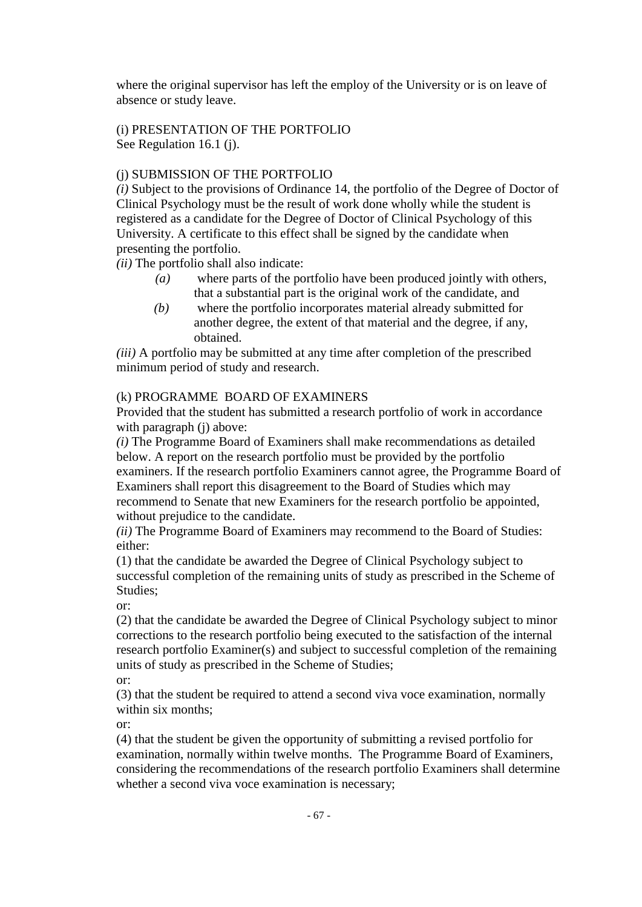where the original supervisor has left the employ of the University or is on leave of absence or study leave.

# (i) PRESENTATION OF THE PORTFOLIO See Regulation 16.1 (j).

# (j) SUBMISSION OF THE PORTFOLIO

*(i)* Subject to the provisions of Ordinance 14, the portfolio of the Degree of Doctor of Clinical Psychology must be the result of work done wholly while the student is registered as a candidate for the Degree of Doctor of Clinical Psychology of this University. A certificate to this effect shall be signed by the candidate when presenting the portfolio.

*(ii)* The portfolio shall also indicate:

- *(a)* where parts of the portfolio have been produced jointly with others, that a substantial part is the original work of the candidate, and
- *(b)* where the portfolio incorporates material already submitted for another degree, the extent of that material and the degree, if any, obtained.

*(iii)* A portfolio may be submitted at any time after completion of the prescribed minimum period of study and research.

# (k) PROGRAMMEBOARD OF EXAMINERS

Provided that the student has submitted a research portfolio of work in accordance with paragraph (j) above:

*(i)* The Programme Board of Examiners shall make recommendations as detailed below. A report on the research portfolio must be provided by the portfolio examiners. If the research portfolio Examiners cannot agree, the Programme Board of Examiners shall report this disagreement to the Board of Studies which may recommend to Senate that new Examiners for the research portfolio be appointed, without prejudice to the candidate.

*(ii)* The Programme Board of Examiners may recommend to the Board of Studies: either:

(1) that the candidate be awarded the Degree of Clinical Psychology subject to successful completion of the remaining units of study as prescribed in the Scheme of Studies;

or:

(2) that the candidate be awarded the Degree of Clinical Psychology subject to minor corrections to the research portfolio being executed to the satisfaction of the internal research portfolio Examiner(s) and subject to successful completion of the remaining units of study as prescribed in the Scheme of Studies;

or:

(3) that the student be required to attend a second viva voce examination, normally within six months;

or:

(4) that the student be given the opportunity of submitting a revised portfolio for examination, normally within twelve months. The Programme Board of Examiners, considering the recommendations of the research portfolio Examiners shall determine whether a second viva voce examination is necessary;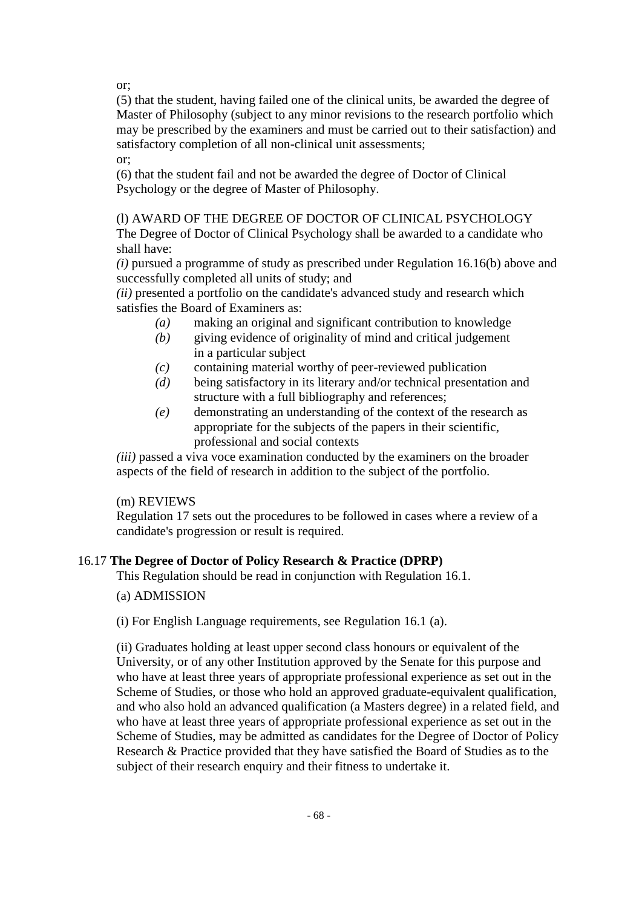or;

(5) that the student, having failed one of the clinical units, be awarded the degree of Master of Philosophy (subject to any minor revisions to the research portfolio which may be prescribed by the examiners and must be carried out to their satisfaction) and satisfactory completion of all non-clinical unit assessments;

or;

(6) that the student fail and not be awarded the degree of Doctor of Clinical Psychology or the degree of Master of Philosophy.

(l) AWARD OF THE DEGREE OF DOCTOR OF CLINICAL PSYCHOLOGY The Degree of Doctor of Clinical Psychology shall be awarded to a candidate who shall have:

*(i)* pursued a programme of study as prescribed under Regulation 16.16(b) above and successfully completed all units of study; and

*(ii)* presented a portfolio on the candidate's advanced study and research which satisfies the Board of Examiners as:

- *(a)* making an original and significant contribution to knowledge
- *(b)* giving evidence of originality of mind and critical judgement in a particular subject
- *(c)* containing material worthy of peer-reviewed publication
- *(d)* being satisfactory in its literary and/or technical presentation and structure with a full bibliography and references;
- *(e)* demonstrating an understanding of the context of the research as appropriate for the subjects of the papers in their scientific, professional and social contexts

*(iii)* passed a viva voce examination conducted by the examiners on the broader aspects of the field of research in addition to the subject of the portfolio.

# (m) REVIEWS

Regulation 17 sets out the procedures to be followed in cases where a review of a candidate's progression or result is required.

# 16.17 **The Degree of Doctor of Policy Research & Practice (DPRP)**

This Regulation should be read in conjunction with Regulation 16.1.

# (a) ADMISSION

# (i) For English Language requirements, see Regulation 16.1 (a).

(ii) Graduates holding at least upper second class honours or equivalent of the University, or of any other Institution approved by the Senate for this purpose and who have at least three years of appropriate professional experience as set out in the Scheme of Studies, or those who hold an approved graduate-equivalent qualification, and who also hold an advanced qualification (a Masters degree) in a related field, and who have at least three years of appropriate professional experience as set out in the Scheme of Studies, may be admitted as candidates for the Degree of Doctor of Policy Research & Practice provided that they have satisfied the Board of Studies as to the subject of their research enquiry and their fitness to undertake it.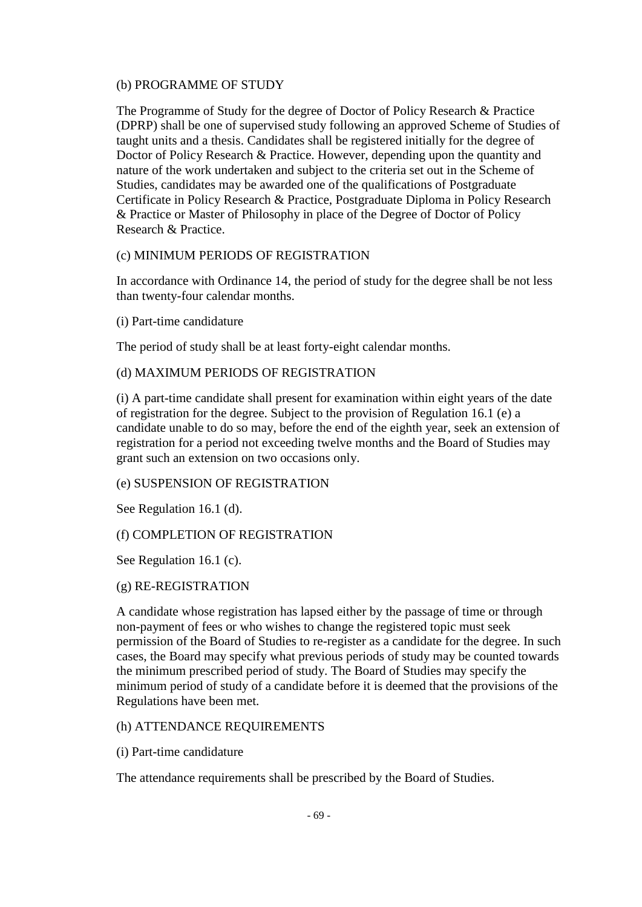#### (b) PROGRAMME OF STUDY

The Programme of Study for the degree of Doctor of Policy Research & Practice (DPRP) shall be one of supervised study following an approved Scheme of Studies of taught units and a thesis. Candidates shall be registered initially for the degree of Doctor of Policy Research & Practice. However, depending upon the quantity and nature of the work undertaken and subject to the criteria set out in the Scheme of Studies, candidates may be awarded one of the qualifications of Postgraduate Certificate in Policy Research & Practice, Postgraduate Diploma in Policy Research & Practice or Master of Philosophy in place of the Degree of Doctor of Policy Research & Practice.

## (c) MINIMUM PERIODS OF REGISTRATION

In accordance with Ordinance 14, the period of study for the degree shall be not less than twenty-four calendar months.

(i) Part-time candidature

The period of study shall be at least forty-eight calendar months.

## (d) MAXIMUM PERIODS OF REGISTRATION

(i) A part-time candidate shall present for examination within eight years of the date of registration for the degree. Subject to the provision of Regulation 16.1 (e) a candidate unable to do so may, before the end of the eighth year, seek an extension of registration for a period not exceeding twelve months and the Board of Studies may grant such an extension on two occasions only.

## (e) SUSPENSION OF REGISTRATION

See Regulation 16.1 (d).

# (f) COMPLETION OF REGISTRATION

See Regulation 16.1 (c).

## (g) RE-REGISTRATION

A candidate whose registration has lapsed either by the passage of time or through non-payment of fees or who wishes to change the registered topic must seek permission of the Board of Studies to re-register as a candidate for the degree. In such cases, the Board may specify what previous periods of study may be counted towards the minimum prescribed period of study. The Board of Studies may specify the minimum period of study of a candidate before it is deemed that the provisions of the Regulations have been met.

## (h) ATTENDANCE REQUIREMENTS

(i) Part-time candidature

The attendance requirements shall be prescribed by the Board of Studies.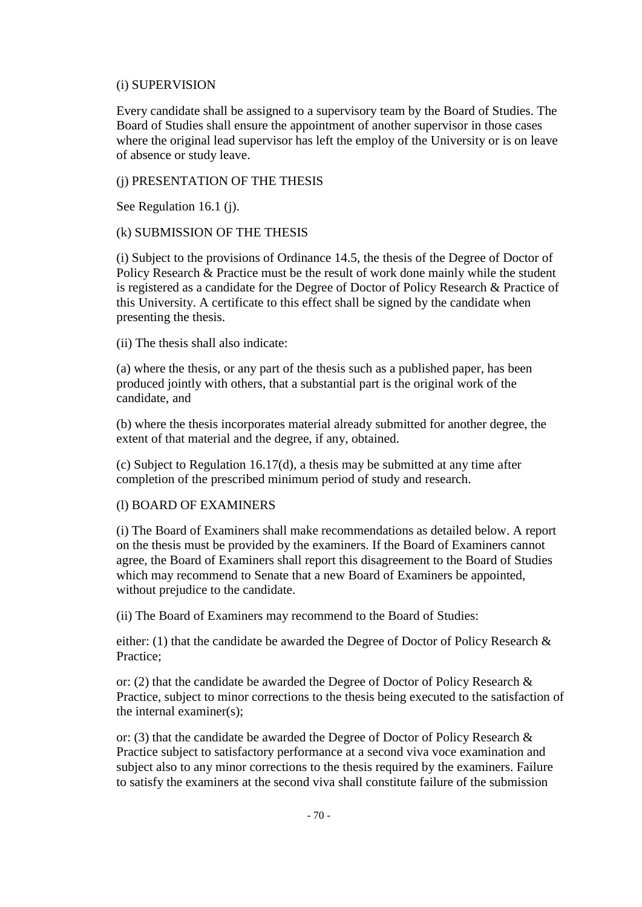## (i) SUPERVISION

Every candidate shall be assigned to a supervisory team by the Board of Studies. The Board of Studies shall ensure the appointment of another supervisor in those cases where the original lead supervisor has left the employ of the University or is on leave of absence or study leave.

## (j) PRESENTATION OF THE THESIS

See Regulation 16.1 (j).

## (k) SUBMISSION OF THE THESIS

(i) Subject to the provisions of Ordinance 14.5, the thesis of the Degree of Doctor of Policy Research & Practice must be the result of work done mainly while the student is registered as a candidate for the Degree of Doctor of Policy Research & Practice of this University. A certificate to this effect shall be signed by the candidate when presenting the thesis.

(ii) The thesis shall also indicate:

(a) where the thesis, or any part of the thesis such as a published paper, has been produced jointly with others, that a substantial part is the original work of the candidate, and

(b) where the thesis incorporates material already submitted for another degree, the extent of that material and the degree, if any, obtained.

(c) Subject to Regulation 16.17(d), a thesis may be submitted at any time after completion of the prescribed minimum period of study and research.

## (l) BOARD OF EXAMINERS

(i) The Board of Examiners shall make recommendations as detailed below. A report on the thesis must be provided by the examiners. If the Board of Examiners cannot agree, the Board of Examiners shall report this disagreement to the Board of Studies which may recommend to Senate that a new Board of Examiners be appointed, without prejudice to the candidate.

(ii) The Board of Examiners may recommend to the Board of Studies:

either: (1) that the candidate be awarded the Degree of Doctor of Policy Research & Practice;

or: (2) that the candidate be awarded the Degree of Doctor of Policy Research & Practice, subject to minor corrections to the thesis being executed to the satisfaction of the internal examiner(s);

or: (3) that the candidate be awarded the Degree of Doctor of Policy Research & Practice subject to satisfactory performance at a second viva voce examination and subject also to any minor corrections to the thesis required by the examiners. Failure to satisfy the examiners at the second viva shall constitute failure of the submission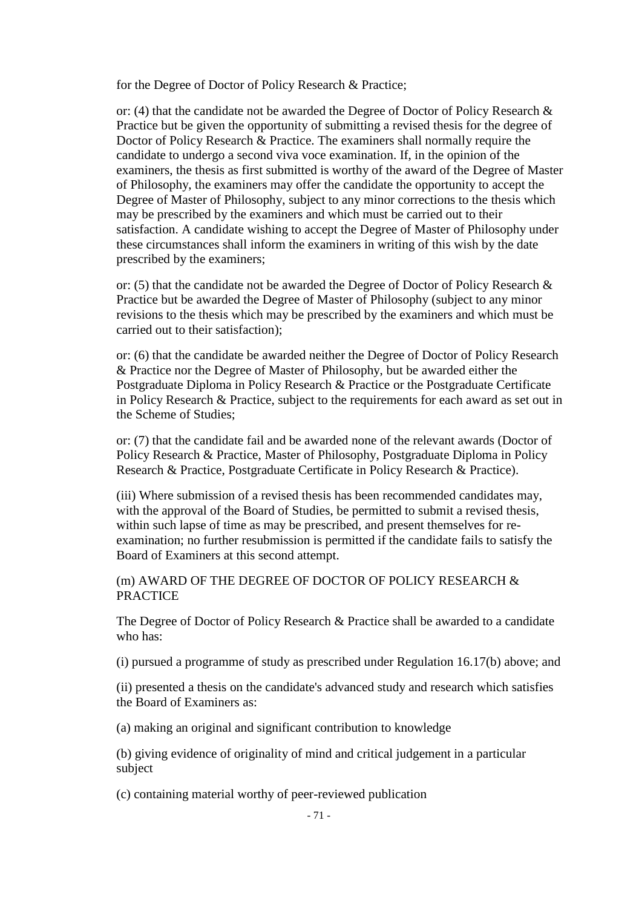for the Degree of Doctor of Policy Research & Practice;

or: (4) that the candidate not be awarded the Degree of Doctor of Policy Research & Practice but be given the opportunity of submitting a revised thesis for the degree of Doctor of Policy Research & Practice. The examiners shall normally require the candidate to undergo a second viva voce examination. If, in the opinion of the examiners, the thesis as first submitted is worthy of the award of the Degree of Master of Philosophy, the examiners may offer the candidate the opportunity to accept the Degree of Master of Philosophy, subject to any minor corrections to the thesis which may be prescribed by the examiners and which must be carried out to their satisfaction. A candidate wishing to accept the Degree of Master of Philosophy under these circumstances shall inform the examiners in writing of this wish by the date prescribed by the examiners;

or: (5) that the candidate not be awarded the Degree of Doctor of Policy Research & Practice but be awarded the Degree of Master of Philosophy (subject to any minor revisions to the thesis which may be prescribed by the examiners and which must be carried out to their satisfaction);

or: (6) that the candidate be awarded neither the Degree of Doctor of Policy Research & Practice nor the Degree of Master of Philosophy, but be awarded either the Postgraduate Diploma in Policy Research & Practice or the Postgraduate Certificate in Policy Research & Practice, subject to the requirements for each award as set out in the Scheme of Studies;

or: (7) that the candidate fail and be awarded none of the relevant awards (Doctor of Policy Research & Practice, Master of Philosophy, Postgraduate Diploma in Policy Research & Practice, Postgraduate Certificate in Policy Research & Practice).

(iii) Where submission of a revised thesis has been recommended candidates may, with the approval of the Board of Studies, be permitted to submit a revised thesis, within such lapse of time as may be prescribed, and present themselves for reexamination; no further resubmission is permitted if the candidate fails to satisfy the Board of Examiners at this second attempt.

## (m) AWARD OF THE DEGREE OF DOCTOR OF POLICY RESEARCH & PRACTICE

The Degree of Doctor of Policy Research & Practice shall be awarded to a candidate who has:

(i) pursued a programme of study as prescribed under Regulation 16.17(b) above; and

(ii) presented a thesis on the candidate's advanced study and research which satisfies the Board of Examiners as:

(a) making an original and significant contribution to knowledge

(b) giving evidence of originality of mind and critical judgement in a particular subject

(c) containing material worthy of peer-reviewed publication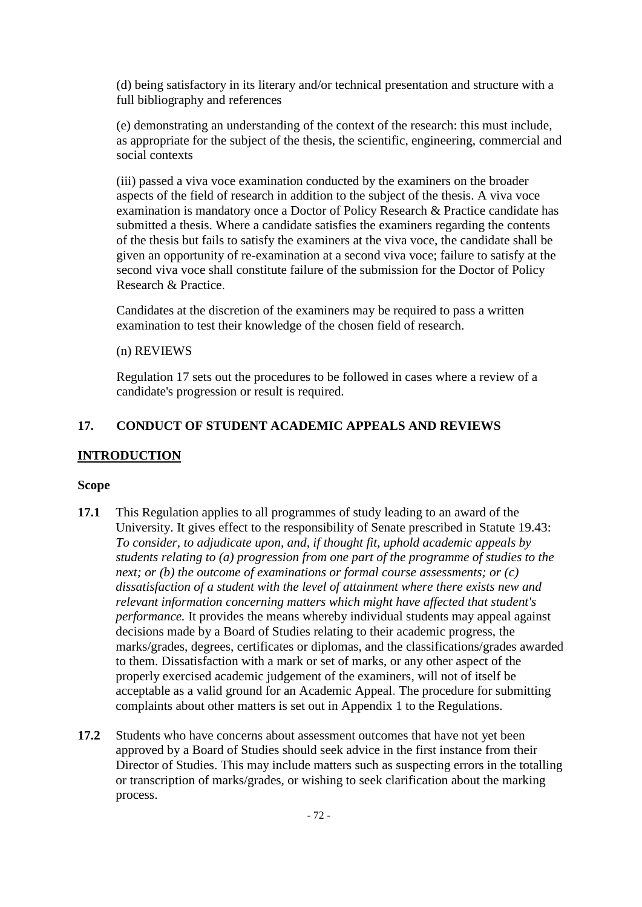(d) being satisfactory in its literary and/or technical presentation and structure with a full bibliography and references

(e) demonstrating an understanding of the context of the research: this must include, as appropriate for the subject of the thesis, the scientific, engineering, commercial and social contexts

(iii) passed a viva voce examination conducted by the examiners on the broader aspects of the field of research in addition to the subject of the thesis. A viva voce examination is mandatory once a Doctor of Policy Research & Practice candidate has submitted a thesis. Where a candidate satisfies the examiners regarding the contents of the thesis but fails to satisfy the examiners at the viva voce, the candidate shall be given an opportunity of re-examination at a second viva voce; failure to satisfy at the second viva voce shall constitute failure of the submission for the Doctor of Policy Research & Practice.

Candidates at the discretion of the examiners may be required to pass a written examination to test their knowledge of the chosen field of research.

## (n) REVIEWS

Regulation 17 sets out the procedures to be followed in cases where a review of a candidate's progression or result is required.

## **17. CONDUCT OF STUDENT ACADEMIC APPEALS AND REVIEWS**

## **INTRODUCTION**

## **Scope**

- **17.1** This Regulation applies to all programmes of study leading to an award of the University. It gives effect to the responsibility of Senate prescribed in Statute 19.43: *To consider, to adjudicate upon, and, if thought fit, uphold academic appeals by students relating to (a) progression from one part of the programme of studies to the next; or (b) the outcome of examinations or formal course assessments; or (c) dissatisfaction of a student with the level of attainment where there exists new and relevant information concerning matters which might have affected that student's performance.* It provides the means whereby individual students may appeal against decisions made by a Board of Studies relating to their academic progress, the marks/grades, degrees, certificates or diplomas, and the classifications/grades awarded to them. Dissatisfaction with a mark or set of marks, or any other aspect of the properly exercised academic judgement of the examiners, will not of itself be acceptable as a valid ground for an Academic Appeal. The procedure for submitting complaints about other matters is set out in Appendix 1 to the Regulations.
- **17.2** Students who have concerns about assessment outcomes that have not yet been approved by a Board of Studies should seek advice in the first instance from their Director of Studies. This may include matters such as suspecting errors in the totalling or transcription of marks/grades, or wishing to seek clarification about the marking process.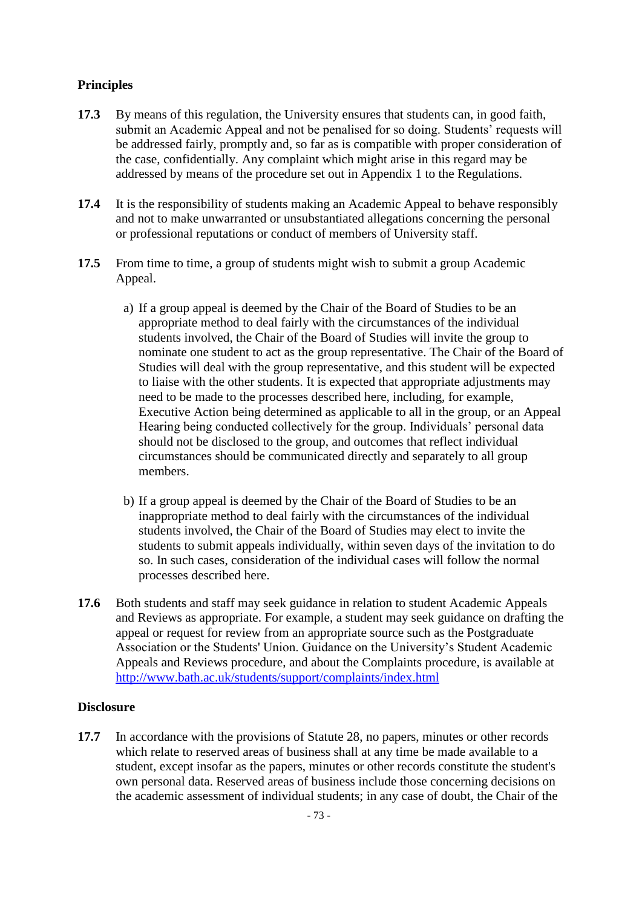# **Principles**

- **17.3** By means of this regulation, the University ensures that students can, in good faith, submit an Academic Appeal and not be penalised for so doing. Students' requests will be addressed fairly, promptly and, so far as is compatible with proper consideration of the case, confidentially. Any complaint which might arise in this regard may be addressed by means of the procedure set out in Appendix 1 to the Regulations.
- **17.4** It is the responsibility of students making an Academic Appeal to behave responsibly and not to make unwarranted or unsubstantiated allegations concerning the personal or professional reputations or conduct of members of University staff.
- **17.5** From time to time, a group of students might wish to submit a group Academic Appeal.
	- a) If a group appeal is deemed by the Chair of the Board of Studies to be an appropriate method to deal fairly with the circumstances of the individual students involved, the Chair of the Board of Studies will invite the group to nominate one student to act as the group representative. The Chair of the Board of Studies will deal with the group representative, and this student will be expected to liaise with the other students. It is expected that appropriate adjustments may need to be made to the processes described here, including, for example, Executive Action being determined as applicable to all in the group, or an Appeal Hearing being conducted collectively for the group. Individuals' personal data should not be disclosed to the group, and outcomes that reflect individual circumstances should be communicated directly and separately to all group members.
	- b) If a group appeal is deemed by the Chair of the Board of Studies to be an inappropriate method to deal fairly with the circumstances of the individual students involved, the Chair of the Board of Studies may elect to invite the students to submit appeals individually, within seven days of the invitation to do so. In such cases, consideration of the individual cases will follow the normal processes described here.
- **17.6** Both students and staff may seek guidance in relation to student Academic Appeals and Reviews as appropriate. For example, a student may seek guidance on drafting the appeal or request for review from an appropriate source such as the Postgraduate Association or the Students' Union. Guidance on the University's Student Academic Appeals and Reviews procedure, and about the Complaints procedure, is available at <http://www.bath.ac.uk/students/support/complaints/index.html>

# **Disclosure**

**17.7** In accordance with the provisions of Statute 28, no papers, minutes or other records which relate to reserved areas of business shall at any time be made available to a student, except insofar as the papers, minutes or other records constitute the student's own personal data. Reserved areas of business include those concerning decisions on the academic assessment of individual students; in any case of doubt, the Chair of the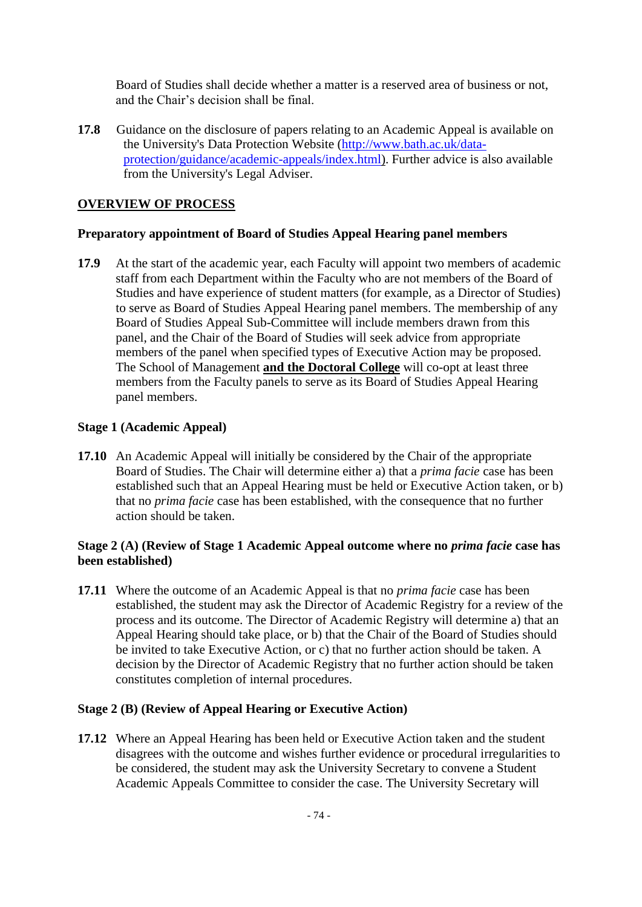Board of Studies shall decide whether a matter is a reserved area of business or not, and the Chair's decision shall be final.

**17.8** Guidance on the disclosure of papers relating to an Academic Appeal is available on the University's Data Protection Website [\(http://www.bath.ac.uk/data](http://www.bath.ac.uk/data-protection/guidance/academic-appeals/index.html)[protection/guidance/academic-appeals/index.html\)](http://www.bath.ac.uk/data-protection/guidance/academic-appeals/index.html). Further advice is also available from the University's Legal Adviser.

### **OVERVIEW OF PROCESS**

#### **Preparatory appointment of Board of Studies Appeal Hearing panel members**

**17.9** At the start of the academic year, each Faculty will appoint two members of academic staff from each Department within the Faculty who are not members of the Board of Studies and have experience of student matters (for example, as a Director of Studies) to serve as Board of Studies Appeal Hearing panel members. The membership of any Board of Studies Appeal Sub-Committee will include members drawn from this panel, and the Chair of the Board of Studies will seek advice from appropriate members of the panel when specified types of Executive Action may be proposed. The School of Management **and the Doctoral College** will co-opt at least three members from the Faculty panels to serve as its Board of Studies Appeal Hearing panel members.

### **Stage 1 (Academic Appeal)**

**17.10** An Academic Appeal will initially be considered by the Chair of the appropriate Board of Studies. The Chair will determine either a) that a *prima facie* case has been established such that an Appeal Hearing must be held or Executive Action taken, or b) that no *prima facie* case has been established, with the consequence that no further action should be taken.

### **Stage 2 (A) (Review of Stage 1 Academic Appeal outcome where no** *prima facie* **case has been established)**

**17.11** Where the outcome of an Academic Appeal is that no *prima facie* case has been established, the student may ask the Director of Academic Registry for a review of the process and its outcome. The Director of Academic Registry will determine a) that an Appeal Hearing should take place, or b) that the Chair of the Board of Studies should be invited to take Executive Action, or c) that no further action should be taken. A decision by the Director of Academic Registry that no further action should be taken constitutes completion of internal procedures.

# **Stage 2 (B) (Review of Appeal Hearing or Executive Action)**

**17.12** Where an Appeal Hearing has been held or Executive Action taken and the student disagrees with the outcome and wishes further evidence or procedural irregularities to be considered, the student may ask the University Secretary to convene a Student Academic Appeals Committee to consider the case. The University Secretary will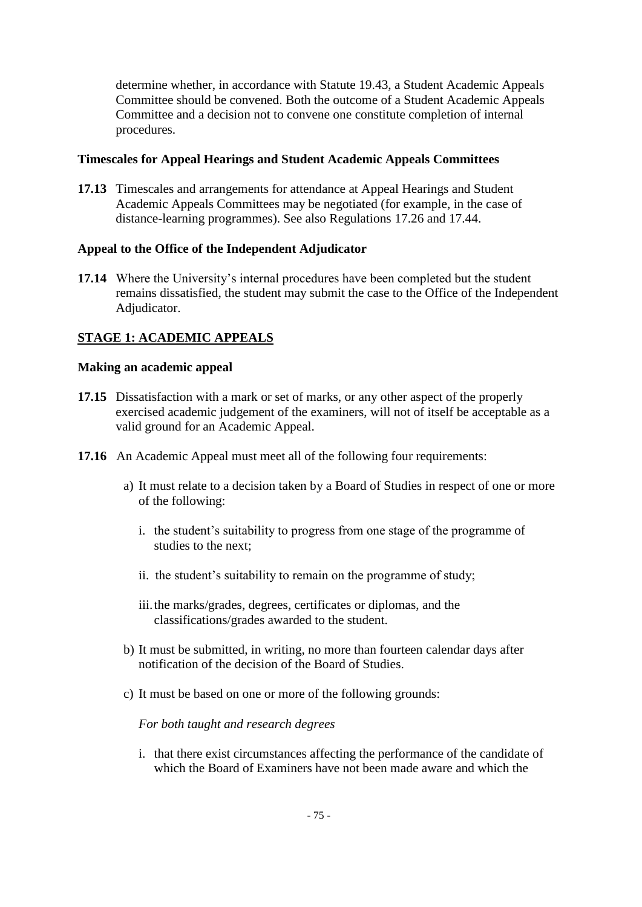determine whether, in accordance with Statute 19.43, a Student Academic Appeals Committee should be convened. Both the outcome of a Student Academic Appeals Committee and a decision not to convene one constitute completion of internal procedures.

# **Timescales for Appeal Hearings and Student Academic Appeals Committees**

**17.13** Timescales and arrangements for attendance at Appeal Hearings and Student Academic Appeals Committees may be negotiated (for example, in the case of distance-learning programmes). See also Regulations [17.26](#page-77-0) and [17.44.](#page-80-0)

### **Appeal to the Office of the Independent Adjudicator**

**17.14** Where the University's internal procedures have been completed but the student remains dissatisfied, the student may submit the case to the Office of the Independent Adjudicator.

# **STAGE 1: ACADEMIC APPEALS**

#### **Making an academic appeal**

- **17.15** Dissatisfaction with a mark or set of marks, or any other aspect of the properly exercised academic judgement of the examiners, will not of itself be acceptable as a valid ground for an Academic Appeal.
- **17.16** An Academic Appeal must meet all of the following four requirements:
	- a) It must relate to a decision taken by a Board of Studies in respect of one or more of the following:
		- i. the student's suitability to progress from one stage of the programme of studies to the next;
		- ii. the student's suitability to remain on the programme of study;
		- iii.the marks/grades, degrees, certificates or diplomas, and the classifications/grades awarded to the student.
	- b) It must be submitted, in writing, no more than fourteen calendar days after notification of the decision of the Board of Studies.
	- c) It must be based on one or more of the following grounds:

*For both taught and research degrees*

i. that there exist circumstances affecting the performance of the candidate of which the Board of Examiners have not been made aware and which the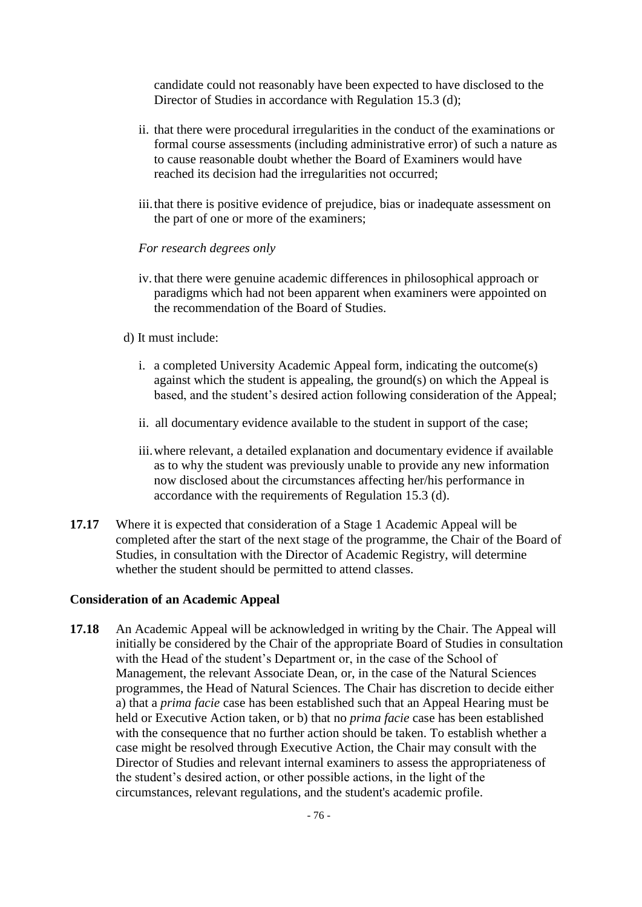candidate could not reasonably have been expected to have disclosed to the Director of Studies in accordance with Regulation 15.3 (d);

- ii. that there were procedural irregularities in the conduct of the examinations or formal course assessments (including administrative error) of such a nature as to cause reasonable doubt whether the Board of Examiners would have reached its decision had the irregularities not occurred;
- iii. that there is positive evidence of prejudice, bias or inadequate assessment on the part of one or more of the examiners;

#### *For research degrees only*

- iv. that there were genuine academic differences in philosophical approach or paradigms which had not been apparent when examiners were appointed on the recommendation of the Board of Studies.
- d) It must include:
	- i. a completed University Academic Appeal form, indicating the outcome(s) against which the student is appealing, the ground(s) on which the Appeal is based, and the student's desired action following consideration of the Appeal;
	- ii. all documentary evidence available to the student in support of the case;
	- iii.where relevant, a detailed explanation and documentary evidence if available as to why the student was previously unable to provide any new information now disclosed about the circumstances affecting her/his performance in accordance with the requirements of Regulation 15.3 (d).
- **17.17** Where it is expected that consideration of a Stage 1 Academic Appeal will be completed after the start of the next stage of the programme, the Chair of the Board of Studies, in consultation with the Director of Academic Registry, will determine whether the student should be permitted to attend classes.

#### **Consideration of an Academic Appeal**

**17.18** An Academic Appeal will be acknowledged in writing by the Chair. The Appeal will initially be considered by the Chair of the appropriate Board of Studies in consultation with the Head of the student's Department or, in the case of the School of Management, the relevant Associate Dean, or, in the case of the Natural Sciences programmes, the Head of Natural Sciences. The Chair has discretion to decide either a) that a *prima facie* case has been established such that an Appeal Hearing must be held or Executive Action taken, or b) that no *prima facie* case has been established with the consequence that no further action should be taken. To establish whether a case might be resolved through Executive Action, the Chair may consult with the Director of Studies and relevant internal examiners to assess the appropriateness of the student's desired action, or other possible actions, in the light of the circumstances, relevant regulations, and the student's academic profile.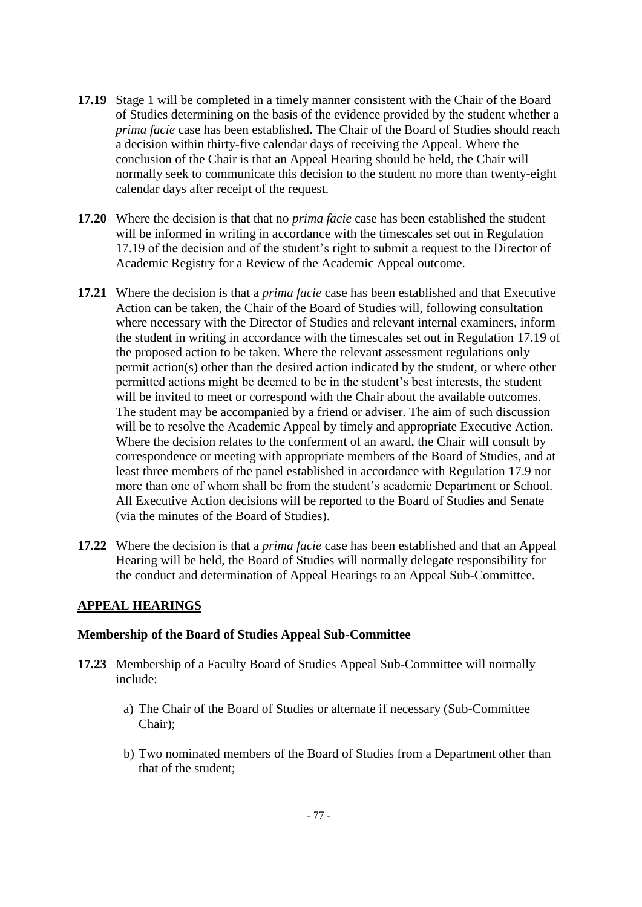- <span id="page-76-0"></span>**17.19** Stage 1 will be completed in a timely manner consistent with the Chair of the Board of Studies determining on the basis of the evidence provided by the student whether a *prima facie* case has been established. The Chair of the Board of Studies should reach a decision within thirty-five calendar days of receiving the Appeal. Where the conclusion of the Chair is that an Appeal Hearing should be held, the Chair will normally seek to communicate this decision to the student no more than twenty-eight calendar days after receipt of the request.
- **17.20** Where the decision is that that no *prima facie* case has been established the student will be informed in writing in accordance with the timescales set out in Regulation [17.19](#page-76-0) of the decision and of the student's right to submit a request to the Director of Academic Registry for a Review of the Academic Appeal outcome.
- <span id="page-76-2"></span>**17.21** Where the decision is that a *prima facie* case has been established and that Executive Action can be taken, the Chair of the Board of Studies will, following consultation where necessary with the Director of Studies and relevant internal examiners, inform the student in writing in accordance with the timescales set out in Regulation [17.19](#page-76-0) of the proposed action to be taken. Where the relevant assessment regulations only permit action(s) other than the desired action indicated by the student, or where other permitted actions might be deemed to be in the student's best interests, the student will be invited to meet or correspond with the Chair about the available outcomes. The student may be accompanied by a friend or adviser. The aim of such discussion will be to resolve the Academic Appeal by timely and appropriate Executive Action. Where the decision relates to the conferment of an award, the Chair will consult by correspondence or meeting with appropriate members of the Board of Studies, and at least three members of the panel established in accordance with Regulation 17.9 not more than one of whom shall be from the student's academic Department or School. All Executive Action decisions will be reported to the Board of Studies and Senate (via the minutes of the Board of Studies).
- **17.22** Where the decision is that a *prima facie* case has been established and that an Appeal Hearing will be held, the Board of Studies will normally delegate responsibility for the conduct and determination of Appeal Hearings to an Appeal Sub-Committee.

# **APPEAL HEARINGS**

#### **Membership of the Board of Studies Appeal Sub-Committee**

- <span id="page-76-1"></span>**17.23** Membership of a Faculty Board of Studies Appeal Sub-Committee will normally include:
	- a) The Chair of the Board of Studies or alternate if necessary (Sub-Committee Chair);
	- b) Two nominated members of the Board of Studies from a Department other than that of the student;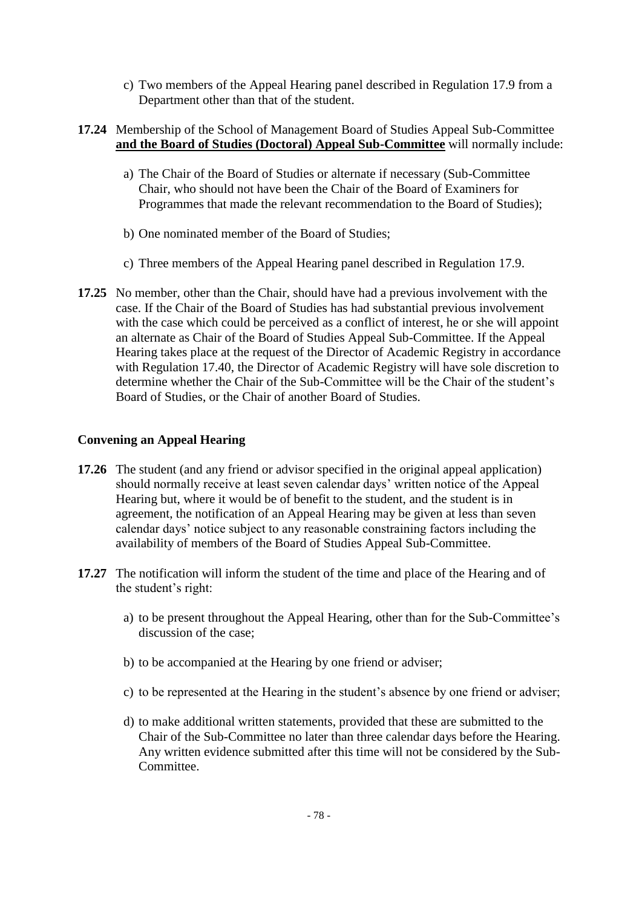c) Two members of the Appeal Hearing panel described in Regulation 17.9 from a Department other than that of the student.

# **17.24** Membership of the School of Management Board of Studies Appeal Sub-Committee **and the Board of Studies (Doctoral) Appeal Sub-Committee** will normally include:

- a) The Chair of the Board of Studies or alternate if necessary (Sub-Committee Chair, who should not have been the Chair of the Board of Examiners for Programmes that made the relevant recommendation to the Board of Studies);
- b) One nominated member of the Board of Studies;
- c) Three members of the Appeal Hearing panel described in Regulation 17.9.
- **17.25** No member, other than the Chair, should have had a previous involvement with the case. If the Chair of the Board of Studies has had substantial previous involvement with the case which could be perceived as a conflict of interest, he or she will appoint an alternate as Chair of the Board of Studies Appeal Sub-Committee. If the Appeal Hearing takes place at the request of the Director of Academic Registry in accordance with Regulation [17.40,](#page-80-1) the Director of Academic Registry will have sole discretion to determine whether the Chair of the Sub-Committee will be the Chair of the student's Board of Studies, or the Chair of another Board of Studies.

# **Convening an Appeal Hearing**

- <span id="page-77-0"></span>**17.26** The student (and any friend or advisor specified in the original appeal application) should normally receive at least seven calendar days' written notice of the Appeal Hearing but, where it would be of benefit to the student, and the student is in agreement, the notification of an Appeal Hearing may be given at less than seven calendar days' notice subject to any reasonable constraining factors including the availability of members of the Board of Studies Appeal Sub-Committee.
- **17.27** The notification will inform the student of the time and place of the Hearing and of the student's right:
	- a) to be present throughout the Appeal Hearing, other than for the Sub-Committee's discussion of the case;
	- b) to be accompanied at the Hearing by one friend or adviser;
	- c) to be represented at the Hearing in the student's absence by one friend or adviser;
	- d) to make additional written statements, provided that these are submitted to the Chair of the Sub-Committee no later than three calendar days before the Hearing. Any written evidence submitted after this time will not be considered by the Sub-Committee.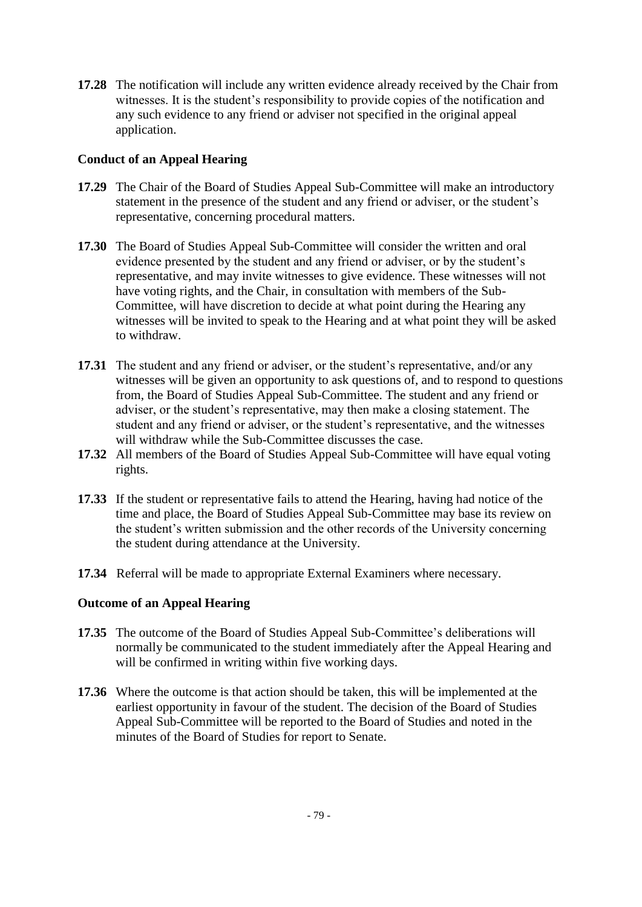**17.28** The notification will include any written evidence already received by the Chair from witnesses. It is the student's responsibility to provide copies of the notification and any such evidence to any friend or adviser not specified in the original appeal application.

# **Conduct of an Appeal Hearing**

- **17.29** The Chair of the Board of Studies Appeal Sub-Committee will make an introductory statement in the presence of the student and any friend or adviser, or the student's representative, concerning procedural matters.
- **17.30** The Board of Studies Appeal Sub-Committee will consider the written and oral evidence presented by the student and any friend or adviser, or by the student's representative, and may invite witnesses to give evidence. These witnesses will not have voting rights, and the Chair, in consultation with members of the Sub-Committee, will have discretion to decide at what point during the Hearing any witnesses will be invited to speak to the Hearing and at what point they will be asked to withdraw.
- **17.31** The student and any friend or adviser, or the student's representative, and/or any witnesses will be given an opportunity to ask questions of, and to respond to questions from, the Board of Studies Appeal Sub-Committee. The student and any friend or adviser, or the student's representative, may then make a closing statement. The student and any friend or adviser, or the student's representative, and the witnesses will withdraw while the Sub-Committee discusses the case.
- **17.32** All members of the Board of Studies Appeal Sub-Committee will have equal voting rights.
- **17.33** If the student or representative fails to attend the Hearing, having had notice of the time and place, the Board of Studies Appeal Sub-Committee may base its review on the student's written submission and the other records of the University concerning the student during attendance at the University.
- **17.34** Referral will be made to appropriate External Examiners where necessary.

# **Outcome of an Appeal Hearing**

- **17.35** The outcome of the Board of Studies Appeal Sub-Committee's deliberations will normally be communicated to the student immediately after the Appeal Hearing and will be confirmed in writing within five working days.
- **17.36** Where the outcome is that action should be taken, this will be implemented at the earliest opportunity in favour of the student. The decision of the Board of Studies Appeal Sub-Committee will be reported to the Board of Studies and noted in the minutes of the Board of Studies for report to Senate.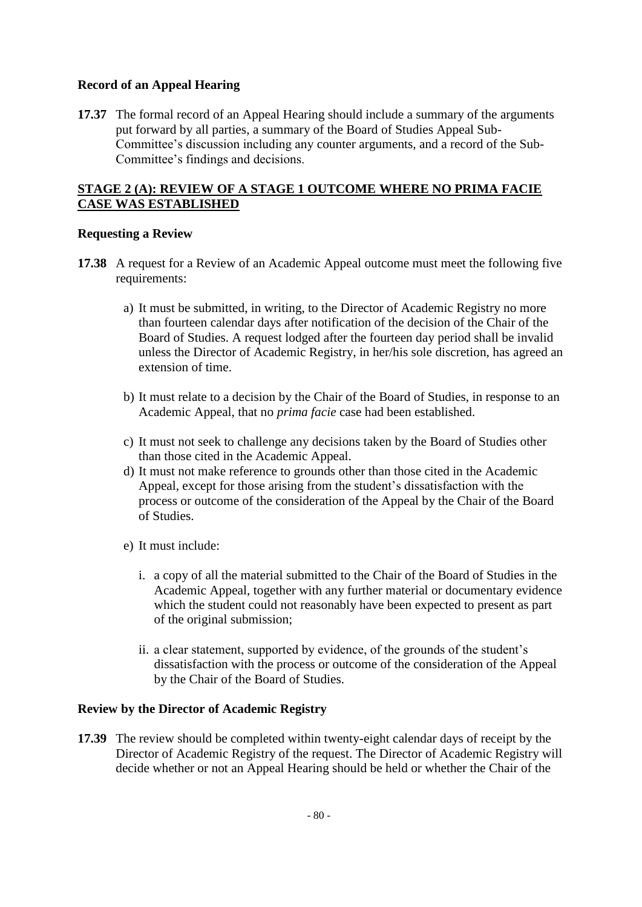### **Record of an Appeal Hearing**

<span id="page-79-0"></span>**17.37** The formal record of an Appeal Hearing should include a summary of the arguments put forward by all parties, a summary of the Board of Studies Appeal Sub-Committee's discussion including any counter arguments, and a record of the Sub-Committee's findings and decisions.

# **STAGE 2 (A): REVIEW OF A STAGE 1 OUTCOME WHERE NO PRIMA FACIE CASE WAS ESTABLISHED**

### **Requesting a Review**

- **17.38** A request for a Review of an Academic Appeal outcome must meet the following five requirements:
	- a) It must be submitted, in writing, to the Director of Academic Registry no more than fourteen calendar days after notification of the decision of the Chair of the Board of Studies. A request lodged after the fourteen day period shall be invalid unless the Director of Academic Registry, in her/his sole discretion, has agreed an extension of time.
	- b) It must relate to a decision by the Chair of the Board of Studies, in response to an Academic Appeal, that no *prima facie* case had been established.
	- c) It must not seek to challenge any decisions taken by the Board of Studies other than those cited in the Academic Appeal.
	- d) It must not make reference to grounds other than those cited in the Academic Appeal, except for those arising from the student's dissatisfaction with the process or outcome of the consideration of the Appeal by the Chair of the Board of Studies.
	- e) It must include:
		- i. a copy of all the material submitted to the Chair of the Board of Studies in the Academic Appeal, together with any further material or documentary evidence which the student could not reasonably have been expected to present as part of the original submission;
		- ii. a clear statement, supported by evidence, of the grounds of the student's dissatisfaction with the process or outcome of the consideration of the Appeal by the Chair of the Board of Studies.

# **Review by the Director of Academic Registry**

**17.39** The review should be completed within twenty-eight calendar days of receipt by the Director of Academic Registry of the request. The Director of Academic Registry will decide whether or not an Appeal Hearing should be held or whether the Chair of the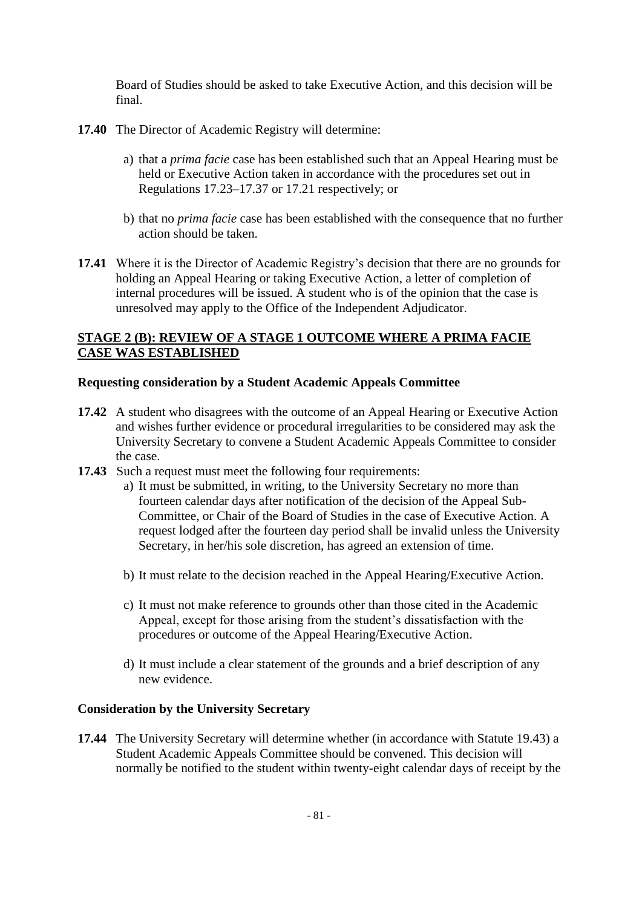Board of Studies should be asked to take Executive Action, and this decision will be final.

- <span id="page-80-1"></span>**17.40** The Director of Academic Registry will determine:
	- a) that a *prima facie* case has been established such that an Appeal Hearing must be held or Executive Action taken in accordance with the procedures set out in Regulations [17.23–](#page-76-1)[17.37](#page-79-0) or [17.21](#page-76-2) respectively; or
	- b) that no *prima facie* case has been established with the consequence that no further action should be taken.
- **17.41** Where it is the Director of Academic Registry's decision that there are no grounds for holding an Appeal Hearing or taking Executive Action, a letter of completion of internal procedures will be issued. A student who is of the opinion that the case is unresolved may apply to the Office of the Independent Adjudicator.

### **STAGE 2 (B): REVIEW OF A STAGE 1 OUTCOME WHERE A PRIMA FACIE CASE WAS ESTABLISHED**

### **Requesting consideration by a Student Academic Appeals Committee**

- **17.42** A student who disagrees with the outcome of an Appeal Hearing or Executive Action and wishes further evidence or procedural irregularities to be considered may ask the University Secretary to convene a Student Academic Appeals Committee to consider the case.
- **17.43** Such a request must meet the following four requirements:
	- a) It must be submitted, in writing, to the University Secretary no more than fourteen calendar days after notification of the decision of the Appeal Sub-Committee, or Chair of the Board of Studies in the case of Executive Action. A request lodged after the fourteen day period shall be invalid unless the University Secretary, in her/his sole discretion, has agreed an extension of time.
	- b) It must relate to the decision reached in the Appeal Hearing/Executive Action.
	- c) It must not make reference to grounds other than those cited in the Academic Appeal, except for those arising from the student's dissatisfaction with the procedures or outcome of the Appeal Hearing/Executive Action.
	- d) It must include a clear statement of the grounds and a brief description of any new evidence.

#### **Consideration by the University Secretary**

<span id="page-80-0"></span>**17.44** The University Secretary will determine whether (in accordance with Statute 19.43) a Student Academic Appeals Committee should be convened. This decision will normally be notified to the student within twenty-eight calendar days of receipt by the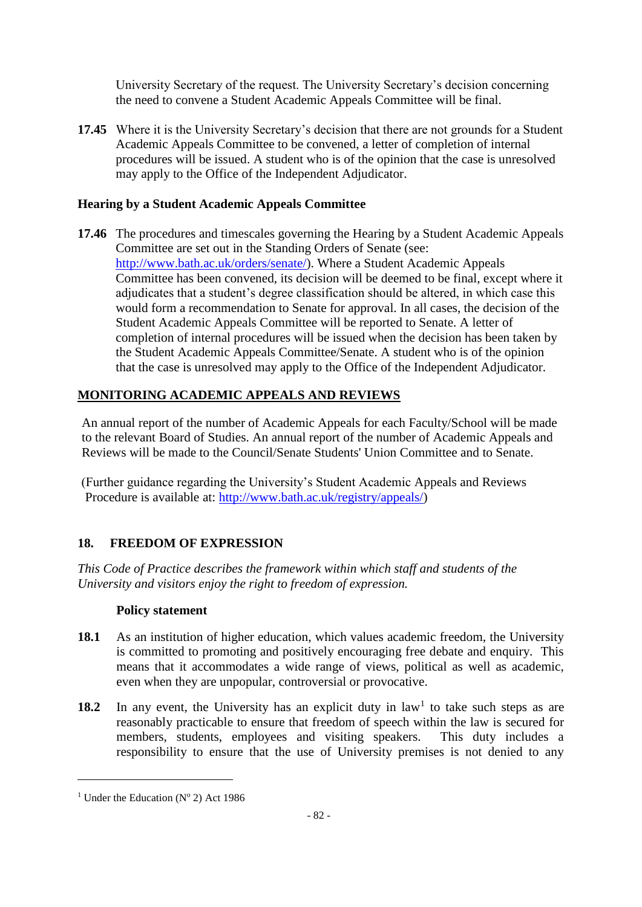University Secretary of the request. The University Secretary's decision concerning the need to convene a Student Academic Appeals Committee will be final.

**17.45** Where it is the University Secretary's decision that there are not grounds for a Student Academic Appeals Committee to be convened, a letter of completion of internal procedures will be issued. A student who is of the opinion that the case is unresolved may apply to the Office of the Independent Adjudicator.

# **Hearing by a Student Academic Appeals Committee**

**17.46** The procedures and timescales governing the Hearing by a Student Academic Appeals Committee are set out in the Standing Orders of Senate (see: [http://www.bath.ac.uk/orders/senate/\)](http://www.bath.ac.uk/orders/senate/). Where a Student Academic Appeals Committee has been convened, its decision will be deemed to be final, except where it adjudicates that a student's degree classification should be altered, in which case this would form a recommendation to Senate for approval. In all cases, the decision of the Student Academic Appeals Committee will be reported to Senate. A letter of completion of internal procedures will be issued when the decision has been taken by the Student Academic Appeals Committee/Senate. A student who is of the opinion that the case is unresolved may apply to the Office of the Independent Adjudicator.

# **MONITORING ACADEMIC APPEALS AND REVIEWS**

An annual report of the number of Academic Appeals for each Faculty/School will be made to the relevant Board of Studies. An annual report of the number of Academic Appeals and Reviews will be made to the Council/Senate Students' Union Committee and to Senate.

(Further guidance regarding the University's Student Academic Appeals and Reviews Procedure is available at: [http://www.bath.ac.uk/registry/appeals/\)](http://www.bath.ac.uk/registry/appeals/)

# **18. FREEDOM OF EXPRESSION**

*This Code of Practice describes the framework within which staff and students of the University and visitors enjoy the right to freedom of expression.*

# **Policy statement**

- **18.1** As an institution of higher education, which values academic freedom, the University is committed to promoting and positively encouraging free debate and enquiry. This means that it accommodates a wide range of views, political as well as academic, even when they are unpopular, controversial or provocative.
- 18.2 In any event, the University has an explicit duty in  $law<sup>1</sup>$  to take such steps as are reasonably practicable to ensure that freedom of speech within the law is secured for members, students, employees and visiting speakers. This duty includes a responsibility to ensure that the use of University premises is not denied to any

1

<sup>&</sup>lt;sup>1</sup> Under the Education ( $N^{\circ}$  2) Act 1986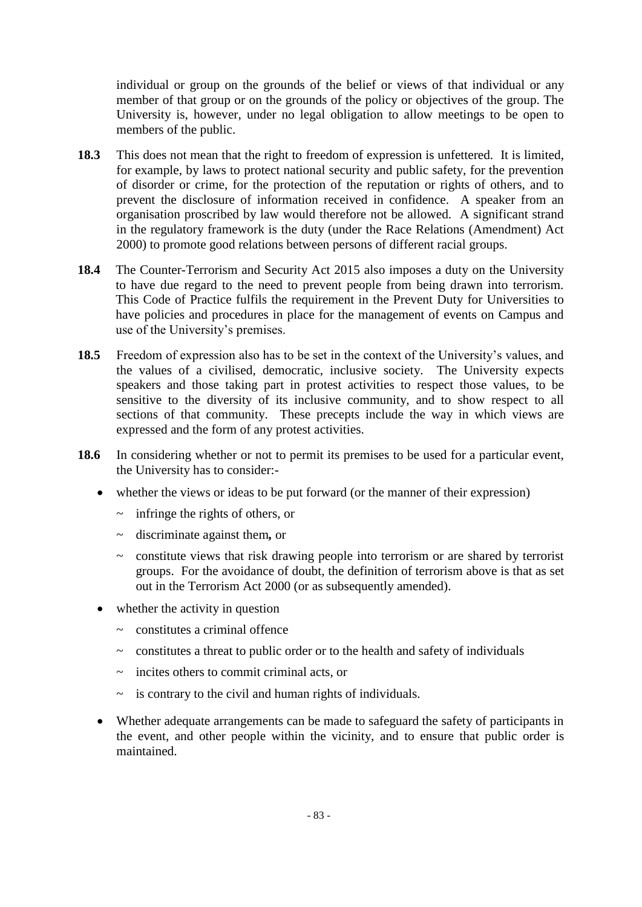individual or group on the grounds of the belief or views of that individual or any member of that group or on the grounds of the policy or objectives of the group. The University is, however, under no legal obligation to allow meetings to be open to members of the public.

- **18.3** This does not mean that the right to freedom of expression is unfettered. It is limited, for example, by laws to protect national security and public safety, for the prevention of disorder or crime, for the protection of the reputation or rights of others, and to prevent the disclosure of information received in confidence. A speaker from an organisation proscribed by law would therefore not be allowed. A significant strand in the regulatory framework is the duty (under the Race Relations (Amendment) Act 2000) to promote good relations between persons of different racial groups.
- **18.4** The Counter-Terrorism and Security Act 2015 also imposes a duty on the University to have due regard to the need to prevent people from being drawn into terrorism. This Code of Practice fulfils the requirement in the Prevent Duty for Universities to have policies and procedures in place for the management of events on Campus and use of the University's premises.
- **18.5** Freedom of expression also has to be set in the context of the University's values, and the values of a civilised, democratic, inclusive society. The University expects speakers and those taking part in protest activities to respect those values, to be sensitive to the diversity of its inclusive community, and to show respect to all sections of that community. These precepts include the way in which views are expressed and the form of any protest activities.
- **18.6** In considering whether or not to permit its premises to be used for a particular event, the University has to consider:
	- whether the views or ideas to be put forward (or the manner of their expression)
		- $\sim$  infringe the rights of others, or
		- ~ discriminate against them*,* or
		- $\sim$  constitute views that risk drawing people into terrorism or are shared by terrorist groups. For the avoidance of doubt, the definition of terrorism above is that as set out in the Terrorism Act 2000 (or as subsequently amended).
	- whether the activity in question
		- $\sim$  constitutes a criminal offence
		- $\sim$  constitutes a threat to public order or to the health and safety of individuals
		- $\sim$  incites others to commit criminal acts, or
		- $\sim$  is contrary to the civil and human rights of individuals.
	- Whether adequate arrangements can be made to safeguard the safety of participants in the event, and other people within the vicinity, and to ensure that public order is maintained.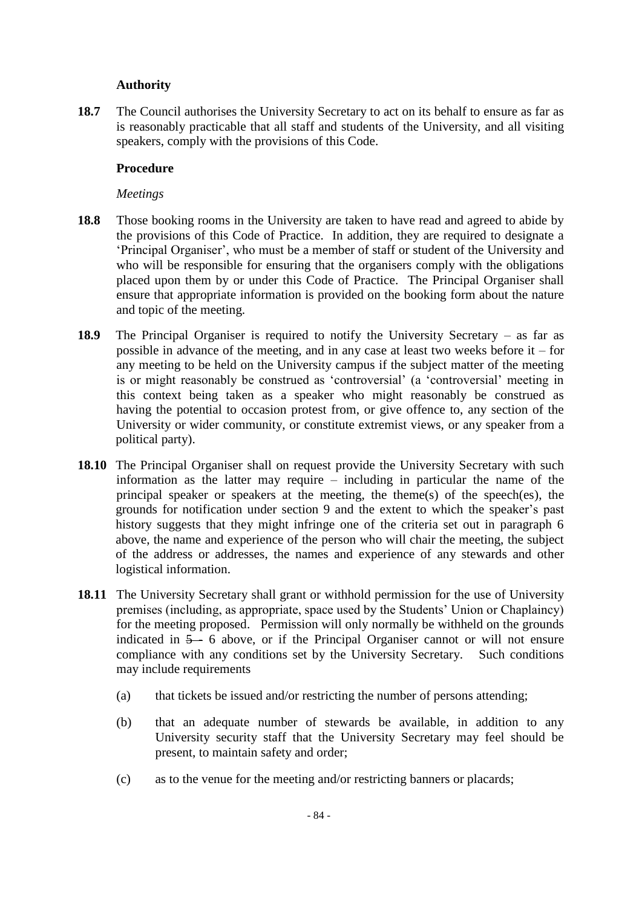### **Authority**

**18.7** The Council authorises the University Secretary to act on its behalf to ensure as far as is reasonably practicable that all staff and students of the University, and all visiting speakers, comply with the provisions of this Code.

### **Procedure**

#### *Meetings*

- **18.8** Those booking rooms in the University are taken to have read and agreed to abide by the provisions of this Code of Practice. In addition, they are required to designate a 'Principal Organiser', who must be a member of staff or student of the University and who will be responsible for ensuring that the organisers comply with the obligations placed upon them by or under this Code of Practice. The Principal Organiser shall ensure that appropriate information is provided on the booking form about the nature and topic of the meeting.
- **18.9** The Principal Organiser is required to notify the University Secretary as far as possible in advance of the meeting, and in any case at least two weeks before it – for any meeting to be held on the University campus if the subject matter of the meeting is or might reasonably be construed as 'controversial' (a 'controversial' meeting in this context being taken as a speaker who might reasonably be construed as having the potential to occasion protest from, or give offence to, any section of the University or wider community, or constitute extremist views, or any speaker from a political party).
- **18.10** The Principal Organiser shall on request provide the University Secretary with such information as the latter may require – including in particular the name of the principal speaker or speakers at the meeting, the theme(s) of the speech(es), the grounds for notification under section 9 and the extent to which the speaker's past history suggests that they might infringe one of the criteria set out in paragraph 6 above, the name and experience of the person who will chair the meeting, the subject of the address or addresses, the names and experience of any stewards and other logistical information.
- **18.11** The University Secretary shall grant or withhold permission for the use of University premises (including, as appropriate, space used by the Students' Union or Chaplaincy) for the meeting proposed. Permission will only normally be withheld on the grounds indicated in  $5 - 6$  above, or if the Principal Organiser cannot or will not ensure compliance with any conditions set by the University Secretary. Such conditions may include requirements
	- (a) that tickets be issued and/or restricting the number of persons attending;
	- (b) that an adequate number of stewards be available, in addition to any University security staff that the University Secretary may feel should be present, to maintain safety and order;
	- (c) as to the venue for the meeting and/or restricting banners or placards;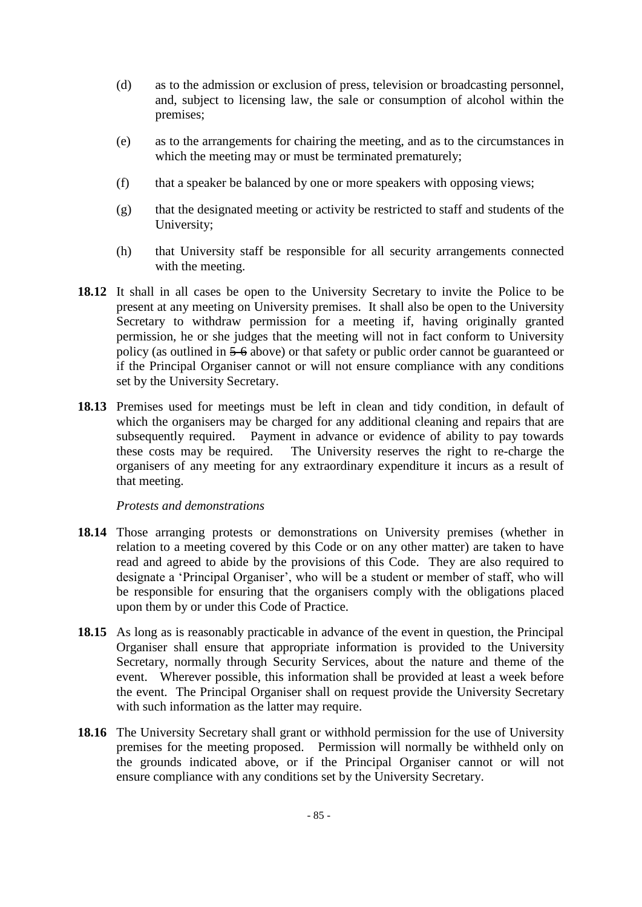- (d) as to the admission or exclusion of press, television or broadcasting personnel, and, subject to licensing law, the sale or consumption of alcohol within the premises;
- (e) as to the arrangements for chairing the meeting, and as to the circumstances in which the meeting may or must be terminated prematurely;
- (f) that a speaker be balanced by one or more speakers with opposing views;
- (g) that the designated meeting or activity be restricted to staff and students of the University;
- (h) that University staff be responsible for all security arrangements connected with the meeting.
- **18.12** It shall in all cases be open to the University Secretary to invite the Police to be present at any meeting on University premises. It shall also be open to the University Secretary to withdraw permission for a meeting if, having originally granted permission, he or she judges that the meeting will not in fact conform to University policy (as outlined in 5-6 above) or that safety or public order cannot be guaranteed or if the Principal Organiser cannot or will not ensure compliance with any conditions set by the University Secretary.
- **18.13** Premises used for meetings must be left in clean and tidy condition, in default of which the organisers may be charged for any additional cleaning and repairs that are subsequently required. Payment in advance or evidence of ability to pay towards these costs may be required. The University reserves the right to re-charge the organisers of any meeting for any extraordinary expenditure it incurs as a result of that meeting.

#### *Protests and demonstrations*

- **18.14** Those arranging protests or demonstrations on University premises (whether in relation to a meeting covered by this Code or on any other matter) are taken to have read and agreed to abide by the provisions of this Code. They are also required to designate a 'Principal Organiser', who will be a student or member of staff, who will be responsible for ensuring that the organisers comply with the obligations placed upon them by or under this Code of Practice.
- **18.15** As long as is reasonably practicable in advance of the event in question, the Principal Organiser shall ensure that appropriate information is provided to the University Secretary, normally through Security Services, about the nature and theme of the event. Wherever possible, this information shall be provided at least a week before the event. The Principal Organiser shall on request provide the University Secretary with such information as the latter may require.
- **18.16** The University Secretary shall grant or withhold permission for the use of University premises for the meeting proposed. Permission will normally be withheld only on the grounds indicated above, or if the Principal Organiser cannot or will not ensure compliance with any conditions set by the University Secretary.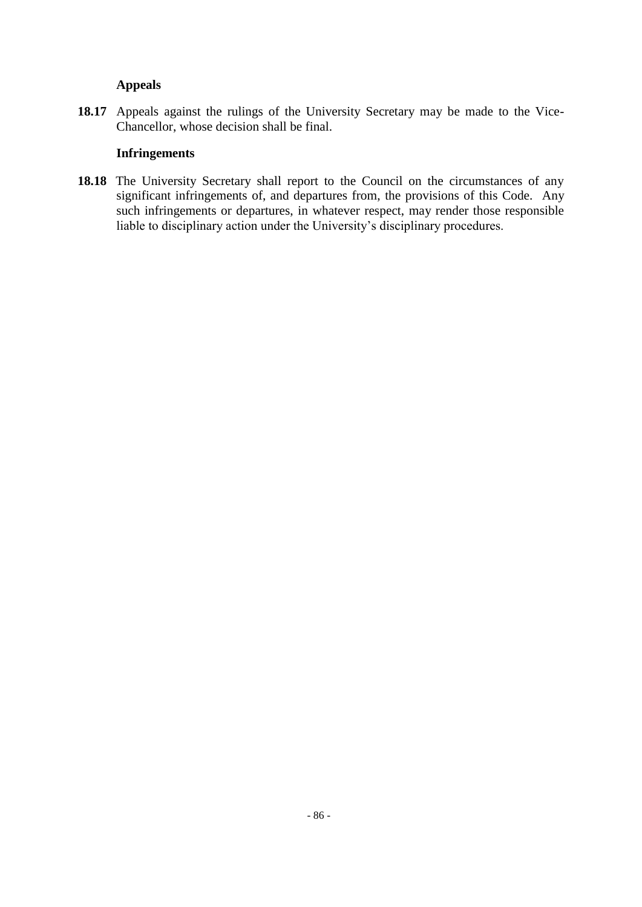#### **Appeals**

**18.17** Appeals against the rulings of the University Secretary may be made to the Vice-Chancellor, whose decision shall be final.

#### **Infringements**

18.18 The University Secretary shall report to the Council on the circumstances of any significant infringements of, and departures from, the provisions of this Code. Any such infringements or departures, in whatever respect, may render those responsible liable to disciplinary action under the University's disciplinary procedures.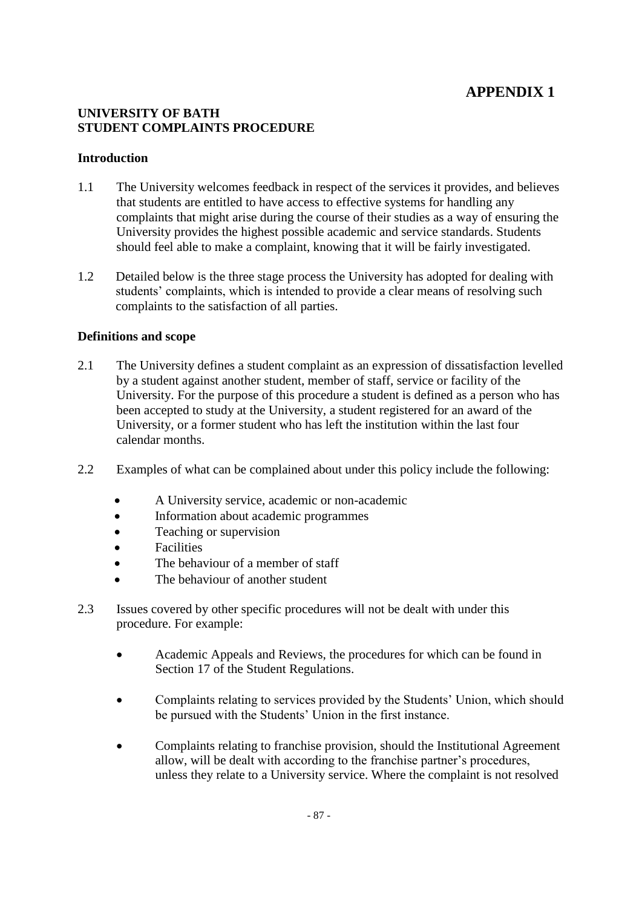# **APPENDIX 1**

### **UNIVERSITY OF BATH STUDENT COMPLAINTS PROCEDURE**

### **Introduction**

- 1.1 The University welcomes feedback in respect of the services it provides, and believes that students are entitled to have access to effective systems for handling any complaints that might arise during the course of their studies as a way of ensuring the University provides the highest possible academic and service standards. Students should feel able to make a complaint, knowing that it will be fairly investigated.
- 1.2 Detailed below is the three stage process the University has adopted for dealing with students' complaints, which is intended to provide a clear means of resolving such complaints to the satisfaction of all parties.

# **Definitions and scope**

- 2.1 The University defines a student complaint as an expression of dissatisfaction levelled by a student against another student, member of staff, service or facility of the University. For the purpose of this procedure a student is defined as a person who has been accepted to study at the University, a student registered for an award of the University, or a former student who has left the institution within the last four calendar months.
- 2.2 Examples of what can be complained about under this policy include the following:
	- A University service, academic or non-academic
	- Information about academic programmes
	- Teaching or supervision
	- **•** Facilities
	- The behaviour of a member of staff
	- The behaviour of another student
- 2.3 Issues covered by other specific procedures will not be dealt with under this procedure. For example:
	- Academic Appeals and Reviews, the procedures for which can be found in Section 17 of the Student Regulations.
	- Complaints relating to services provided by the Students' Union, which should be pursued with the Students' Union in the first instance.
	- Complaints relating to franchise provision, should the Institutional Agreement allow, will be dealt with according to the franchise partner's procedures, unless they relate to a University service. Where the complaint is not resolved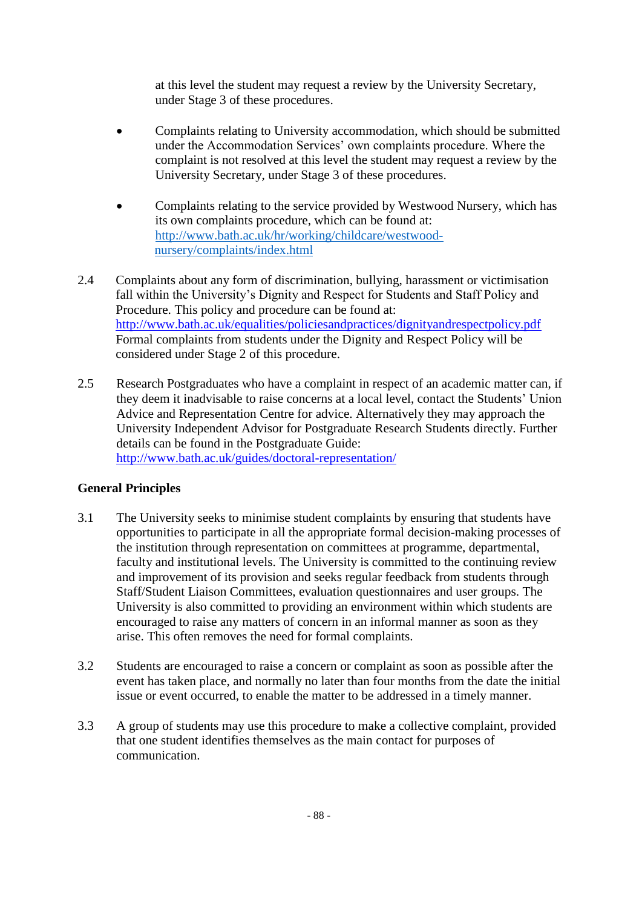at this level the student may request a review by the University Secretary, under Stage 3 of these procedures.

- Complaints relating to University accommodation, which should be submitted under the Accommodation Services' own complaints procedure. Where the complaint is not resolved at this level the student may request a review by the University Secretary, under Stage 3 of these procedures.
- Complaints relating to the service provided by Westwood Nursery, which has its own complaints procedure, which can be found at: [http://www.bath.ac.uk/hr/working/childcare/westwood](http://www.bath.ac.uk/hr/working/childcare/westwood-nursery/complaints/index.html)[nursery/complaints/index.html](http://www.bath.ac.uk/hr/working/childcare/westwood-nursery/complaints/index.html)
- 2.4 Complaints about any form of discrimination, bullying, harassment or victimisation fall within the University's Dignity and Respect for Students and Staff Policy and Procedure. This policy and procedure can be found at: <http://www.bath.ac.uk/equalities/policiesandpractices/dignityandrespectpolicy.pdf> Formal complaints from students under the Dignity and Respect Policy will be considered under Stage 2 of this procedure.
- 2.5 Research Postgraduates who have a complaint in respect of an academic matter can, if they deem it inadvisable to raise concerns at a local level, contact the Students' Union Advice and Representation Centre for advice. Alternatively they may approach the University Independent Advisor for Postgraduate Research Students directly. Further details can be found in the Postgraduate Guide: <http://www.bath.ac.uk/guides/doctoral-representation/>

# **General Principles**

- 3.1 The University seeks to minimise student complaints by ensuring that students have opportunities to participate in all the appropriate formal decision-making processes of the institution through representation on committees at programme, departmental, faculty and institutional levels. The University is committed to the continuing review and improvement of its provision and seeks regular feedback from students through Staff/Student Liaison Committees, evaluation questionnaires and user groups. The University is also committed to providing an environment within which students are encouraged to raise any matters of concern in an informal manner as soon as they arise. This often removes the need for formal complaints.
- 3.2 Students are encouraged to raise a concern or complaint as soon as possible after the event has taken place, and normally no later than four months from the date the initial issue or event occurred, to enable the matter to be addressed in a timely manner.
- 3.3 A group of students may use this procedure to make a collective complaint, provided that one student identifies themselves as the main contact for purposes of communication.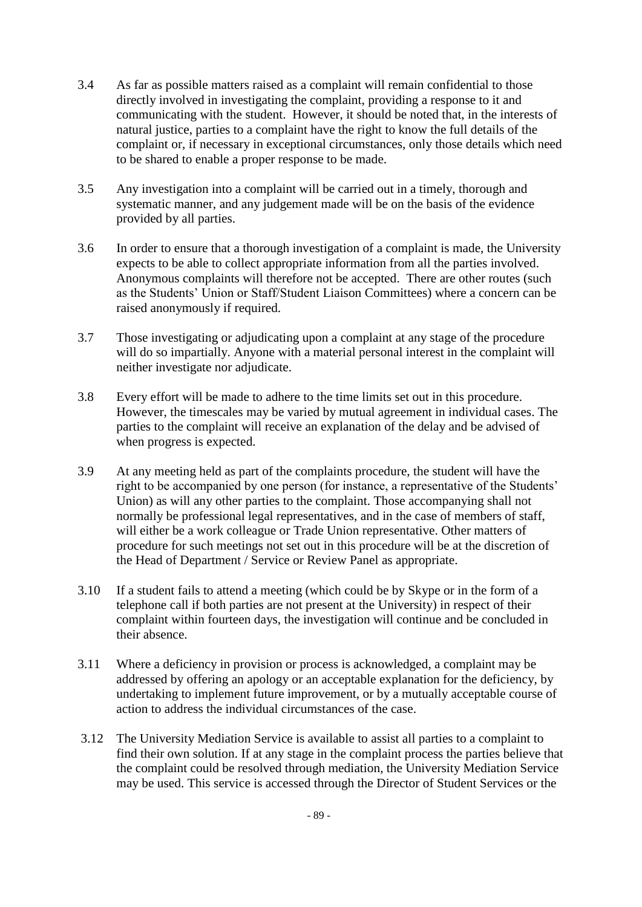- 3.4 As far as possible matters raised as a complaint will remain confidential to those directly involved in investigating the complaint, providing a response to it and communicating with the student. However, it should be noted that, in the interests of natural justice, parties to a complaint have the right to know the full details of the complaint or, if necessary in exceptional circumstances, only those details which need to be shared to enable a proper response to be made.
- 3.5 Any investigation into a complaint will be carried out in a timely, thorough and systematic manner, and any judgement made will be on the basis of the evidence provided by all parties.
- 3.6 In order to ensure that a thorough investigation of a complaint is made, the University expects to be able to collect appropriate information from all the parties involved. Anonymous complaints will therefore not be accepted. There are other routes (such as the Students' Union or Staff/Student Liaison Committees) where a concern can be raised anonymously if required.
- 3.7 Those investigating or adjudicating upon a complaint at any stage of the procedure will do so impartially. Anyone with a material personal interest in the complaint will neither investigate nor adjudicate.
- 3.8 Every effort will be made to adhere to the time limits set out in this procedure. However, the timescales may be varied by mutual agreement in individual cases. The parties to the complaint will receive an explanation of the delay and be advised of when progress is expected.
- 3.9 At any meeting held as part of the complaints procedure, the student will have the right to be accompanied by one person (for instance, a representative of the Students' Union) as will any other parties to the complaint. Those accompanying shall not normally be professional legal representatives, and in the case of members of staff, will either be a work colleague or Trade Union representative. Other matters of procedure for such meetings not set out in this procedure will be at the discretion of the Head of Department / Service or Review Panel as appropriate.
- 3.10 If a student fails to attend a meeting (which could be by Skype or in the form of a telephone call if both parties are not present at the University) in respect of their complaint within fourteen days, the investigation will continue and be concluded in their absence.
- 3.11 Where a deficiency in provision or process is acknowledged, a complaint may be addressed by offering an apology or an acceptable explanation for the deficiency, by undertaking to implement future improvement, or by a mutually acceptable course of action to address the individual circumstances of the case.
- 3.12 The University Mediation Service is available to assist all parties to a complaint to find their own solution. If at any stage in the complaint process the parties believe that the complaint could be resolved through mediation, the University Mediation Service may be used. This service is accessed through the Director of Student Services or the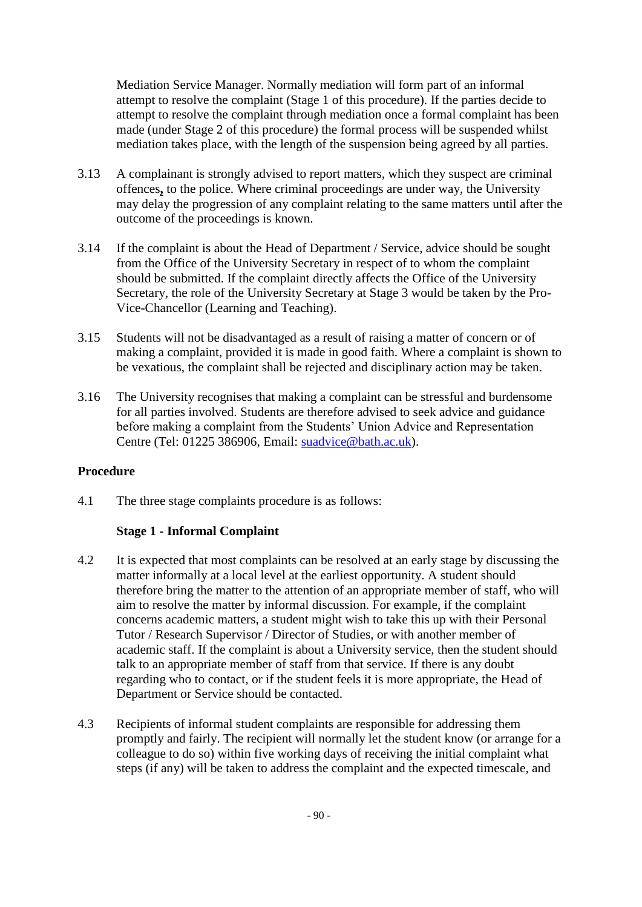Mediation Service Manager. Normally mediation will form part of an informal attempt to resolve the complaint (Stage 1 of this procedure). If the parties decide to attempt to resolve the complaint through mediation once a formal complaint has been made (under Stage 2 of this procedure) the formal process will be suspended whilst mediation takes place, with the length of the suspension being agreed by all parties.

- 3.13 A complainant is strongly advised to report matters, which they suspect are criminal offences**,** to the police. Where criminal proceedings are under way, the University may delay the progression of any complaint relating to the same matters until after the outcome of the proceedings is known.
- 3.14 If the complaint is about the Head of Department / Service, advice should be sought from the Office of the University Secretary in respect of to whom the complaint should be submitted. If the complaint directly affects the Office of the University Secretary, the role of the University Secretary at Stage 3 would be taken by the Pro-Vice-Chancellor (Learning and Teaching).
- 3.15 Students will not be disadvantaged as a result of raising a matter of concern or of making a complaint, provided it is made in good faith. Where a complaint is shown to be vexatious, the complaint shall be rejected and disciplinary action may be taken.
- 3.16 The University recognises that making a complaint can be stressful and burdensome for all parties involved. Students are therefore advised to seek advice and guidance before making a complaint from the Students' Union Advice and Representation Centre (Tel: 01225 386906, Email: [suadvice@bath.ac.uk\)](mailto:suadvice@bath.ac.uk).

# **Procedure**

4.1 The three stage complaints procedure is as follows:

# **Stage 1 - Informal Complaint**

- 4.2 It is expected that most complaints can be resolved at an early stage by discussing the matter informally at a local level at the earliest opportunity. A student should therefore bring the matter to the attention of an appropriate member of staff, who will aim to resolve the matter by informal discussion. For example, if the complaint concerns academic matters, a student might wish to take this up with their Personal Tutor / Research Supervisor / Director of Studies, or with another member of academic staff. If the complaint is about a University service, then the student should talk to an appropriate member of staff from that service. If there is any doubt regarding who to contact, or if the student feels it is more appropriate, the Head of Department or Service should be contacted.
- 4.3 Recipients of informal student complaints are responsible for addressing them promptly and fairly. The recipient will normally let the student know (or arrange for a colleague to do so) within five working days of receiving the initial complaint what steps (if any) will be taken to address the complaint and the expected timescale, and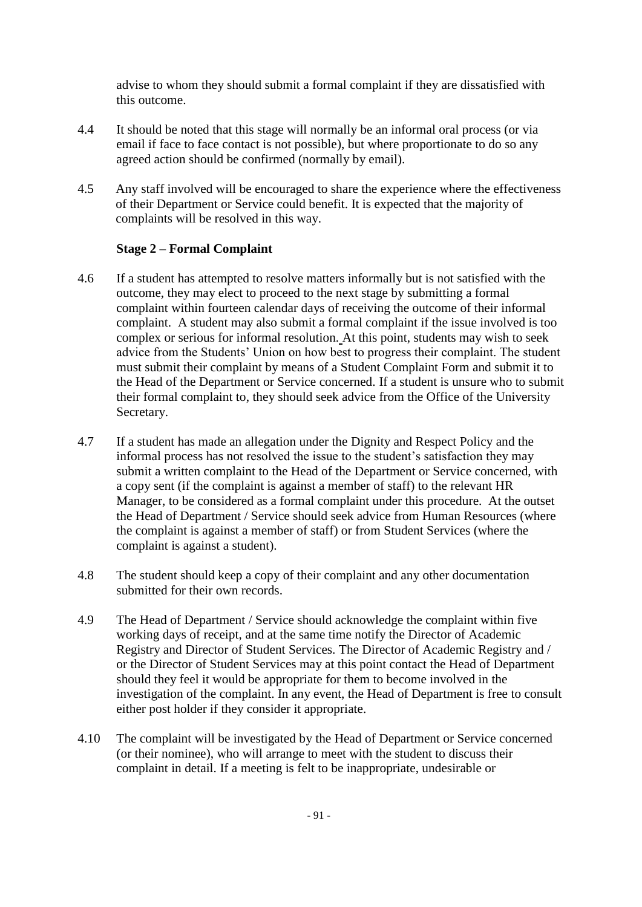advise to whom they should submit a formal complaint if they are dissatisfied with this outcome.

- 4.4 It should be noted that this stage will normally be an informal oral process (or via email if face to face contact is not possible), but where proportionate to do so any agreed action should be confirmed (normally by email).
- 4.5 Any staff involved will be encouraged to share the experience where the effectiveness of their Department or Service could benefit. It is expected that the majority of complaints will be resolved in this way.

# **Stage 2 – Formal Complaint**

- 4.6 If a student has attempted to resolve matters informally but is not satisfied with the outcome, they may elect to proceed to the next stage by submitting a formal complaint within fourteen calendar days of receiving the outcome of their informal complaint. A student may also submit a formal complaint if the issue involved is too complex or serious for informal resolution. At this point, students may wish to seek advice from the Students' Union on how best to progress their complaint. The student must submit their complaint by means of a Student Complaint Form and submit it to the Head of the Department or Service concerned. If a student is unsure who to submit their formal complaint to, they should seek advice from the Office of the University Secretary.
- 4.7 If a student has made an allegation under the Dignity and Respect Policy and the informal process has not resolved the issue to the student's satisfaction they may submit a written complaint to the Head of the Department or Service concerned, with a copy sent (if the complaint is against a member of staff) to the relevant HR Manager, to be considered as a formal complaint under this procedure. At the outset the Head of Department / Service should seek advice from Human Resources (where the complaint is against a member of staff) or from Student Services (where the complaint is against a student).
- 4.8 The student should keep a copy of their complaint and any other documentation submitted for their own records.
- 4.9 The Head of Department / Service should acknowledge the complaint within five working days of receipt, and at the same time notify the Director of Academic Registry and Director of Student Services. The Director of Academic Registry and / or the Director of Student Services may at this point contact the Head of Department should they feel it would be appropriate for them to become involved in the investigation of the complaint. In any event, the Head of Department is free to consult either post holder if they consider it appropriate.
- 4.10 The complaint will be investigated by the Head of Department or Service concerned (or their nominee), who will arrange to meet with the student to discuss their complaint in detail. If a meeting is felt to be inappropriate, undesirable or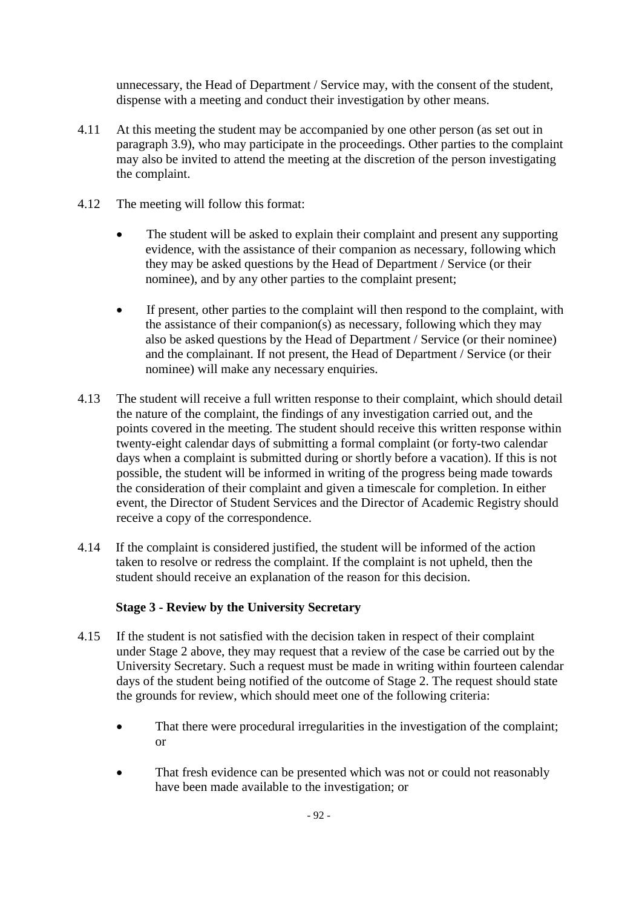unnecessary, the Head of Department / Service may, with the consent of the student, dispense with a meeting and conduct their investigation by other means.

- 4.11 At this meeting the student may be accompanied by one other person (as set out in paragraph 3.9), who may participate in the proceedings. Other parties to the complaint may also be invited to attend the meeting at the discretion of the person investigating the complaint.
- 4.12 The meeting will follow this format:
	- The student will be asked to explain their complaint and present any supporting evidence, with the assistance of their companion as necessary, following which they may be asked questions by the Head of Department / Service (or their nominee), and by any other parties to the complaint present;
	- If present, other parties to the complaint will then respond to the complaint, with the assistance of their companion(s) as necessary, following which they may also be asked questions by the Head of Department / Service (or their nominee) and the complainant. If not present, the Head of Department / Service (or their nominee) will make any necessary enquiries.
- 4.13 The student will receive a full written response to their complaint, which should detail the nature of the complaint, the findings of any investigation carried out, and the points covered in the meeting. The student should receive this written response within twenty-eight calendar days of submitting a formal complaint (or forty-two calendar days when a complaint is submitted during or shortly before a vacation). If this is not possible, the student will be informed in writing of the progress being made towards the consideration of their complaint and given a timescale for completion. In either event, the Director of Student Services and the Director of Academic Registry should receive a copy of the correspondence.
- 4.14 If the complaint is considered justified, the student will be informed of the action taken to resolve or redress the complaint. If the complaint is not upheld, then the student should receive an explanation of the reason for this decision.

# **Stage 3 - Review by the University Secretary**

- 4.15 If the student is not satisfied with the decision taken in respect of their complaint under Stage 2 above, they may request that a review of the case be carried out by the University Secretary. Such a request must be made in writing within fourteen calendar days of the student being notified of the outcome of Stage 2. The request should state the grounds for review, which should meet one of the following criteria:
	- That there were procedural irregularities in the investigation of the complaint; or
	- That fresh evidence can be presented which was not or could not reasonably have been made available to the investigation; or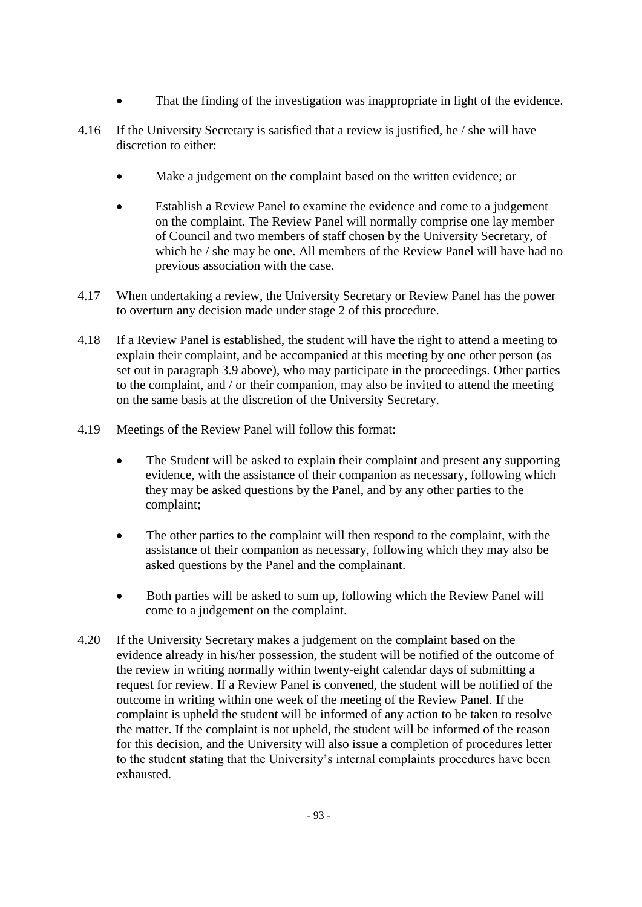- That the finding of the investigation was inappropriate in light of the evidence.
- 4.16 If the University Secretary is satisfied that a review is justified, he / she will have discretion to either:
	- Make a judgement on the complaint based on the written evidence; or
	- Establish a Review Panel to examine the evidence and come to a judgement on the complaint. The Review Panel will normally comprise one lay member of Council and two members of staff chosen by the University Secretary, of which he / she may be one. All members of the Review Panel will have had no previous association with the case.
- 4.17 When undertaking a review, the University Secretary or Review Panel has the power to overturn any decision made under stage 2 of this procedure.
- 4.18 If a Review Panel is established, the student will have the right to attend a meeting to explain their complaint, and be accompanied at this meeting by one other person (as set out in paragraph 3.9 above), who may participate in the proceedings. Other parties to the complaint, and / or their companion, may also be invited to attend the meeting on the same basis at the discretion of the University Secretary.
- 4.19 Meetings of the Review Panel will follow this format:
	- The Student will be asked to explain their complaint and present any supporting evidence, with the assistance of their companion as necessary, following which they may be asked questions by the Panel, and by any other parties to the complaint;
	- The other parties to the complaint will then respond to the complaint, with the assistance of their companion as necessary, following which they may also be asked questions by the Panel and the complainant.
	- Both parties will be asked to sum up, following which the Review Panel will come to a judgement on the complaint.
- 4.20 If the University Secretary makes a judgement on the complaint based on the evidence already in his/her possession, the student will be notified of the outcome of the review in writing normally within twenty-eight calendar days of submitting a request for review. If a Review Panel is convened, the student will be notified of the outcome in writing within one week of the meeting of the Review Panel. If the complaint is upheld the student will be informed of any action to be taken to resolve the matter. If the complaint is not upheld, the student will be informed of the reason for this decision, and the University will also issue a completion of procedures letter to the student stating that the University's internal complaints procedures have been exhausted.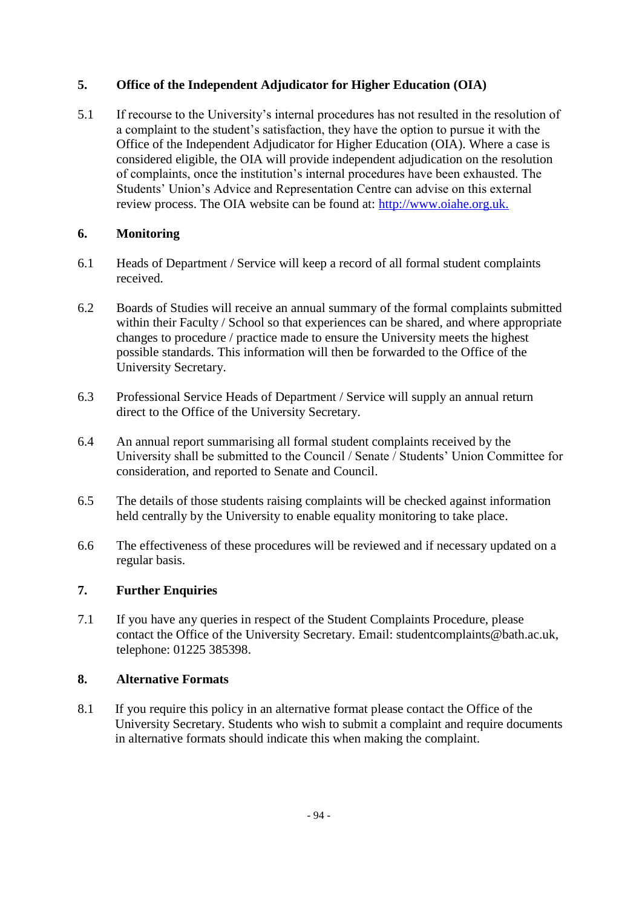# **5. Office of the Independent Adjudicator for Higher Education (OIA)**

5.1 If recourse to the University's internal procedures has not resulted in the resolution of a complaint to the student's satisfaction, they have the option to pursue it with the Office of the Independent Adjudicator for Higher Education (OIA). Where a case is considered eligible, the OIA will provide independent adjudication on the resolution of complaints, once the institution's internal procedures have been exhausted. The Students' Union's Advice and Representation Centre can advise on this external review process. The OIA website can be found at: [http://www.oiahe.org.uk.](http://www.oiahe.org.uk/)

# **6. Monitoring**

- 6.1 Heads of Department / Service will keep a record of all formal student complaints received.
- 6.2 Boards of Studies will receive an annual summary of the formal complaints submitted within their Faculty / School so that experiences can be shared, and where appropriate changes to procedure / practice made to ensure the University meets the highest possible standards. This information will then be forwarded to the Office of the University Secretary.
- 6.3 Professional Service Heads of Department / Service will supply an annual return direct to the Office of the University Secretary.
- 6.4 An annual report summarising all formal student complaints received by the University shall be submitted to the Council / Senate / Students' Union Committee for consideration, and reported to Senate and Council.
- 6.5 The details of those students raising complaints will be checked against information held centrally by the University to enable equality monitoring to take place.
- 6.6 The effectiveness of these procedures will be reviewed and if necessary updated on a regular basis.

# **7. Further Enquiries**

7.1 If you have any queries in respect of the Student Complaints Procedure, please contact the Office of the University Secretary. Email: studentcomplaints@bath.ac.uk, telephone: 01225 385398.

# **8. Alternative Formats**

8.1 If you require this policy in an alternative format please contact the Office of the University Secretary. Students who wish to submit a complaint and require documents in alternative formats should indicate this when making the complaint.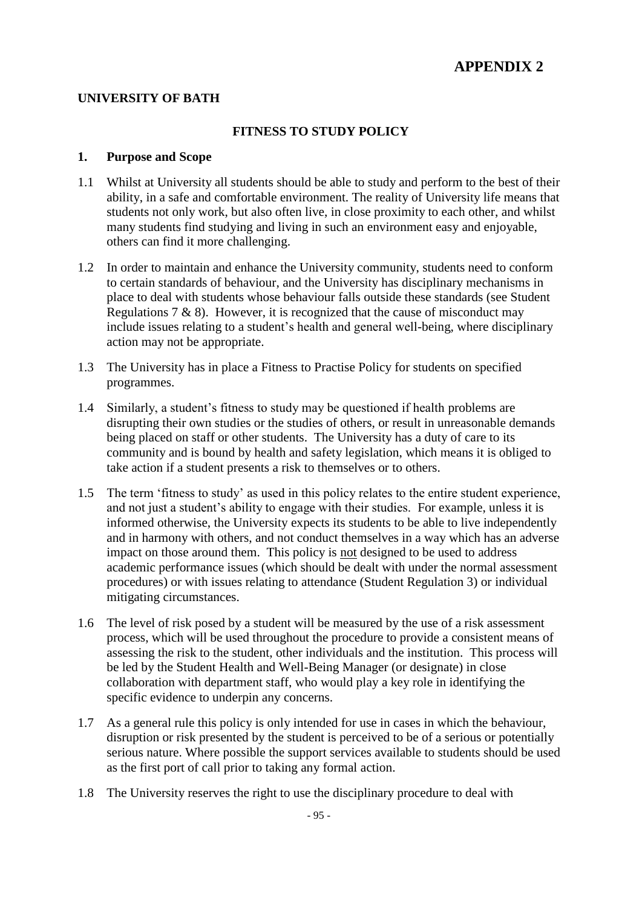# **UNIVERSITY OF BATH**

### **FITNESS TO STUDY POLICY**

#### **1. Purpose and Scope**

- 1.1 Whilst at University all students should be able to study and perform to the best of their ability, in a safe and comfortable environment. The reality of University life means that students not only work, but also often live, in close proximity to each other, and whilst many students find studying and living in such an environment easy and enjoyable, others can find it more challenging.
- 1.2 In order to maintain and enhance the University community, students need to conform to certain standards of behaviour, and the University has disciplinary mechanisms in place to deal with students whose behaviour falls outside these standards (see Student Regulations 7  $\&$  8). However, it is recognized that the cause of misconduct may include issues relating to a student's health and general well-being, where disciplinary action may not be appropriate.
- 1.3 The University has in place a Fitness to Practise Policy for students on specified programmes.
- 1.4 Similarly, a student's fitness to study may be questioned if health problems are disrupting their own studies or the studies of others, or result in unreasonable demands being placed on staff or other students. The University has a duty of care to its community and is bound by health and safety legislation, which means it is obliged to take action if a student presents a risk to themselves or to others.
- 1.5 The term 'fitness to study' as used in this policy relates to the entire student experience, and not just a student's ability to engage with their studies. For example, unless it is informed otherwise, the University expects its students to be able to live independently and in harmony with others, and not conduct themselves in a way which has an adverse impact on those around them. This policy is not designed to be used to address academic performance issues (which should be dealt with under the normal assessment procedures) or with issues relating to attendance (Student Regulation 3) or individual mitigating circumstances.
- 1.6 The level of risk posed by a student will be measured by the use of a risk assessment process, which will be used throughout the procedure to provide a consistent means of assessing the risk to the student, other individuals and the institution. This process will be led by the Student Health and Well-Being Manager (or designate) in close collaboration with department staff, who would play a key role in identifying the specific evidence to underpin any concerns.
- 1.7 As a general rule this policy is only intended for use in cases in which the behaviour, disruption or risk presented by the student is perceived to be of a serious or potentially serious nature. Where possible the support services available to students should be used as the first port of call prior to taking any formal action.
- 1.8 The University reserves the right to use the disciplinary procedure to deal with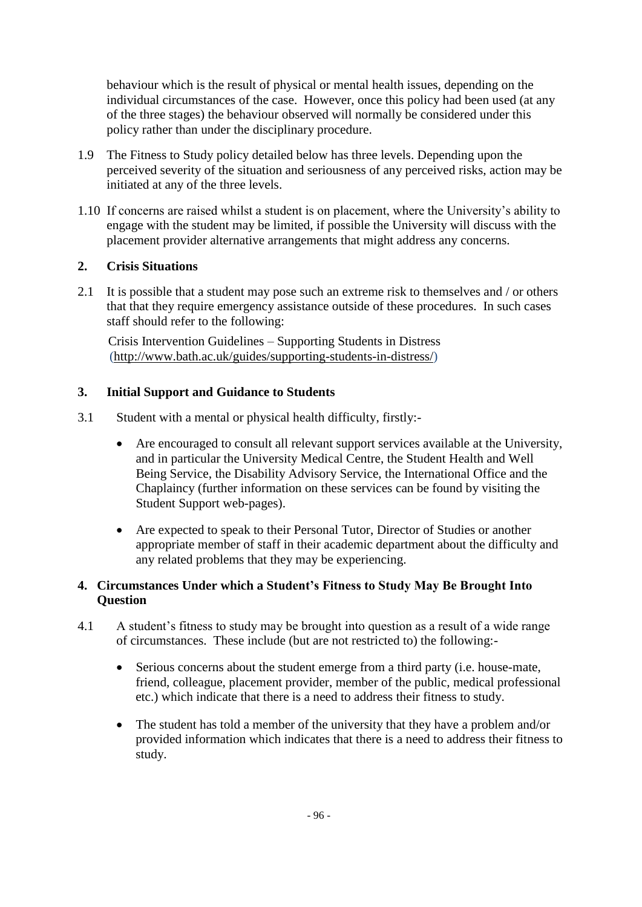behaviour which is the result of physical or mental health issues, depending on the individual circumstances of the case. However, once this policy had been used (at any of the three stages) the behaviour observed will normally be considered under this policy rather than under the disciplinary procedure.

- 1.9 The Fitness to Study policy detailed below has three levels. Depending upon the perceived severity of the situation and seriousness of any perceived risks, action may be initiated at any of the three levels.
- 1.10 If concerns are raised whilst a student is on placement, where the University's ability to engage with the student may be limited, if possible the University will discuss with the placement provider alternative arrangements that might address any concerns.

# **2. Crisis Situations**

2.1 It is possible that a student may pose such an extreme risk to themselves and / or others that that they require emergency assistance outside of these procedures. In such cases staff should refer to the following:

Crisis Intervention Guidelines – Supporting Students in Distress [\(http://www.bath.ac.uk/guides/supporting-students-in-distress/\)](http://www.bath.ac.uk/guides/supporting-students-in-distress/)

# **3. Initial Support and Guidance to Students**

- 3.1 Student with a mental or physical health difficulty, firstly:-
	- Are encouraged to consult all relevant support services available at the University, and in particular the University Medical Centre, the Student Health and Well Being Service, the Disability Advisory Service, the International Office and the Chaplaincy (further information on these services can be found by visiting the Student Support web-pages).
	- Are expected to speak to their Personal Tutor, Director of Studies or another appropriate member of staff in their academic department about the difficulty and any related problems that they may be experiencing.

# **4. Circumstances Under which a Student's Fitness to Study May Be Brought Into Question**

- 4.1 A student's fitness to study may be brought into question as a result of a wide range of circumstances. These include (but are not restricted to) the following:-
	- Serious concerns about the student emerge from a third party (i.e. house-mate, friend, colleague, placement provider, member of the public, medical professional etc.) which indicate that there is a need to address their fitness to study.
	- The student has told a member of the university that they have a problem and/or provided information which indicates that there is a need to address their fitness to study.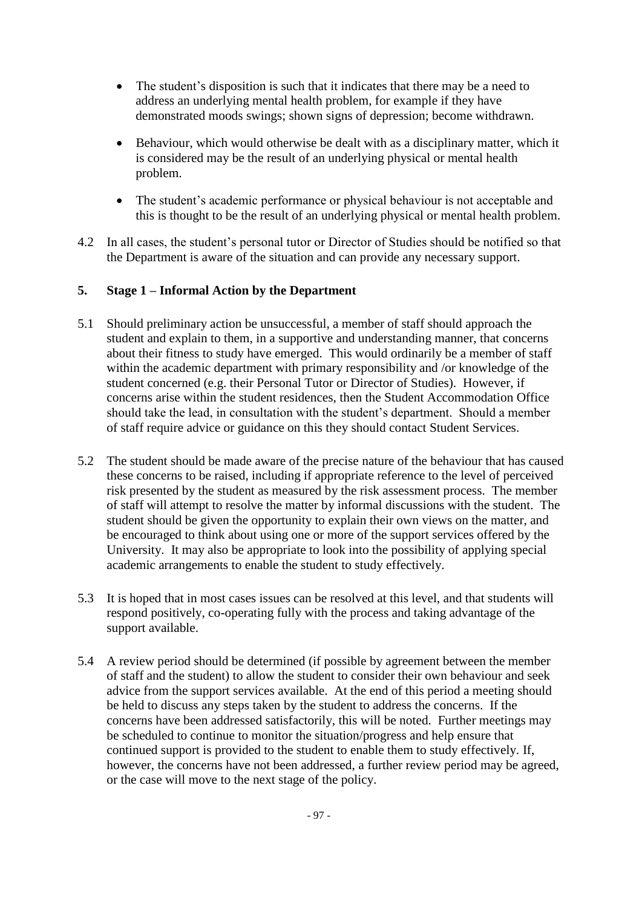- The student's disposition is such that it indicates that there may be a need to address an underlying mental health problem, for example if they have demonstrated moods swings; shown signs of depression; become withdrawn.
- Behaviour, which would otherwise be dealt with as a disciplinary matter, which it is considered may be the result of an underlying physical or mental health problem.
- The student's academic performance or physical behaviour is not acceptable and this is thought to be the result of an underlying physical or mental health problem.
- 4.2 In all cases, the student's personal tutor or Director of Studies should be notified so that the Department is aware of the situation and can provide any necessary support.

# **5. Stage 1 – Informal Action by the Department**

- 5.1 Should preliminary action be unsuccessful, a member of staff should approach the student and explain to them, in a supportive and understanding manner, that concerns about their fitness to study have emerged. This would ordinarily be a member of staff within the academic department with primary responsibility and /or knowledge of the student concerned (e.g. their Personal Tutor or Director of Studies). However, if concerns arise within the student residences, then the Student Accommodation Office should take the lead, in consultation with the student's department. Should a member of staff require advice or guidance on this they should contact Student Services.
- 5.2 The student should be made aware of the precise nature of the behaviour that has caused these concerns to be raised, including if appropriate reference to the level of perceived risk presented by the student as measured by the risk assessment process. The member of staff will attempt to resolve the matter by informal discussions with the student. The student should be given the opportunity to explain their own views on the matter, and be encouraged to think about using one or more of the support services offered by the University. It may also be appropriate to look into the possibility of applying special academic arrangements to enable the student to study effectively.
- 5.3 It is hoped that in most cases issues can be resolved at this level, and that students will respond positively, co-operating fully with the process and taking advantage of the support available.
- 5.4 A review period should be determined (if possible by agreement between the member of staff and the student) to allow the student to consider their own behaviour and seek advice from the support services available. At the end of this period a meeting should be held to discuss any steps taken by the student to address the concerns. If the concerns have been addressed satisfactorily, this will be noted. Further meetings may be scheduled to continue to monitor the situation/progress and help ensure that continued support is provided to the student to enable them to study effectively. If, however, the concerns have not been addressed, a further review period may be agreed, or the case will move to the next stage of the policy.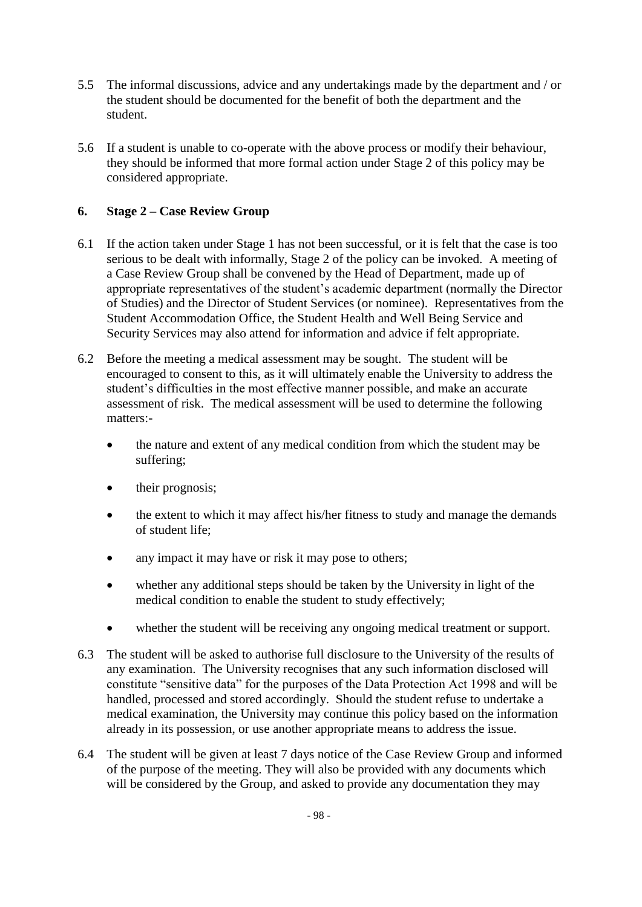- 5.5 The informal discussions, advice and any undertakings made by the department and / or the student should be documented for the benefit of both the department and the student.
- 5.6 If a student is unable to co-operate with the above process or modify their behaviour, they should be informed that more formal action under Stage 2 of this policy may be considered appropriate.

# **6. Stage 2 – Case Review Group**

- 6.1 If the action taken under Stage 1 has not been successful, or it is felt that the case is too serious to be dealt with informally, Stage 2 of the policy can be invoked. A meeting of a Case Review Group shall be convened by the Head of Department, made up of appropriate representatives of the student's academic department (normally the Director of Studies) and the Director of Student Services (or nominee). Representatives from the Student Accommodation Office, the Student Health and Well Being Service and Security Services may also attend for information and advice if felt appropriate.
- 6.2 Before the meeting a medical assessment may be sought. The student will be encouraged to consent to this, as it will ultimately enable the University to address the student's difficulties in the most effective manner possible, and make an accurate assessment of risk. The medical assessment will be used to determine the following matters:
	- the nature and extent of any medical condition from which the student may be suffering;
	- their prognosis;
	- the extent to which it may affect his/her fitness to study and manage the demands of student life;
	- any impact it may have or risk it may pose to others;
	- whether any additional steps should be taken by the University in light of the medical condition to enable the student to study effectively;
	- whether the student will be receiving any ongoing medical treatment or support.
- 6.3 The student will be asked to authorise full disclosure to the University of the results of any examination. The University recognises that any such information disclosed will constitute "sensitive data" for the purposes of the Data Protection Act 1998 and will be handled, processed and stored accordingly. Should the student refuse to undertake a medical examination, the University may continue this policy based on the information already in its possession, or use another appropriate means to address the issue.
- 6.4 The student will be given at least 7 days notice of the Case Review Group and informed of the purpose of the meeting. They will also be provided with any documents which will be considered by the Group, and asked to provide any documentation they may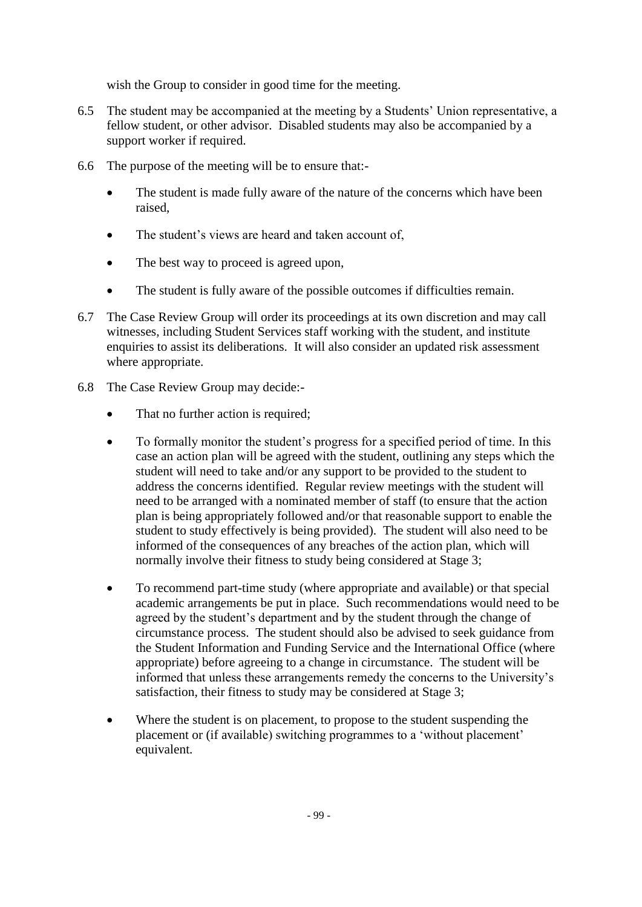wish the Group to consider in good time for the meeting.

- 6.5 The student may be accompanied at the meeting by a Students' Union representative, a fellow student, or other advisor. Disabled students may also be accompanied by a support worker if required.
- 6.6 The purpose of the meeting will be to ensure that:-
	- The student is made fully aware of the nature of the concerns which have been raised,
	- The student's views are heard and taken account of,
	- The best way to proceed is agreed upon,
	- The student is fully aware of the possible outcomes if difficulties remain.
- 6.7 The Case Review Group will order its proceedings at its own discretion and may call witnesses, including Student Services staff working with the student, and institute enquiries to assist its deliberations. It will also consider an updated risk assessment where appropriate.
- 6.8 The Case Review Group may decide:-
	- That no further action is required;
	- To formally monitor the student's progress for a specified period of time. In this case an action plan will be agreed with the student, outlining any steps which the student will need to take and/or any support to be provided to the student to address the concerns identified. Regular review meetings with the student will need to be arranged with a nominated member of staff (to ensure that the action plan is being appropriately followed and/or that reasonable support to enable the student to study effectively is being provided). The student will also need to be informed of the consequences of any breaches of the action plan, which will normally involve their fitness to study being considered at Stage 3;
	- To recommend part-time study (where appropriate and available) or that special academic arrangements be put in place. Such recommendations would need to be agreed by the student's department and by the student through the change of circumstance process. The student should also be advised to seek guidance from the Student Information and Funding Service and the International Office (where appropriate) before agreeing to a change in circumstance. The student will be informed that unless these arrangements remedy the concerns to the University's satisfaction, their fitness to study may be considered at Stage 3;
	- Where the student is on placement, to propose to the student suspending the placement or (if available) switching programmes to a 'without placement' equivalent.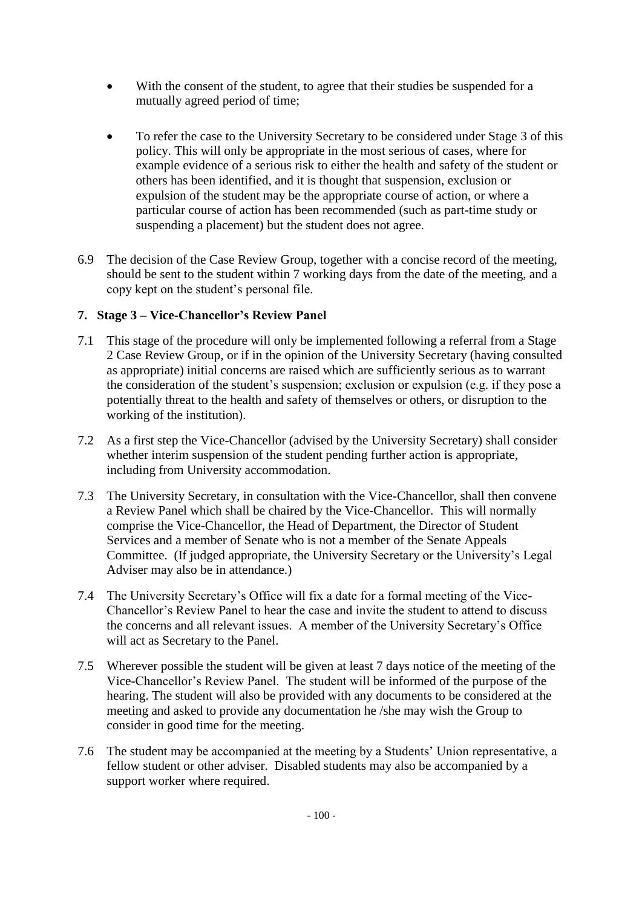- With the consent of the student, to agree that their studies be suspended for a mutually agreed period of time;
- To refer the case to the University Secretary to be considered under Stage 3 of this policy. This will only be appropriate in the most serious of cases, where for example evidence of a serious risk to either the health and safety of the student or others has been identified, and it is thought that suspension, exclusion or expulsion of the student may be the appropriate course of action, or where a particular course of action has been recommended (such as part-time study or suspending a placement) but the student does not agree.
- 6.9 The decision of the Case Review Group, together with a concise record of the meeting, should be sent to the student within 7 working days from the date of the meeting, and a copy kept on the student's personal file.

# **7. Stage 3 – Vice-Chancellor's Review Panel**

- 7.1 This stage of the procedure will only be implemented following a referral from a Stage 2 Case Review Group, or if in the opinion of the University Secretary (having consulted as appropriate) initial concerns are raised which are sufficiently serious as to warrant the consideration of the student's suspension; exclusion or expulsion (e.g. if they pose a potentially threat to the health and safety of themselves or others, or disruption to the working of the institution).
- 7.2 As a first step the Vice-Chancellor (advised by the University Secretary) shall consider whether interim suspension of the student pending further action is appropriate, including from University accommodation.
- 7.3 The University Secretary, in consultation with the Vice-Chancellor, shall then convene a Review Panel which shall be chaired by the Vice-Chancellor. This will normally comprise the Vice-Chancellor, the Head of Department, the Director of Student Services and a member of Senate who is not a member of the Senate Appeals Committee. (If judged appropriate, the University Secretary or the University's Legal Adviser may also be in attendance.)
- 7.4 The University Secretary's Office will fix a date for a formal meeting of the Vice-Chancellor's Review Panel to hear the case and invite the student to attend to discuss the concerns and all relevant issues. A member of the University Secretary's Office will act as Secretary to the Panel.
- 7.5 Wherever possible the student will be given at least 7 days notice of the meeting of the Vice-Chancellor's Review Panel. The student will be informed of the purpose of the hearing. The student will also be provided with any documents to be considered at the meeting and asked to provide any documentation he /she may wish the Group to consider in good time for the meeting.
- 7.6 The student may be accompanied at the meeting by a Students' Union representative, a fellow student or other adviser. Disabled students may also be accompanied by a support worker where required.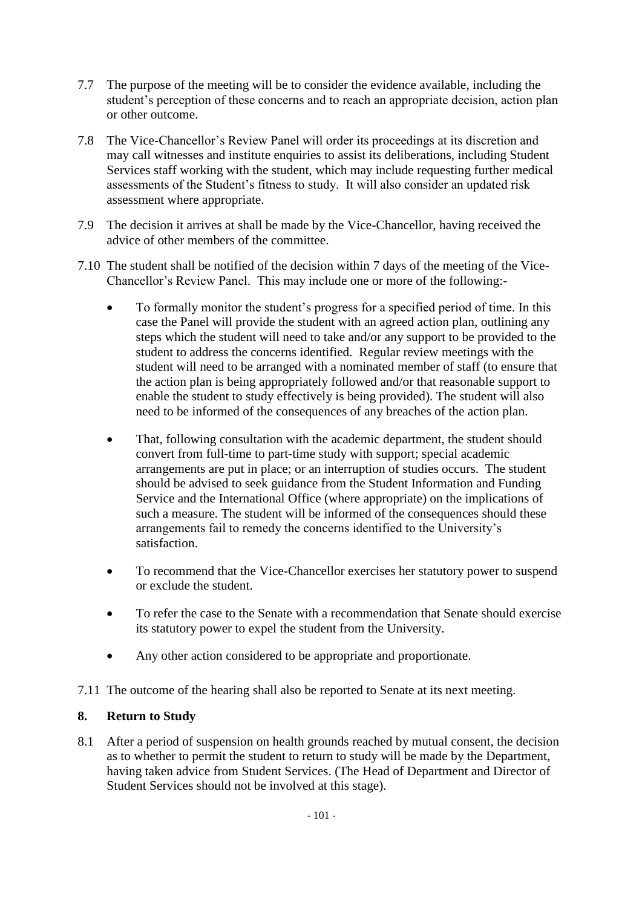- 7.7 The purpose of the meeting will be to consider the evidence available, including the student's perception of these concerns and to reach an appropriate decision, action plan or other outcome.
- 7.8 The Vice-Chancellor's Review Panel will order its proceedings at its discretion and may call witnesses and institute enquiries to assist its deliberations, including Student Services staff working with the student, which may include requesting further medical assessments of the Student's fitness to study. It will also consider an updated risk assessment where appropriate.
- 7.9 The decision it arrives at shall be made by the Vice-Chancellor, having received the advice of other members of the committee.
- 7.10 The student shall be notified of the decision within 7 days of the meeting of the Vice-Chancellor's Review Panel. This may include one or more of the following:-
	- To formally monitor the student's progress for a specified period of time. In this case the Panel will provide the student with an agreed action plan, outlining any steps which the student will need to take and/or any support to be provided to the student to address the concerns identified. Regular review meetings with the student will need to be arranged with a nominated member of staff (to ensure that the action plan is being appropriately followed and/or that reasonable support to enable the student to study effectively is being provided). The student will also need to be informed of the consequences of any breaches of the action plan.
	- That, following consultation with the academic department, the student should convert from full-time to part-time study with support; special academic arrangements are put in place; or an interruption of studies occurs. The student should be advised to seek guidance from the Student Information and Funding Service and the International Office (where appropriate) on the implications of such a measure. The student will be informed of the consequences should these arrangements fail to remedy the concerns identified to the University's satisfaction.
	- To recommend that the Vice-Chancellor exercises her statutory power to suspend or exclude the student.
	- To refer the case to the Senate with a recommendation that Senate should exercise its statutory power to expel the student from the University.
	- Any other action considered to be appropriate and proportionate.
- 7.11 The outcome of the hearing shall also be reported to Senate at its next meeting.

# **8. Return to Study**

8.1 After a period of suspension on health grounds reached by mutual consent, the decision as to whether to permit the student to return to study will be made by the Department, having taken advice from Student Services. (The Head of Department and Director of Student Services should not be involved at this stage).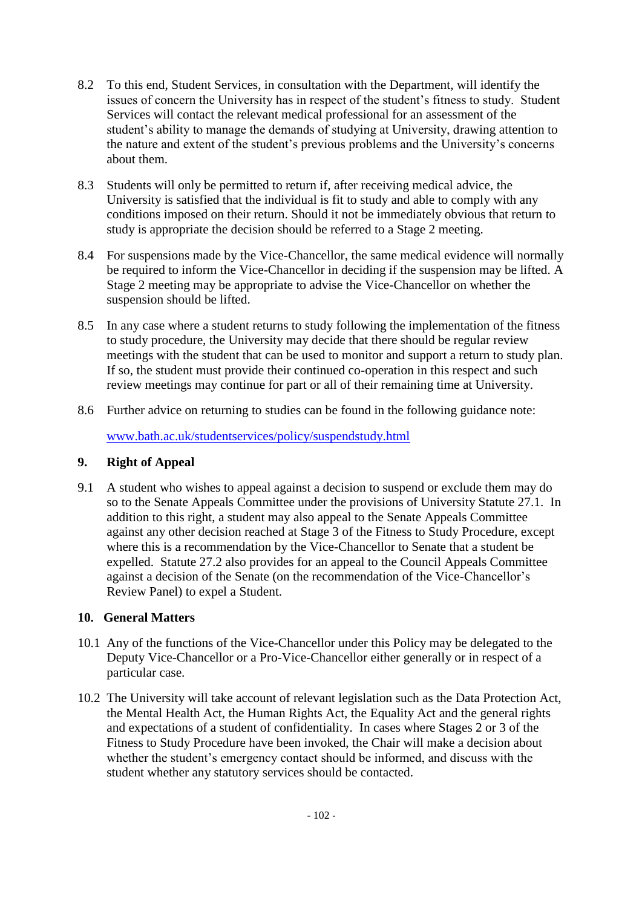- 8.2 To this end, Student Services, in consultation with the Department, will identify the issues of concern the University has in respect of the student's fitness to study. Student Services will contact the relevant medical professional for an assessment of the student's ability to manage the demands of studying at University, drawing attention to the nature and extent of the student's previous problems and the University's concerns about them.
- 8.3 Students will only be permitted to return if, after receiving medical advice, the University is satisfied that the individual is fit to study and able to comply with any conditions imposed on their return. Should it not be immediately obvious that return to study is appropriate the decision should be referred to a Stage 2 meeting.
- 8.4 For suspensions made by the Vice-Chancellor, the same medical evidence will normally be required to inform the Vice-Chancellor in deciding if the suspension may be lifted. A Stage 2 meeting may be appropriate to advise the Vice-Chancellor on whether the suspension should be lifted.
- 8.5 In any case where a student returns to study following the implementation of the fitness to study procedure, the University may decide that there should be regular review meetings with the student that can be used to monitor and support a return to study plan. If so, the student must provide their continued co-operation in this respect and such review meetings may continue for part or all of their remaining time at University.
- 8.6 Further advice on returning to studies can be found in the following guidance note:

[www.bath.ac.uk/studentservices/policy/suspendstudy.html](http://www.bath.ac.uk/studentservices/policy/suspendstudy.html) 

# **9. Right of Appeal**

9.1 A student who wishes to appeal against a decision to suspend or exclude them may do so to the Senate Appeals Committee under the provisions of University Statute 27.1. In addition to this right, a student may also appeal to the Senate Appeals Committee against any other decision reached at Stage 3 of the Fitness to Study Procedure, except where this is a recommendation by the Vice-Chancellor to Senate that a student be expelled. Statute 27.2 also provides for an appeal to the Council Appeals Committee against a decision of the Senate (on the recommendation of the Vice-Chancellor's Review Panel) to expel a Student.

# **10. General Matters**

- 10.1 Any of the functions of the Vice-Chancellor under this Policy may be delegated to the Deputy Vice-Chancellor or a Pro-Vice-Chancellor either generally or in respect of a particular case.
- 10.2 The University will take account of relevant legislation such as the Data Protection Act, the Mental Health Act, the Human Rights Act, the Equality Act and the general rights and expectations of a student of confidentiality. In cases where Stages 2 or 3 of the Fitness to Study Procedure have been invoked, the Chair will make a decision about whether the student's emergency contact should be informed, and discuss with the student whether any statutory services should be contacted.